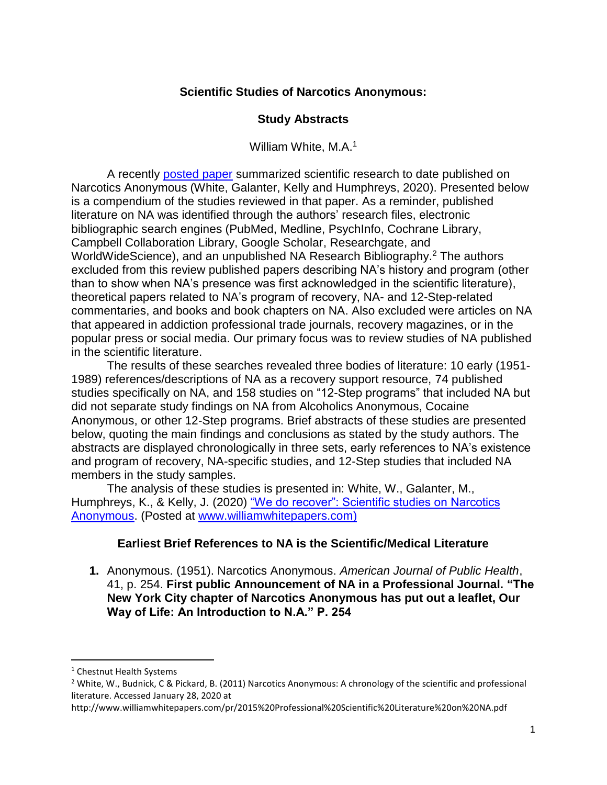## **Scientific Studies of Narcotics Anonymous:**

### **Study Abstracts**

William White, M.A.<sup>1</sup>

A recently [posted paper](http://www.williamwhitepapers.com/pr/dlm_uploads/2020-Review-of-Scientific-Studies-on-NA.pdf) summarized scientific research to date published on Narcotics Anonymous (White, Galanter, Kelly and Humphreys, 2020). Presented below is a compendium of the studies reviewed in that paper. As a reminder, published literature on NA was identified through the authors' research files, electronic bibliographic search engines (PubMed, Medline, PsychInfo, Cochrane Library, Campbell Collaboration Library, Google Scholar, Researchgate, and WorldWideScience), and an unpublished NA Research Bibliography. <sup>2</sup> The authors excluded from this review published papers describing NA's history and program (other than to show when NA's presence was first acknowledged in the scientific literature), theoretical papers related to NA's program of recovery, NA- and 12-Step-related commentaries, and books and book chapters on NA. Also excluded were articles on NA that appeared in addiction professional trade journals, recovery magazines, or in the popular press or social media. Our primary focus was to review studies of NA published in the scientific literature.

The results of these searches revealed three bodies of literature: 10 early (1951- 1989) references/descriptions of NA as a recovery support resource, 74 published studies specifically on NA, and 158 studies on "12-Step programs" that included NA but did not separate study findings on NA from Alcoholics Anonymous, Cocaine Anonymous, or other 12-Step programs. Brief abstracts of these studies are presented below, quoting the main findings and conclusions as stated by the study authors. The abstracts are displayed chronologically in three sets, early references to NA's existence and program of recovery, NA-specific studies, and 12-Step studies that included NA members in the study samples.

The analysis of these studies is presented in: White, W., Galanter, M., Humphreys, K., & Kelly, J. (2020) "We do recover": Scientific studies on Narcotics [Anonymous.](http://www.williamwhitepapers.com/pr/dlm_uploads/2020-Review-of-Scientific-Studies-on-NA.pdf) (Posted at [www.williamwhitepapers.com\)](http://www.williamwhitepapers.com/)

# **Earliest Brief References to NA is the Scientific/Medical Literature**

**1.** Anonymous. (1951). Narcotics Anonymous. *American Journal of Public Health*, 41, p. 254. **First public Announcement of NA in a Professional Journal. "The New York City chapter of Narcotics Anonymous has put out a leaflet, Our Way of Life: An Introduction to N.A." P. 254**

l

<sup>&</sup>lt;sup>1</sup> Chestnut Health Systems

<sup>&</sup>lt;sup>2</sup> White, W., Budnick, C & Pickard, B. (2011) Narcotics Anonymous: A chronology of the scientific and professional literature. Accessed January 28, 2020 at

http://www.williamwhitepapers.com/pr/2015%20Professional%20Scientific%20Literature%20on%20NA.pdf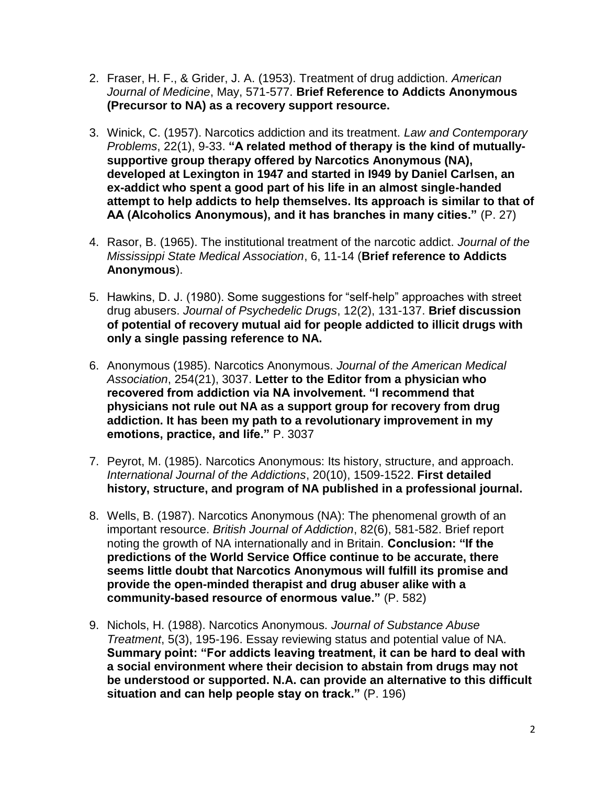- 2. Fraser, H. F., & Grider, J. A. (1953). Treatment of drug addiction. *American Journal of Medicine*, May, 571-577. **Brief Reference to Addicts Anonymous (Precursor to NA) as a recovery support resource.**
- 3. Winick, C. (1957). Narcotics addiction and its treatment. *Law and Contemporary Problems*, 22(1), 9-33. **"A related method of therapy is the kind of mutuallysupportive group therapy offered by Narcotics Anonymous (NA), developed at Lexington in 1947 and started in I949 by Daniel Carlsen, an ex-addict who spent a good part of his life in an almost single-handed attempt to help addicts to help themselves. Its approach is similar to that of AA (Alcoholics Anonymous), and it has branches in many cities."** (P. 27)
- 4. Rasor, B. (1965). The institutional treatment of the narcotic addict. *Journal of the Mississippi State Medical Association*, 6, 11-14 (**Brief reference to Addicts Anonymous**).
- 5. Hawkins, D. J. (1980). Some suggestions for "self-help" approaches with street drug abusers. *Journal of Psychedelic Drugs*, 12(2), 131-137. **Brief discussion of potential of recovery mutual aid for people addicted to illicit drugs with only a single passing reference to NA.**
- 6. Anonymous (1985). Narcotics Anonymous. *Journal of the American Medical Association*, 254(21), 3037. **Letter to the Editor from a physician who recovered from addiction via NA involvement. "I recommend that physicians not rule out NA as a support group for recovery from drug addiction. It has been my path to a revolutionary improvement in my emotions, practice, and life."** P. 3037
- 7. Peyrot, M. (1985). Narcotics Anonymous: Its history, structure, and approach. *International Journal of the Addictions*, 20(10), 1509-1522. **First detailed history, structure, and program of NA published in a professional journal.**
- 8. Wells, B. (1987). Narcotics Anonymous (NA): The phenomenal growth of an important resource. *British Journal of Addiction*, 82(6), 581-582. Brief report noting the growth of NA internationally and in Britain. **Conclusion: "If the predictions of the World Service Office continue to be accurate, there seems little doubt that Narcotics Anonymous will fulfill its promise and provide the open-minded therapist and drug abuser alike with a community-based resource of enormous value."** (P. 582)
- 9. Nichols, H. (1988). Narcotics Anonymous. *Journal of Substance Abuse Treatment*, 5(3), 195-196. Essay reviewing status and potential value of NA. **Summary point: "For addicts leaving treatment, it can be hard to deal with a social environment where their decision to abstain from drugs may not be understood or supported. N.A. can provide an alternative to this difficult situation and can help people stay on track."** (P. 196)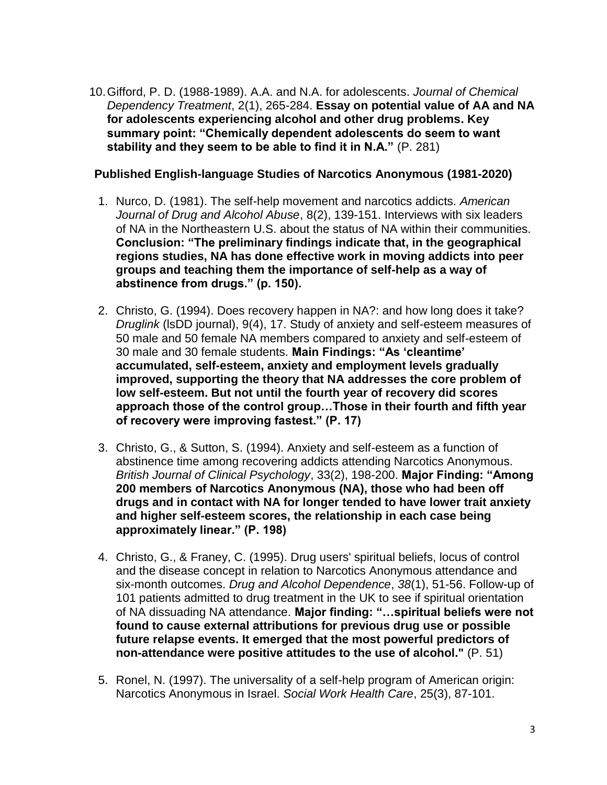10.Gifford, P. D. (1988-1989). A.A. and N.A. for adolescents. *Journal of Chemical Dependency Treatment*, 2(1), 265-284. **Essay on potential value of AA and NA for adolescents experiencing alcohol and other drug problems. Key summary point: "Chemically dependent adolescents do seem to want stability and they seem to be able to find it in N.A."** (P. 281)

## **Published English-language Studies of Narcotics Anonymous (1981-2020)**

- 1. Nurco, D. (1981). The self-help movement and narcotics addicts. *American Journal of Drug and Alcohol Abuse*, 8(2), 139-151. Interviews with six leaders of NA in the Northeastern U.S. about the status of NA within their communities. **Conclusion: "The preliminary findings indicate that, in the geographical regions studies, NA has done effective work in moving addicts into peer groups and teaching them the importance of self-help as a way of abstinence from drugs." (p. 150).**
- 2. Christo, G. (1994). Does recovery happen in NA?: and how long does it take? *Druglink* (lsDD journal), 9(4), 17. Study of anxiety and self-esteem measures of 50 male and 50 female NA members compared to anxiety and self-esteem of 30 male and 30 female students. **Main Findings: "As 'cleantime' accumulated, self-esteem, anxiety and employment levels gradually improved, supporting the theory that NA addresses the core problem of low self-esteem. But not until the fourth year of recovery did scores approach those of the control group…Those in their fourth and fifth year of recovery were improving fastest." (P. 17)**
- 3. Christo, G., & Sutton, S. (1994). Anxiety and self-esteem as a function of abstinence time among recovering addicts attending Narcotics Anonymous. *British Journal of Clinical Psychology*, 33(2), 198-200. **Major Finding: "Among 200 members of Narcotics Anonymous (NA), those who had been off drugs and in contact with NA for longer tended to have lower trait anxiety and higher self-esteem scores, the relationship in each case being approximately linear." (P. 198)**
- 4. Christo, G., & Franey, C. (1995). Drug users' spiritual beliefs, locus of control and the disease concept in relation to Narcotics Anonymous attendance and six-month outcomes. *Drug and Alcohol Dependence*, *38*(1), 51-56. Follow-up of 101 patients admitted to drug treatment in the UK to see if spiritual orientation of NA dissuading NA attendance. **Major finding: "…spiritual beliefs were not found to cause external attributions for previous drug use or possible future relapse events. It emerged that the most powerful predictors of non-attendance were positive attitudes to the use of alcohol."** (P. 51)
- 5. Ronel, N. (1997). The universality of a self-help program of American origin: Narcotics Anonymous in Israel. *Social Work Health Care*, 25(3), 87-101.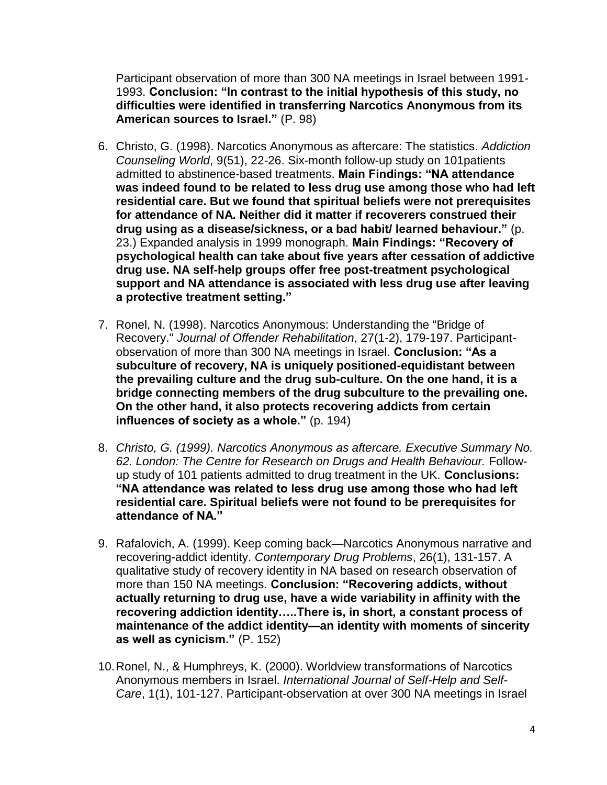Participant observation of more than 300 NA meetings in Israel between 1991- 1993. **Conclusion: "In contrast to the initial hypothesis of this study, no difficulties were identified in transferring Narcotics Anonymous from its American sources to Israel."** (P. 98)

- 6. Christo, G. (1998). Narcotics Anonymous as aftercare: The statistics. *Addiction Counseling World*, 9(51), 22-26. Six-month follow-up study on 101patients admitted to abstinence-based treatments. **Main Findings: "NA attendance was indeed found to be related to less drug use among those who had left residential care. But we found that spiritual beliefs were not prerequisites for attendance of NA. Neither did it matter if recoverers construed their drug using as a disease/sickness, or a bad habit/ learned behaviour."** (p. 23.) Expanded analysis in 1999 monograph. **Main Findings: "Recovery of psychological health can take about five years after cessation of addictive drug use. NA self-help groups offer free post-treatment psychological support and NA attendance is associated with less drug use after leaving a protective treatment setting."**
- 7. Ronel, N. (1998). Narcotics Anonymous: Understanding the "Bridge of Recovery." *Journal of Offender Rehabilitation*, 27(1-2), 179-197. Participantobservation of more than 300 NA meetings in Israel. **Conclusion: "As a subculture of recovery, NA is uniquely positioned-equidistant between the prevailing culture and the drug sub-culture. On the one hand, it is a bridge connecting members of the drug subculture to the prevailing one. On the other hand, it also protects recovering addicts from certain influences of society as a whole."** (p. 194)
- 8. *Christo, G. (1999). Narcotics Anonymous as aftercare. Executive Summary No. 62. London: The Centre for Research on Drugs and Health Behaviour.* Followup study of 101 patients admitted to drug treatment in the UK. **Conclusions: "NA attendance was related to less drug use among those who had left residential care. Spiritual beliefs were not found to be prerequisites for attendance of NA."**
- 9. Rafalovich, A. (1999). Keep coming back—Narcotics Anonymous narrative and recovering-addict identity. *Contemporary Drug Problems*, 26(1), 131-157. A qualitative study of recovery identity in NA based on research observation of more than 150 NA meetings. **Conclusion: "Recovering addicts, without actually returning to drug use, have a wide variability in affinity with the recovering addiction identity…..There is, in short, a constant process of maintenance of the addict identity—an identity with moments of sincerity as well as cynicism."** (P. 152)
- 10.Ronel, N., & Humphreys, K. (2000). Worldview transformations of Narcotics Anonymous members in Israel. *International Journal of Self-Help and Self-Care*, 1(1), 101-127. Participant-observation at over 300 NA meetings in Israel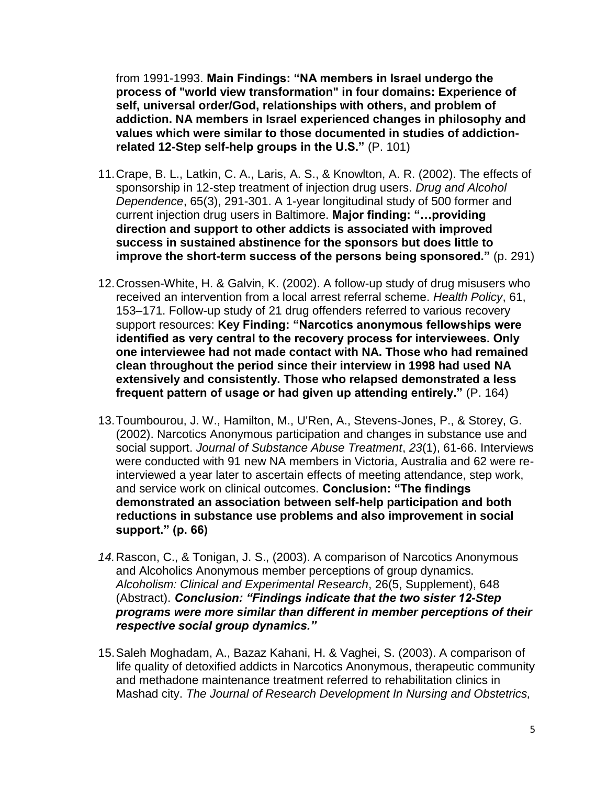from 1991-1993. **Main Findings: "NA members in Israel undergo the process of "world view transformation" in four domains: Experience of self, universal order/God, relationships with others, and problem of addiction. NA members in Israel experienced changes in philosophy and values which were similar to those documented in studies of addictionrelated 12-Step self-help groups in the U.S."** (P. 101)

- 11.Crape, B. L., Latkin, C. A., Laris, A. S., & Knowlton, A. R. (2002). The effects of sponsorship in 12-step treatment of injection drug users. *Drug and Alcohol Dependence*, 65(3), 291-301. A 1-year longitudinal study of 500 former and current injection drug users in Baltimore. **Major finding: "…providing direction and support to other addicts is associated with improved success in sustained abstinence for the sponsors but does little to improve the short-term success of the persons being sponsored."** (p. 291)
- 12.Crossen-White, H. & Galvin, K. (2002). A follow-up study of drug misusers who received an intervention from a local arrest referral scheme. *Health Policy*, 61, 153–171. Follow-up study of 21 drug offenders referred to various recovery support resources: **Key Finding: "Narcotics anonymous fellowships were identified as very central to the recovery process for interviewees. Only one interviewee had not made contact with NA. Those who had remained clean throughout the period since their interview in 1998 had used NA extensively and consistently. Those who relapsed demonstrated a less frequent pattern of usage or had given up attending entirely."** (P. 164)
- 13.Toumbourou, J. W., Hamilton, M., U'Ren, A., Stevens-Jones, P., & Storey, G. (2002). Narcotics Anonymous participation and changes in substance use and social support. *Journal of Substance Abuse Treatment*, *23*(1), 61-66. Interviews were conducted with 91 new NA members in Victoria, Australia and 62 were reinterviewed a year later to ascertain effects of meeting attendance, step work, and service work on clinical outcomes. **Conclusion: "The findings demonstrated an association between self-help participation and both reductions in substance use problems and also improvement in social support." (p. 66)**
- *14.*Rascon, C., & Tonigan, J. S., (2003). A comparison of Narcotics Anonymous and Alcoholics Anonymous member perceptions of group dynamics. *Alcoholism: Clinical and Experimental Research*, 26(5, Supplement), 648 (Abstract). *Conclusion: "Findings indicate that the two sister 12-Step programs were more similar than different in member perceptions of their respective social group dynamics."*
- 15.Saleh Moghadam, A., Bazaz Kahani, H. & Vaghei, S. (2003). A comparison of life quality of detoxified addicts in Narcotics Anonymous, therapeutic community and methadone maintenance treatment referred to rehabilitation clinics in Mashad city. *The Journal of Research Development In Nursing and Obstetrics,*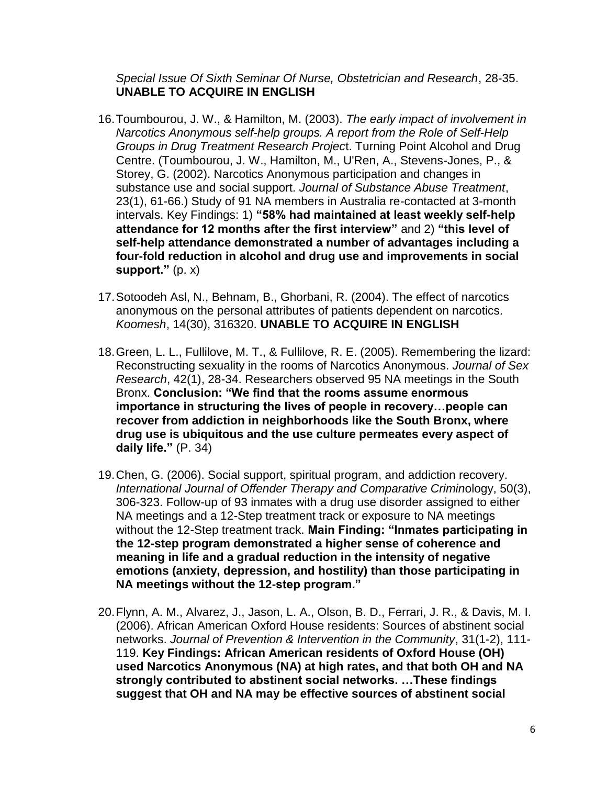*Special Issue Of Sixth Seminar Of Nurse, Obstetrician and Research*, 28-35. **UNABLE TO ACQUIRE IN ENGLISH**

- 16.Toumbourou, J. W., & Hamilton, M. (2003). *The early impact of involvement in Narcotics Anonymous self-help groups. A report from the Role of Self-Help Groups in Drug Treatment Research Projec*t. Turning Point Alcohol and Drug Centre. (Toumbourou, J. W., Hamilton, M., U'Ren, A., Stevens-Jones, P., & Storey, G. (2002). Narcotics Anonymous participation and changes in substance use and social support. *Journal of Substance Abuse Treatment*, 23(1), 61-66.) Study of 91 NA members in Australia re-contacted at 3-month intervals. Key Findings: 1) **"58% had maintained at least weekly self-help attendance for 12 months after the first interview"** and 2) **"this level of self-help attendance demonstrated a number of advantages including a four-fold reduction in alcohol and drug use and improvements in social support."** (p. x)
- 17.Sotoodeh Asl, N., Behnam, B., Ghorbani, R. (2004). The effect of narcotics anonymous on the personal attributes of patients dependent on narcotics*. Koomesh*, 14(30), 316320. **UNABLE TO ACQUIRE IN ENGLISH**
- 18.Green, L. L., Fullilove, M. T., & Fullilove, R. E. (2005). Remembering the lizard: Reconstructing sexuality in the rooms of Narcotics Anonymous. *Journal of Sex Research*, 42(1), 28-34. Researchers observed 95 NA meetings in the South Bronx. **Conclusion: "We find that the rooms assume enormous importance in structuring the lives of people in recovery…people can recover from addiction in neighborhoods like the South Bronx, where drug use is ubiquitous and the use culture permeates every aspect of daily life."** (P. 34)
- 19.Chen, G. (2006). Social support, spiritual program, and addiction recovery. *International Journal of Offender Therapy and Comparative Crimin*ology, 50(3), 306-323. Follow-up of 93 inmates with a drug use disorder assigned to either NA meetings and a 12-Step treatment track or exposure to NA meetings without the 12-Step treatment track. **Main Finding: "Inmates participating in the 12-step program demonstrated a higher sense of coherence and meaning in life and a gradual reduction in the intensity of negative emotions (anxiety, depression, and hostility) than those participating in NA meetings without the 12-step program."**
- 20.Flynn, A. M., Alvarez, J., Jason, L. A., Olson, B. D., Ferrari, J. R., & Davis, M. I. (2006). African American Oxford House residents: Sources of abstinent social networks. *Journal of Prevention & Intervention in the Community*, 31(1-2), 111- 119. **Key Findings: African American residents of Oxford House (OH) used Narcotics Anonymous (NA) at high rates, and that both OH and NA strongly contributed to abstinent social networks. …These findings suggest that OH and NA may be effective sources of abstinent social**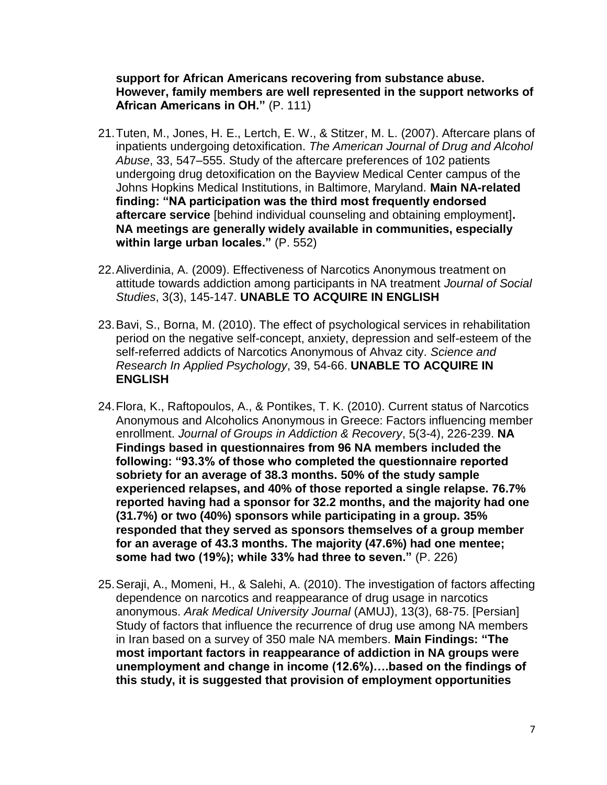**support for African Americans recovering from substance abuse. However, family members are well represented in the support networks of African Americans in OH."** (P. 111)

- 21.Tuten, M., Jones, H. E., Lertch, E. W., & Stitzer, M. L. (2007). Aftercare plans of inpatients undergoing detoxification. *The American Journal of Drug and Alcohol Abuse*, 33, 547–555. Study of the aftercare preferences of 102 patients undergoing drug detoxification on the Bayview Medical Center campus of the Johns Hopkins Medical Institutions, in Baltimore, Maryland. **Main NA-related finding: "NA participation was the third most frequently endorsed aftercare service** [behind individual counseling and obtaining employment]**. NA meetings are generally widely available in communities, especially within large urban locales."** (P. 552)
- 22.Aliverdinia, A. (2009). Effectiveness of Narcotics Anonymous treatment on attitude towards addiction among participants in NA treatment *Journal of Social Studies*, 3(3), 145-147. **UNABLE TO ACQUIRE IN ENGLISH**
- 23.Bavi, S., Borna, M. (2010). The effect of psychological services in rehabilitation period on the negative self-concept, anxiety, depression and self-esteem of the self-referred addicts of Narcotics Anonymous of Ahvaz city. *Science and Research In Applied Psychology*, 39, 54-66. **UNABLE TO ACQUIRE IN ENGLISH**
- 24.Flora, K., Raftopoulos, A., & Pontikes, T. K. (2010). Current status of Narcotics Anonymous and Alcoholics Anonymous in Greece: Factors influencing member enrollment. *Journal of Groups in Addiction & Recovery*, 5(3-4), 226-239. **NA Findings based in questionnaires from 96 NA members included the following: "93.3% of those who completed the questionnaire reported sobriety for an average of 38.3 months. 50% of the study sample experienced relapses, and 40% of those reported a single relapse. 76.7% reported having had a sponsor for 32.2 months, and the majority had one (31.7%) or two (40%) sponsors while participating in a group. 35% responded that they served as sponsors themselves of a group member for an average of 43.3 months. The majority (47.6%) had one mentee; some had two (19%); while 33% had three to seven."** (P. 226)
- 25.Seraji, A., Momeni, H., & Salehi, A. (2010). The investigation of factors affecting dependence on narcotics and reappearance of drug usage in narcotics anonymous. *Arak Medical University Journal* (AMUJ), 13(3), 68-75. [Persian] Study of factors that influence the recurrence of drug use among NA members in Iran based on a survey of 350 male NA members. **Main Findings: "The most important factors in reappearance of addiction in NA groups were unemployment and change in income (12.6%)….based on the findings of this study, it is suggested that provision of employment opportunities**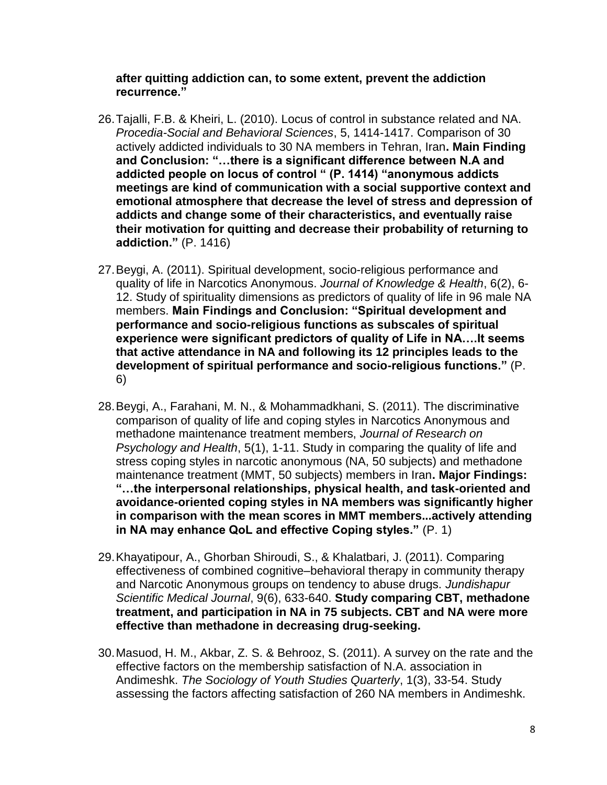**after quitting addiction can, to some extent, prevent the addiction recurrence."** 

- 26.Tajalli, F.B. & Kheiri, L. (2010). Locus of control in substance related and NA. *Procedia-Social and Behavioral Sciences*, 5, 1414-1417. Comparison of 30 actively addicted individuals to 30 NA members in Tehran, Iran**. Main Finding and Conclusion: "…there is a significant difference between N.A and addicted people on locus of control " (P. 1414) "anonymous addicts meetings are kind of communication with a social supportive context and emotional atmosphere that decrease the level of stress and depression of addicts and change some of their characteristics, and eventually raise their motivation for quitting and decrease their probability of returning to addiction."** (P. 1416)
- 27.Beygi, A. (2011). Spiritual development, socio-religious performance and quality of life in Narcotics Anonymous. *Journal of Knowledge & Health*, 6(2), 6- 12. Study of spirituality dimensions as predictors of quality of life in 96 male NA members. **Main Findings and Conclusion: "Spiritual development and performance and socio-religious functions as subscales of spiritual experience were significant predictors of quality of Life in NA….It seems that active attendance in NA and following its 12 principles leads to the development of spiritual performance and socio-religious functions."** (P. 6)
- 28.Beygi, A., Farahani, M. N., & Mohammadkhani, S. (2011). The discriminative comparison of quality of life and coping styles in Narcotics Anonymous and methadone maintenance treatment members, *Journal of Research on Psychology and Health*, 5(1), 1-11. Study in comparing the quality of life and stress coping styles in narcotic anonymous (NA, 50 subjects) and methadone maintenance treatment (MMT, 50 subjects) members in Iran**. Major Findings: "…the interpersonal relationships, physical health, and task-oriented and avoidance-oriented coping styles in NA members was significantly higher in comparison with the mean scores in MMT members...actively attending in NA may enhance QoL and effective Coping styles."** (P. 1)
- 29.Khayatipour, A., Ghorban Shiroudi, S., & Khalatbari, J. (2011). Comparing effectiveness of combined cognitive–behavioral therapy in community therapy and Narcotic Anonymous groups on tendency to abuse drugs. *Jundishapur Scientific Medical Journal*, 9(6), 633-640. **Study comparing CBT, methadone treatment, and participation in NA in 75 subjects. CBT and NA were more effective than methadone in decreasing drug-seeking.**
- 30.Masuod, H. M., Akbar, Z. S. & Behrooz, S. (2011). A survey on the rate and the effective factors on the membership satisfaction of N.A. association in Andimeshk. *The Sociology of Youth Studies Quarterly*, 1(3), 33-54. Study assessing the factors affecting satisfaction of 260 NA members in Andimeshk.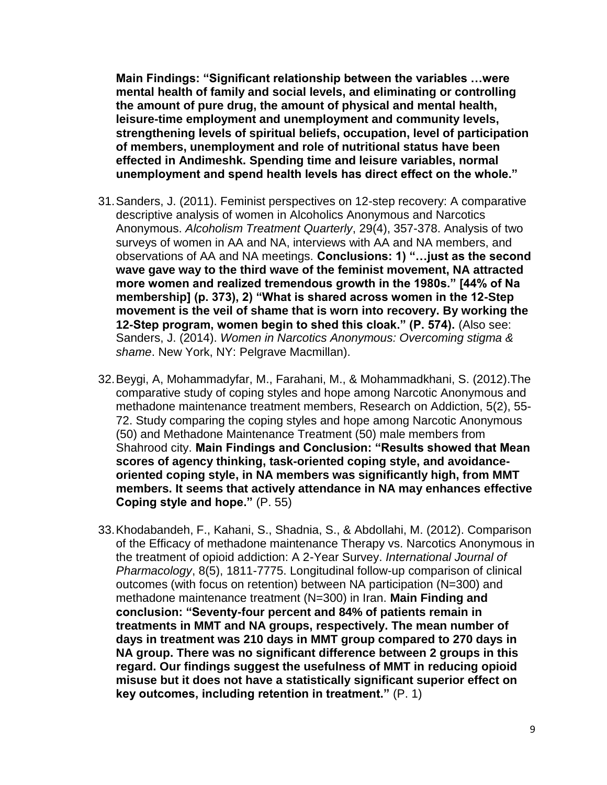**Main Findings: "Significant relationship between the variables …were mental health of family and social levels, and eliminating or controlling the amount of pure drug, the amount of physical and mental health, leisure-time employment and unemployment and community levels, strengthening levels of spiritual beliefs, occupation, level of participation of members, unemployment and role of nutritional status have been effected in Andimeshk. Spending time and leisure variables, normal unemployment and spend health levels has direct effect on the whole."**

- 31.Sanders, J. (2011). Feminist perspectives on 12-step recovery: A comparative descriptive analysis of women in Alcoholics Anonymous and Narcotics Anonymous. *Alcoholism Treatment Quarterly*, 29(4), 357-378. Analysis of two surveys of women in AA and NA, interviews with AA and NA members, and observations of AA and NA meetings. **Conclusions: 1) "…just as the second wave gave way to the third wave of the feminist movement, NA attracted more women and realized tremendous growth in the 1980s." [44% of Na membership] (p. 373), 2) "What is shared across women in the 12-Step movement is the veil of shame that is worn into recovery. By working the 12-Step program, women begin to shed this cloak." (P. 574).** (Also see: Sanders, J. (2014). *Women in Narcotics Anonymous: Overcoming stigma & shame*. New York, NY: Pelgrave Macmillan).
- 32.Beygi, A, Mohammadyfar, M., Farahani, M., & Mohammadkhani, S. (2012).The comparative study of coping styles and hope among Narcotic Anonymous and methadone maintenance treatment members, Research on Addiction, 5(2), 55- 72. Study comparing the coping styles and hope among Narcotic Anonymous (50) and Methadone Maintenance Treatment (50) male members from Shahrood city. **Main Findings and Conclusion: "Results showed that Mean scores of agency thinking, task-oriented coping style, and avoidanceoriented coping style, in NA members was significantly high, from MMT members. It seems that actively attendance in NA may enhances effective Coping style and hope."** (P. 55)
- 33.Khodabandeh, F., Kahani, S., Shadnia, S., & Abdollahi, M. (2012). Comparison of the Efficacy of methadone maintenance Therapy vs. Narcotics Anonymous in the treatment of opioid addiction: A 2-Year Survey. *International Journal of Pharmacology*, 8(5), 1811-7775. Longitudinal follow-up comparison of clinical outcomes (with focus on retention) between NA participation (N=300) and methadone maintenance treatment (N=300) in Iran. **Main Finding and conclusion: "Seventy-four percent and 84% of patients remain in treatments in MMT and NA groups, respectively. The mean number of days in treatment was 210 days in MMT group compared to 270 days in NA group. There was no significant difference between 2 groups in this regard. Our findings suggest the usefulness of MMT in reducing opioid misuse but it does not have a statistically significant superior effect on key outcomes, including retention in treatment."** (P. 1)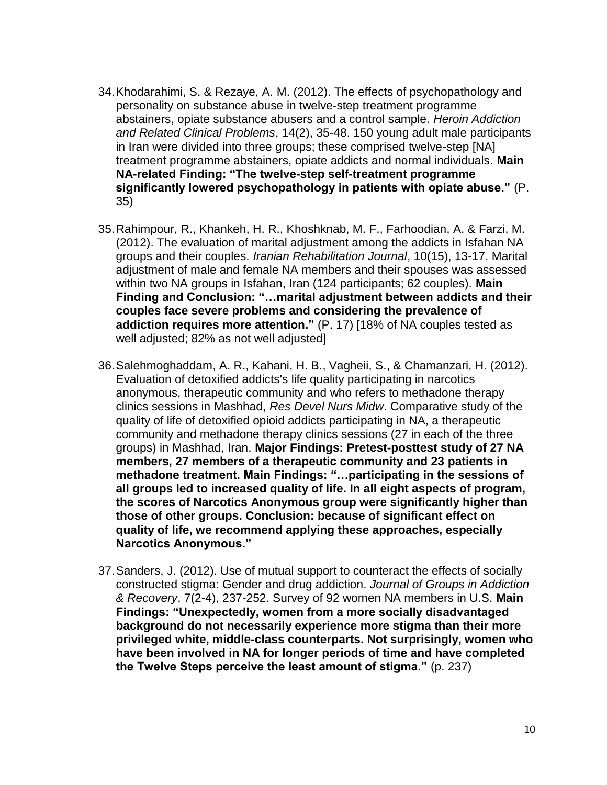- 34.Khodarahimi, S. & Rezaye, A. M. (2012). The effects of psychopathology and personality on substance abuse in twelve-step treatment programme abstainers, opiate substance abusers and a control sample. *Heroin Addiction and Related Clinical Problems*, 14(2), 35-48. 150 young adult male participants in Iran were divided into three groups; these comprised twelve-step [NA] treatment programme abstainers, opiate addicts and normal individuals. **Main NA-related Finding: "The twelve-step self-treatment programme significantly lowered psychopathology in patients with opiate abuse."** (P. 35)
- 35.Rahimpour, R., Khankeh, H. R., Khoshknab, M. F., Farhoodian, A. & Farzi, M. (2012). The evaluation of marital adjustment among the addicts in Isfahan NA groups and their couples. *Iranian Rehabilitation Journal*, 10(15), 13-17. Marital adjustment of male and female NA members and their spouses was assessed within two NA groups in Isfahan, Iran (124 participants; 62 couples). **Main Finding and Conclusion: "…marital adjustment between addicts and their couples face severe problems and considering the prevalence of addiction requires more attention."** (P. 17) [18% of NA couples tested as well adjusted; 82% as not well adjusted]
- 36.Salehmoghaddam, A. R., Kahani, H. B., Vagheii, S., & Chamanzari, H. (2012). Evaluation of detoxified addicts's life quality participating in narcotics anonymous, therapeutic community and who refers to methadone therapy clinics sessions in Mashhad, *Res Devel Nurs Midw*. Comparative study of the quality of life of detoxified opioid addicts participating in NA, a therapeutic community and methadone therapy clinics sessions (27 in each of the three groups) in Mashhad, Iran. **Major Findings: Pretest-posttest study of 27 NA members, 27 members of a therapeutic community and 23 patients in methadone treatment. Main Findings: "…participating in the sessions of all groups led to increased quality of life. In all eight aspects of program, the scores of Narcotics Anonymous group were significantly higher than those of other groups. Conclusion: because of significant effect on quality of life, we recommend applying these approaches, especially Narcotics Anonymous."**
- 37.Sanders, J. (2012). Use of mutual support to counteract the effects of socially constructed stigma: Gender and drug addiction. *Journal of Groups in Addiction & Recovery*, 7(2-4), 237-252. Survey of 92 women NA members in U.S. **Main Findings: "Unexpectedly, women from a more socially disadvantaged background do not necessarily experience more stigma than their more privileged white, middle-class counterparts. Not surprisingly, women who have been involved in NA for longer periods of time and have completed the Twelve Steps perceive the least amount of stigma."** (p. 237)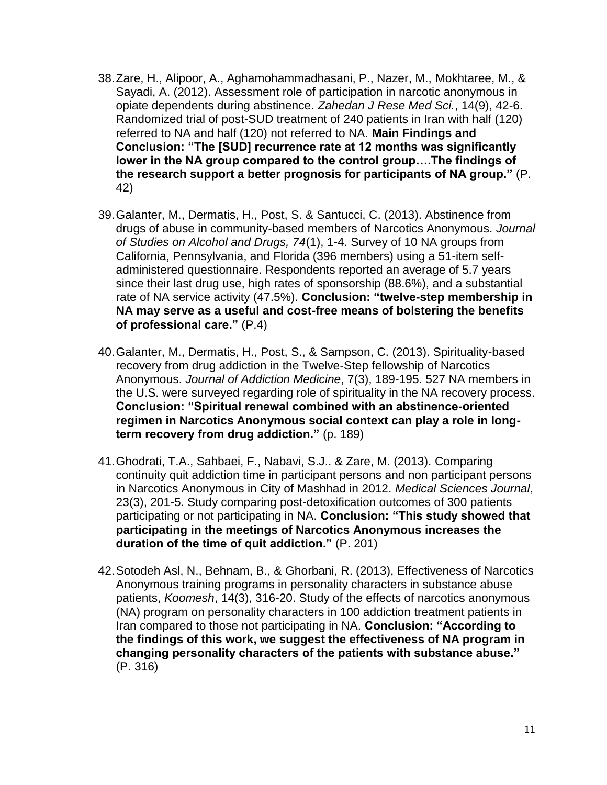- 38.Zare, H., Alipoor, A., Aghamohammadhasani, P., Nazer, M., Mokhtaree, M., & Sayadi, A. (2012). Assessment role of participation in narcotic anonymous in opiate dependents during abstinence. *Zahedan J Rese Med Sci.*, 14(9), 42-6. Randomized trial of post-SUD treatment of 240 patients in Iran with half (120) referred to NA and half (120) not referred to NA. **Main Findings and Conclusion: "The [SUD] recurrence rate at 12 months was significantly lower in the NA group compared to the control group….The findings of the research support a better prognosis for participants of NA group."** (P. 42)
- 39.Galanter, M., Dermatis, H., Post, S. & Santucci, C. (2013). Abstinence from drugs of abuse in community-based members of Narcotics Anonymous. *Journal of Studies on Alcohol and Drugs, 74*(1), 1-4. Survey of 10 NA groups from California, Pennsylvania, and Florida (396 members) using a 51-item selfadministered questionnaire. Respondents reported an average of 5.7 years since their last drug use, high rates of sponsorship (88.6%), and a substantial rate of NA service activity (47.5%). **Conclusion: "twelve-step membership in NA may serve as a useful and cost-free means of bolstering the benefits of professional care."** (P.4)
- 40.Galanter, M., Dermatis, H., Post, S., & Sampson, C. (2013). Spirituality-based recovery from drug addiction in the Twelve-Step fellowship of Narcotics Anonymous. *Journal of Addiction Medicine*, 7(3), 189-195. 527 NA members in the U.S. were surveyed regarding role of spirituality in the NA recovery process. **Conclusion: "Spiritual renewal combined with an abstinence-oriented regimen in Narcotics Anonymous social context can play a role in longterm recovery from drug addiction."** (p. 189)
- 41.Ghodrati, T.A., Sahbaei, F., Nabavi, S.J.. & Zare, M. (2013). Comparing continuity quit addiction time in participant persons and non participant persons in Narcotics Anonymous in City of Mashhad in 2012. *Medical Sciences Journal*, 23(3), 201-5. Study comparing post-detoxification outcomes of 300 patients participating or not participating in NA. **Conclusion: "This study showed that participating in the meetings of Narcotics Anonymous increases the duration of the time of quit addiction."** (P. 201)
- 42.Sotodeh Asl, N., Behnam, B., & Ghorbani, R. (2013), Effectiveness of Narcotics Anonymous training programs in personality characters in substance abuse patients, *Koomesh*, 14(3), 316-20. Study of the effects of narcotics anonymous (NA) program on personality characters in 100 addiction treatment patients in Iran compared to those not participating in NA. **Conclusion: "According to the findings of this work, we suggest the effectiveness of NA program in changing personality characters of the patients with substance abuse."** (P. 316)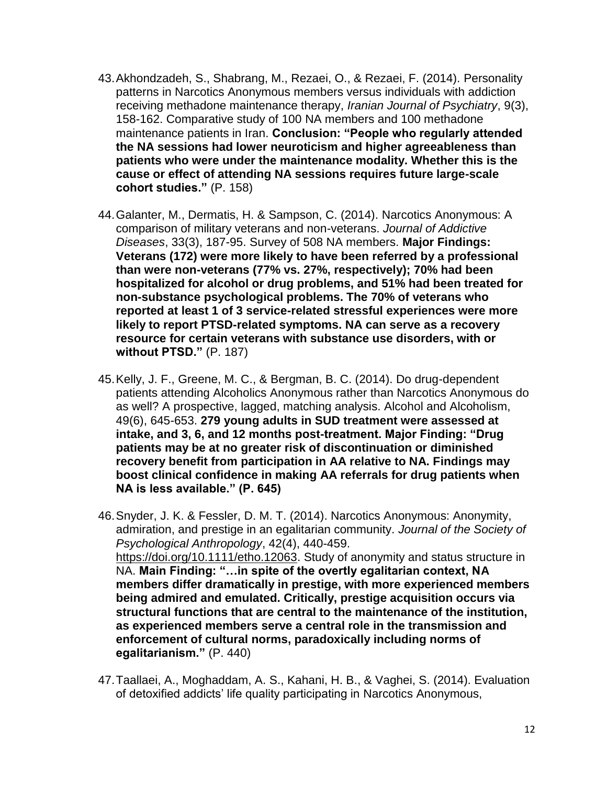- 43.Akhondzadeh, S., Shabrang, M., Rezaei, O., & Rezaei, F. (2014). Personality patterns in Narcotics Anonymous members versus individuals with addiction receiving methadone maintenance therapy, *Iranian Journal of Psychiatry*, 9(3), 158-162. Comparative study of 100 NA members and 100 methadone maintenance patients in Iran. **Conclusion: "People who regularly attended the NA sessions had lower neuroticism and higher agreeableness than patients who were under the maintenance modality. Whether this is the cause or effect of attending NA sessions requires future large-scale cohort studies."** (P. 158)
- 44.Galanter, M., Dermatis, H. & Sampson, C. (2014). Narcotics Anonymous: A comparison of military veterans and non-veterans. *Journal of Addictive Diseases*, 33(3), 187-95. Survey of 508 NA members. **Major Findings: Veterans (172) were more likely to have been referred by a professional than were non-veterans (77% vs. 27%, respectively); 70% had been hospitalized for alcohol or drug problems, and 51% had been treated for non-substance psychological problems. The 70% of veterans who reported at least 1 of 3 service-related stressful experiences were more likely to report PTSD-related symptoms. NA can serve as a recovery resource for certain veterans with substance use disorders, with or without PTSD."** (P. 187)
- 45.Kelly, J. F., Greene, M. C., & Bergman, B. C. (2014). Do drug-dependent patients attending Alcoholics Anonymous rather than Narcotics Anonymous do as well? A prospective, lagged, matching analysis. Alcohol and Alcoholism, 49(6), 645-653. **279 young adults in SUD treatment were assessed at intake, and 3, 6, and 12 months post-treatment. Major Finding: "Drug patients may be at no greater risk of discontinuation or diminished recovery benefit from participation in AA relative to NA. Findings may boost clinical confidence in making AA referrals for drug patients when NA is less available." (P. 645)**
- 46.Snyder, J. K. & Fessler, D. M. T. (2014). Narcotics Anonymous: Anonymity, admiration, and prestige in an egalitarian community. *Journal of the Society of Psychological Anthropology*, 42(4), 440-459. [https://doi.org/10.1111/etho.12063.](https://doi.org/10.1111/etho.12063) Study of anonymity and status structure in NA. **Main Finding: "…in spite of the overtly egalitarian context, NA members differ dramatically in prestige, with more experienced members being admired and emulated. Critically, prestige acquisition occurs via structural functions that are central to the maintenance of the institution, as experienced members serve a central role in the transmission and enforcement of cultural norms, paradoxically including norms of egalitarianism."** (P. 440)
- 47.Taallaei, A., Moghaddam, A. S., Kahani, H. B., & Vaghei, S. (2014). Evaluation of detoxified addicts' life quality participating in Narcotics Anonymous,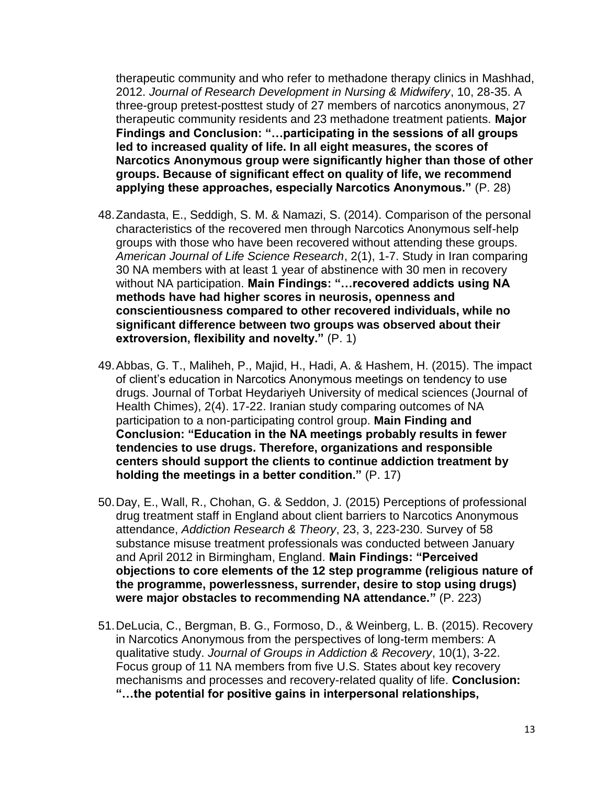therapeutic community and who refer to methadone therapy clinics in Mashhad, 2012. *Journal of Research Development in Nursing & Midwifery*, 10, 28-35. A three-group pretest-posttest study of 27 members of narcotics anonymous, 27 therapeutic community residents and 23 methadone treatment patients. **Major Findings and Conclusion: "…participating in the sessions of all groups led to increased quality of life. In all eight measures, the scores of Narcotics Anonymous group were significantly higher than those of other groups. Because of significant effect on quality of life, we recommend applying these approaches, especially Narcotics Anonymous."** (P. 28)

- 48.Zandasta, E., Seddigh, S. M. & Namazi, S. (2014). Comparison of the personal characteristics of the recovered men through Narcotics Anonymous self-help groups with those who have been recovered without attending these groups. *American Journal of Life Science Research*, 2(1), 1-7. Study in Iran comparing 30 NA members with at least 1 year of abstinence with 30 men in recovery without NA participation. **Main Findings: "…recovered addicts using NA methods have had higher scores in neurosis, openness and conscientiousness compared to other recovered individuals, while no significant difference between two groups was observed about their extroversion, flexibility and novelty."** (P. 1)
- 49.Abbas, G. T., Maliheh, P., Majid, H., Hadi, A. & Hashem, H. (2015). The impact of client's education in Narcotics Anonymous meetings on tendency to use drugs. Journal of Torbat Heydariyeh University of medical sciences (Journal of Health Chimes), 2(4). 17-22. Iranian study comparing outcomes of NA participation to a non-participating control group. **Main Finding and Conclusion: "Education in the NA meetings probably results in fewer tendencies to use drugs. Therefore, organizations and responsible centers should support the clients to continue addiction treatment by holding the meetings in a better condition."** (P. 17)
- 50.Day, E., Wall, R., Chohan, G. & Seddon, J. (2015) Perceptions of professional drug treatment staff in England about client barriers to Narcotics Anonymous attendance, *Addiction Research & Theory*, 23, 3, 223-230. Survey of 58 substance misuse treatment professionals was conducted between January and April 2012 in Birmingham, England. **Main Findings: "Perceived objections to core elements of the 12 step programme (religious nature of the programme, powerlessness, surrender, desire to stop using drugs) were major obstacles to recommending NA attendance."** (P. 223)
- 51.DeLucia, C., Bergman, B. G., Formoso, D., & Weinberg, L. B. (2015). Recovery in Narcotics Anonymous from the perspectives of long-term members: A qualitative study. *Journal of Groups in Addiction & Recovery*, 10(1), 3-22. Focus group of 11 NA members from five U.S. States about key recovery mechanisms and processes and recovery-related quality of life. **Conclusion: "…the potential for positive gains in interpersonal relationships,**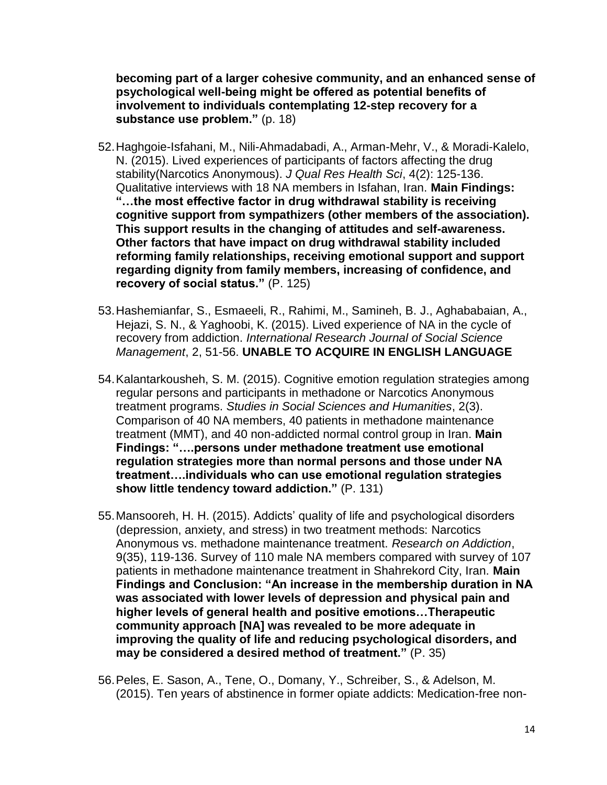**becoming part of a larger cohesive community, and an enhanced sense of psychological well-being might be offered as potential benefits of involvement to individuals contemplating 12-step recovery for a substance use problem."** (p. 18)

- 52.Haghgoie-Isfahani, M., Nili-Ahmadabadi, A., Arman-Mehr, V., & Moradi-Kalelo, N. (2015). Lived experiences of participants of factors affecting the drug stability(Narcotics Anonymous). *J Qual Res Health Sci*, 4(2): 125-136. Qualitative interviews with 18 NA members in Isfahan, Iran. **Main Findings: "…the most effective factor in drug withdrawal stability is receiving cognitive support from sympathizers (other members of the association). This support results in the changing of attitudes and self-awareness. Other factors that have impact on drug withdrawal stability included reforming family relationships, receiving emotional support and support regarding dignity from family members, increasing of confidence, and recovery of social status."** (P. 125)
- 53.Hashemianfar, S., Esmaeeli, R., Rahimi, M., Samineh, B. J., Aghababaian, A., Hejazi, S. N., & Yaghoobi, K. (2015). Lived experience of NA in the cycle of recovery from addiction. *International Research Journal of Social Science Management*, 2, 51-56. **UNABLE TO ACQUIRE IN ENGLISH LANGUAGE**
- 54.Kalantarkousheh, S. M. (2015). Cognitive emotion regulation strategies among regular persons and participants in methadone or Narcotics Anonymous treatment programs. *Studies in Social Sciences and Humanities*, 2(3). Comparison of 40 NA members, 40 patients in methadone maintenance treatment (MMT), and 40 non-addicted normal control group in Iran. **Main Findings: "….persons under methadone treatment use emotional regulation strategies more than normal persons and those under NA treatment….individuals who can use emotional regulation strategies show little tendency toward addiction."** (P. 131)
- 55.Mansooreh, H. H. (2015). Addicts' quality of life and psychological disorders (depression, anxiety, and stress) in two treatment methods: Narcotics Anonymous vs. methadone maintenance treatment. *Research on Addiction*, 9(35), 119-136. Survey of 110 male NA members compared with survey of 107 patients in methadone maintenance treatment in Shahrekord City, Iran. **Main Findings and Conclusion: "An increase in the membership duration in NA was associated with lower levels of depression and physical pain and higher levels of general health and positive emotions…Therapeutic community approach [NA] was revealed to be more adequate in improving the quality of life and reducing psychological disorders, and may be considered a desired method of treatment."** (P. 35)
- 56.Peles, E. Sason, A., Tene, O., Domany, Y., Schreiber, S., & Adelson, M. (2015). Ten years of abstinence in former opiate addicts: Medication-free non-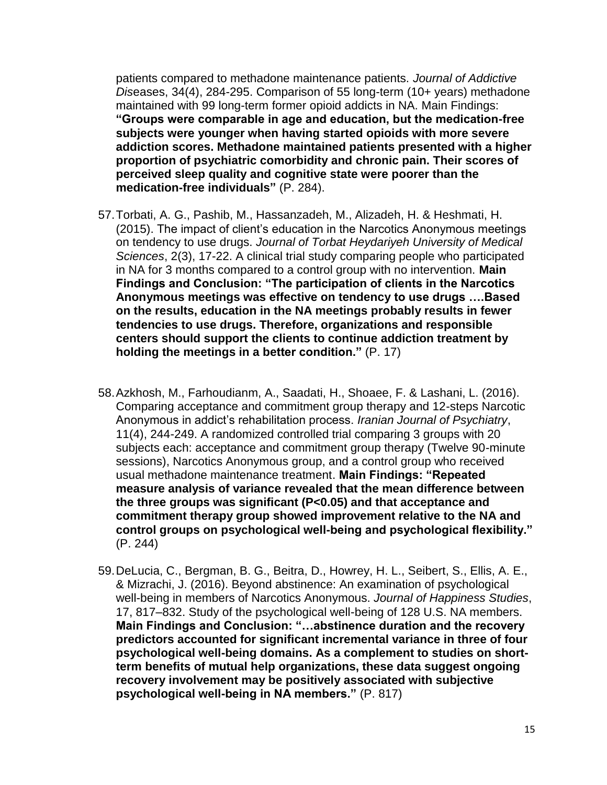patients compared to methadone maintenance patients. *Journal of Addictive Dis*eases, 34(4), 284-295. Comparison of 55 long-term (10+ years) methadone maintained with 99 long-term former opioid addicts in NA. Main Findings: **"Groups were comparable in age and education, but the medication-free subjects were younger when having started opioids with more severe addiction scores. Methadone maintained patients presented with a higher proportion of psychiatric comorbidity and chronic pain. Their scores of perceived sleep quality and cognitive state were poorer than the medication-free individuals"** (P. 284).

- 57.Torbati, A. G., Pashib, M., Hassanzadeh, M., Alizadeh, H. & Heshmati, H. (2015). The impact of client's education in the Narcotics Anonymous meetings on tendency to use drugs. *Journal of Torbat Heydariyeh University of Medical Sciences*, 2(3), 17-22. A clinical trial study comparing people who participated in NA for 3 months compared to a control group with no intervention. **Main Findings and Conclusion: "The participation of clients in the Narcotics Anonymous meetings was effective on tendency to use drugs ….Based on the results, education in the NA meetings probably results in fewer tendencies to use drugs. Therefore, organizations and responsible centers should support the clients to continue addiction treatment by holding the meetings in a better condition."** (P. 17)
- 58.Azkhosh, M., Farhoudianm, A., Saadati, H., Shoaee, F. & Lashani, L. (2016). Comparing acceptance and commitment group therapy and 12-steps Narcotic Anonymous in addict's rehabilitation process. *Iranian Journal of Psychiatry*, 11(4), 244-249. A randomized controlled trial comparing 3 groups with 20 subjects each: acceptance and commitment group therapy (Twelve 90-minute sessions), Narcotics Anonymous group, and a control group who received usual methadone maintenance treatment. **Main Findings: "Repeated measure analysis of variance revealed that the mean difference between the three groups was significant (P<0.05) and that acceptance and commitment therapy group showed improvement relative to the NA and control groups on psychological well-being and psychological flexibility."**  (P. 244)
- 59.DeLucia, C., Bergman, B. G., Beitra, D., Howrey, H. L., Seibert, S., Ellis, A. E., & Mizrachi, J. (2016). Beyond abstinence: An examination of psychological well-being in members of Narcotics Anonymous. *Journal of Happiness Studies*, 17, 817–832. Study of the psychological well-being of 128 U.S. NA members. **Main Findings and Conclusion: "…abstinence duration and the recovery predictors accounted for significant incremental variance in three of four psychological well-being domains. As a complement to studies on shortterm benefits of mutual help organizations, these data suggest ongoing recovery involvement may be positively associated with subjective psychological well-being in NA members."** (P. 817)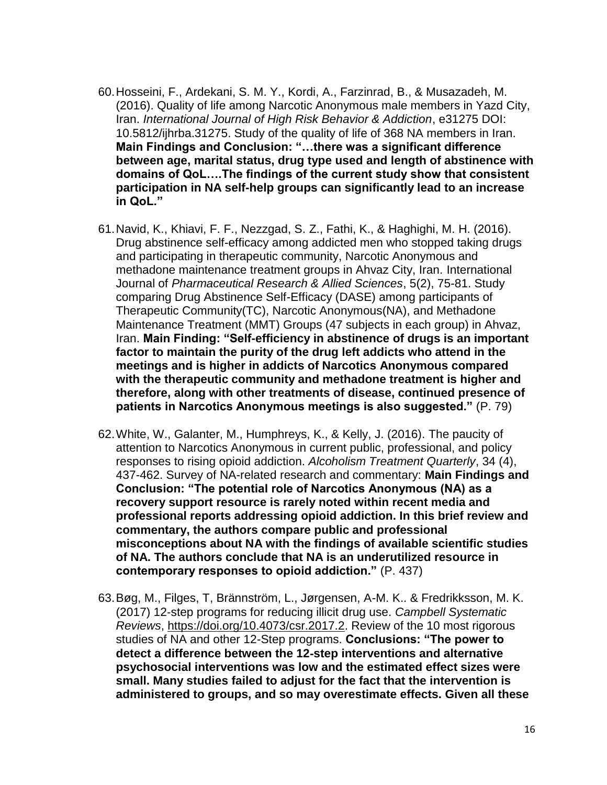- 60.Hosseini, F., Ardekani, S. M. Y., Kordi, A., Farzinrad, B., & Musazadeh, M. (2016). Quality of life among Narcotic Anonymous male members in Yazd City, Iran. *International Journal of High Risk Behavior & Addiction*, e31275 DOI: 10.5812/ijhrba.31275. Study of the quality of life of 368 NA members in Iran. **Main Findings and Conclusion: "…there was a significant difference between age, marital status, drug type used and length of abstinence with domains of QoL….The findings of the current study show that consistent participation in NA self-help groups can significantly lead to an increase in QoL."**
- 61.Navid, K., Khiavi, F. F., Nezzgad, S. Z., Fathi, K., & Haghighi, M. H. (2016). Drug abstinence self-efficacy among addicted men who stopped taking drugs and participating in therapeutic community, Narcotic Anonymous and methadone maintenance treatment groups in Ahvaz City, Iran. International Journal of *Pharmaceutical Research & Allied Sciences*, 5(2), 75-81. Study comparing Drug Abstinence Self-Efficacy (DASE) among participants of Therapeutic Community(TC), Narcotic Anonymous(NA), and Methadone Maintenance Treatment (MMT) Groups (47 subjects in each group) in Ahvaz, Iran. **Main Finding: "Self-efficiency in abstinence of drugs is an important factor to maintain the purity of the drug left addicts who attend in the meetings and is higher in addicts of Narcotics Anonymous compared with the therapeutic community and methadone treatment is higher and therefore, along with other treatments of disease, continued presence of patients in Narcotics Anonymous meetings is also suggested."** (P. 79)
- 62.White, W., Galanter, M., Humphreys, K., & Kelly, J. (2016). The paucity of attention to Narcotics Anonymous in current public, professional, and policy responses to rising opioid addiction. *Alcoholism Treatment Quarterly*, 34 (4), 437-462. Survey of NA-related research and commentary: **Main Findings and Conclusion: "The potential role of Narcotics Anonymous (NA) as a recovery support resource is rarely noted within recent media and professional reports addressing opioid addiction. In this brief review and commentary, the authors compare public and professional misconceptions about NA with the findings of available scientific studies of NA. The authors conclude that NA is an underutilized resource in contemporary responses to opioid addiction."** (P. 437)
- 63.Bøg, M., Filges, T, Brännström, L., Jørgensen, A-M. K.. & Fredrikksson, M. K. (2017) 12‐step programs for reducing illicit drug use. *Campbell Systematic Reviews*, [https://doi.org/10.4073/csr.2017.2.](https://doi.org/10.4073/csr.2017.2) Review of the 10 most rigorous studies of NA and other 12-Step programs. **Conclusions: "The power to detect a difference between the 12**‐**step interventions and alternative psychosocial interventions was low and the estimated effect sizes were small. Many studies failed to adjust for the fact that the intervention is administered to groups, and so may overestimate effects. Given all these**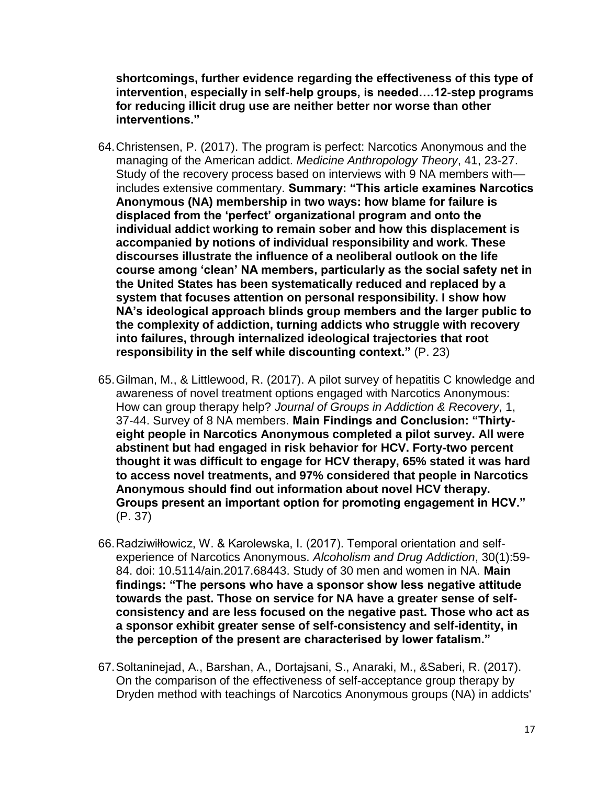**shortcomings, further evidence regarding the effectiveness of this type of intervention, especially in self**‐**help groups, is needed….12**‐**step programs for reducing illicit drug use are neither better nor worse than other interventions."**

- 64.Christensen, P. (2017). The program is perfect: Narcotics Anonymous and the managing of the American addict. *Medicine Anthropology Theory*, 41, 23-27. Study of the recovery process based on interviews with 9 NA members with includes extensive commentary. **Summary: "This article examines Narcotics Anonymous (NA) membership in two ways: how blame for failure is displaced from the 'perfect' organizational program and onto the individual addict working to remain sober and how this displacement is accompanied by notions of individual responsibility and work. These discourses illustrate the influence of a neoliberal outlook on the life course among 'clean' NA members, particularly as the social safety net in the United States has been systematically reduced and replaced by a system that focuses attention on personal responsibility. I show how NA's ideological approach blinds group members and the larger public to the complexity of addiction, turning addicts who struggle with recovery into failures, through internalized ideological trajectories that root responsibility in the self while discounting context."** (P. 23)
- 65.Gilman, M., & Littlewood, R. (2017). A pilot survey of hepatitis C knowledge and awareness of novel treatment options engaged with Narcotics Anonymous: How can group therapy help? *Journal of Groups in Addiction & Recovery*, 1, 37-44. Survey of 8 NA members. **Main Findings and Conclusion: "Thirtyeight people in Narcotics Anonymous completed a pilot survey. All were abstinent but had engaged in risk behavior for HCV. Forty-two percent thought it was difficult to engage for HCV therapy, 65% stated it was hard to access novel treatments, and 97% considered that people in Narcotics Anonymous should find out information about novel HCV therapy. Groups present an important option for promoting engagement in HCV."** (P. 37)
- 66.Radziwiłłowicz, W. & Karolewska, I. (2017). Temporal orientation and selfexperience of Narcotics Anonymous. *Alcoholism and Drug Addiction*, 30(1):59- 84. doi: 10.5114/ain.2017.68443. Study of 30 men and women in NA. **Main findings: "The persons who have a sponsor show less negative attitude towards the past. Those on service for NA have a greater sense of selfconsistency and are less focused on the negative past. Those who act as a sponsor exhibit greater sense of self-consistency and self-identity, in the perception of the present are characterised by lower fatalism."**
- 67.Soltaninejad, A., Barshan, A., Dortajsani, S., Anaraki, M., &Saberi, R. (2017). On the comparison of the effectiveness of self-acceptance group therapy by Dryden method with teachings of Narcotics Anonymous groups (NA) in addicts'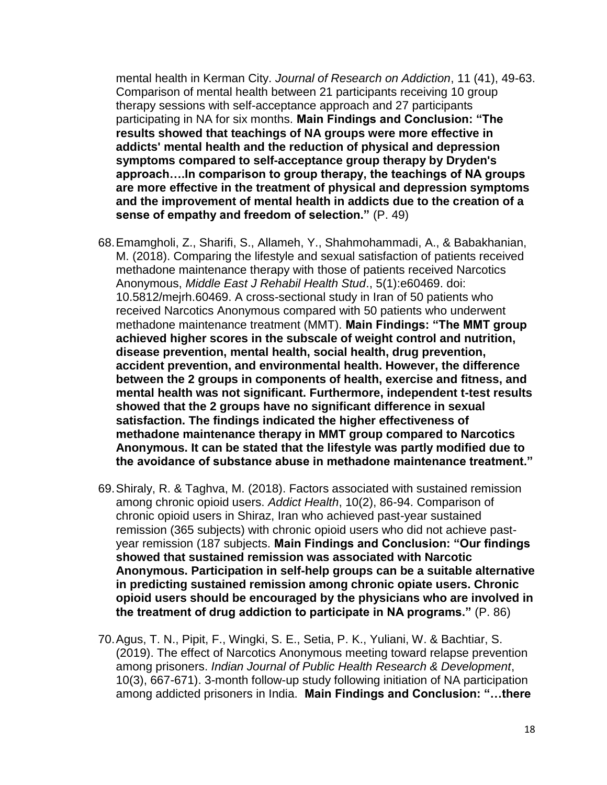mental health in Kerman City. *Journal of Research on Addiction*, 11 (41), 49-63. Comparison of mental health between 21 participants receiving 10 group therapy sessions with self-acceptance approach and 27 participants participating in NA for six months. **Main Findings and Conclusion: "The results showed that teachings of NA groups were more effective in addicts' mental health and the reduction of physical and depression symptoms compared to self-acceptance group therapy by Dryden's approach….In comparison to group therapy, the teachings of NA groups are more effective in the treatment of physical and depression symptoms and the improvement of mental health in addicts due to the creation of a sense of empathy and freedom of selection."** (P. 49)

- 68.Emamgholi, Z., Sharifi, S., Allameh, Y., Shahmohammadi, A., & Babakhanian, M. (2018). Comparing the lifestyle and sexual satisfaction of patients received methadone maintenance therapy with those of patients received Narcotics Anonymous, *Middle East J Rehabil Health Stud*., 5(1):e60469. doi: 10.5812/mejrh.60469. A cross-sectional study in Iran of 50 patients who received Narcotics Anonymous compared with 50 patients who underwent methadone maintenance treatment (MMT). **Main Findings: "The MMT group achieved higher scores in the subscale of weight control and nutrition, disease prevention, mental health, social health, drug prevention, accident prevention, and environmental health. However, the difference between the 2 groups in components of health, exercise and fitness, and mental health was not significant. Furthermore, independent t-test results showed that the 2 groups have no significant difference in sexual satisfaction. The findings indicated the higher effectiveness of methadone maintenance therapy in MMT group compared to Narcotics Anonymous. It can be stated that the lifestyle was partly modified due to the avoidance of substance abuse in methadone maintenance treatment."**
- 69.Shiraly, R. & Taghva, M. (2018). Factors associated with sustained remission among chronic opioid users. *Addict Health*, 10(2), 86-94. Comparison of chronic opioid users in Shiraz, Iran who achieved past-year sustained remission (365 subjects) with chronic opioid users who did not achieve pastyear remission (187 subjects. **Main Findings and Conclusion: "Our findings showed that sustained remission was associated with Narcotic Anonymous. Participation in self-help groups can be a suitable alternative in predicting sustained remission among chronic opiate users. Chronic opioid users should be encouraged by the physicians who are involved in the treatment of drug addiction to participate in NA programs."** (P. 86)
- 70.Agus, T. N., Pipit, F., Wingki, S. E., Setia, P. K., Yuliani, W. & Bachtiar, S. (2019). The effect of Narcotics Anonymous meeting toward relapse prevention among prisoners. *Indian Journal of Public Health Research & Development*, 10(3), 667-671). 3-month follow-up study following initiation of NA participation among addicted prisoners in India. **Main Findings and Conclusion: "…there**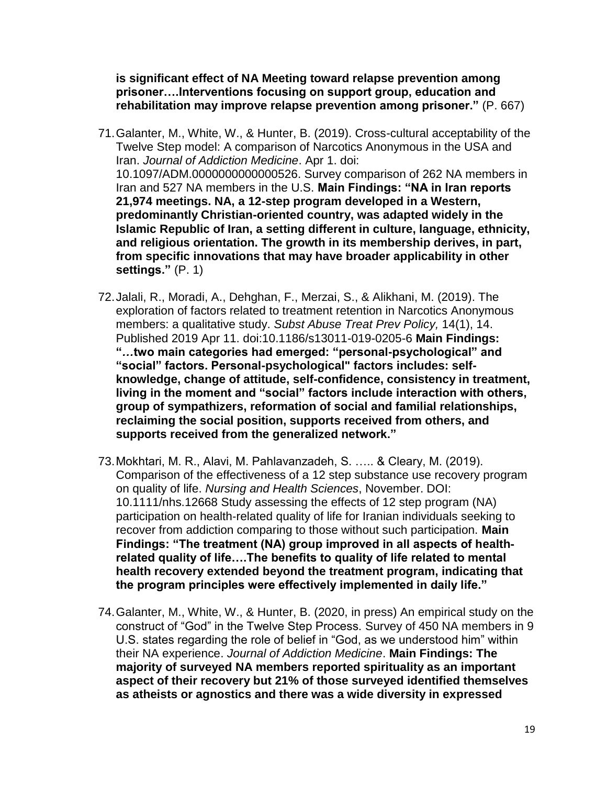**is significant effect of NA Meeting toward relapse prevention among prisoner….Interventions focusing on support group, education and rehabilitation may improve relapse prevention among prisoner."** (P. 667)

- 71.Galanter, M., White, W., & Hunter, B. (2019). Cross-cultural acceptability of the Twelve Step model: A comparison of Narcotics Anonymous in the USA and Iran. *Journal of Addiction Medicine*. Apr 1. doi: 10.1097/ADM.0000000000000526. Survey comparison of 262 NA members in Iran and 527 NA members in the U.S. **Main Findings: "NA in Iran reports 21,974 meetings. NA, a 12-step program developed in a Western, predominantly Christian-oriented country, was adapted widely in the Islamic Republic of Iran, a setting different in culture, language, ethnicity, and religious orientation. The growth in its membership derives, in part, from specific innovations that may have broader applicability in other settings."** (P. 1)
- 72.Jalali, R., Moradi, A., Dehghan, F., Merzai, S., & Alikhani, M. (2019). The exploration of factors related to treatment retention in Narcotics Anonymous members: a qualitative study. *Subst Abuse Treat Prev Policy,* 14(1), 14. Published 2019 Apr 11. doi:10.1186/s13011-019-0205-6 **Main Findings: "***…***two main categories had emerged: "personal-psychological" and "social" factors. Personal-psychological" factors includes: selfknowledge, change of attitude, self-confidence, consistency in treatment, living in the moment and "social" factors include interaction with others, group of sympathizers, reformation of social and familial relationships, reclaiming the social position, supports received from others, and supports received from the generalized network."**
- 73.Mokhtari, M. R., Alavi, M. Pahlavanzadeh, S. ….. & Cleary, M. (2019). Comparison of the effectiveness of a 12 step substance use recovery program on quality of life. *Nursing and Health Sciences*, November. DOI: 10.1111/nhs.12668 Study assessing the effects of 12 step program (NA) participation on health‐related quality of life for Iranian individuals seeking to recover from addiction comparing to those without such participation. **Main Findings: "The treatment (NA) group improved in all aspects of health**‐ **related quality of life….The benefits to quality of life related to mental health recovery extended beyond the treatment program, indicating that the program principles were effectively implemented in daily life."**
- 74.Galanter, M., White, W., & Hunter, B. (2020, in press) An empirical study on the construct of "God" in the Twelve Step Process. Survey of 450 NA members in 9 U.S. states regarding the role of belief in "God, as we understood him" within their NA experience. *Journal of Addiction Medicine*. **Main Findings: The majority of surveyed NA members reported spirituality as an important aspect of their recovery but 21% of those surveyed identified themselves as atheists or agnostics and there was a wide diversity in expressed**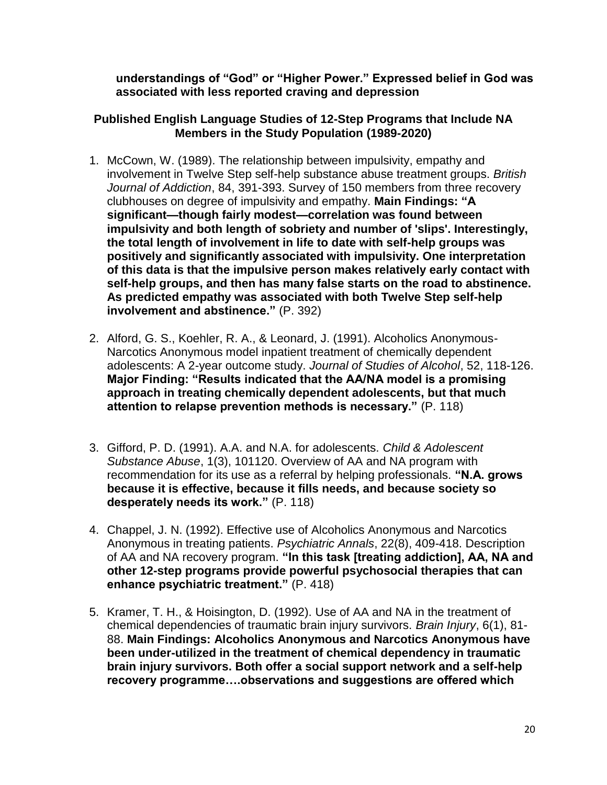**understandings of "God" or "Higher Power." Expressed belief in God was associated with less reported craving and depression**

## **Published English Language Studies of 12-Step Programs that Include NA Members in the Study Population (1989-2020)**

- 1. McCown, W. (1989). The relationship between impulsivity, empathy and involvement in Twelve Step self-help substance abuse treatment groups. *British Journal of Addiction*, 84, 391-393. Survey of 150 members from three recovery clubhouses on degree of impulsivity and empathy. **Main Findings: "A significant—though fairly modest—correlation was found between impulsivity and both length of sobriety and number of 'slips'. Interestingly, the total length of involvement in life to date with self-help groups was positively and significantly associated with impulsivity. One interpretation of this data is that the impulsive person makes relatively early contact with self-help groups, and then has many false starts on the road to abstinence. As predicted empathy was associated with both Twelve Step self-help involvement and abstinence."** (P. 392)
- 2. Alford, G. S., Koehler, R. A., & Leonard, J. (1991). Alcoholics Anonymous-Narcotics Anonymous model inpatient treatment of chemically dependent adolescents: A 2-year outcome study. *Journal of Studies of Alcohol*, 52, 118-126. **Major Finding: "Results indicated that the AA/NA model is a promising approach in treating chemically dependent adolescents, but that much attention to relapse prevention methods is necessary."** (P. 118)
- 3. Gifford, P. D. (1991). A.A. and N.A. for adolescents. *Child & Adolescent Substance Abuse*, 1(3), 101120. Overview of AA and NA program with recommendation for its use as a referral by helping professionals. **"N.A. grows because it is effective, because it fills needs, and because society so desperately needs its work."** (P. 118)
- 4. Chappel, J. N. (1992). Effective use of Alcoholics Anonymous and Narcotics Anonymous in treating patients. *Psychiatric Annals*, 22(8), 409-418. Description of AA and NA recovery program. **"In this task [treating addiction], AA, NA and other 12-step programs provide powerful psychosocial therapies that can enhance psychiatric treatment."** (P. 418)
- 5. Kramer, T. H., & Hoisington, D. (1992). Use of AA and NA in the treatment of chemical dependencies of traumatic brain injury survivors. *Brain Injury*, 6(1), 81- 88. **Main Findings: Alcoholics Anonymous and Narcotics Anonymous have been under-utilized in the treatment of chemical dependency in traumatic brain injury survivors. Both offer a social support network and a self-help recovery programme….observations and suggestions are offered which**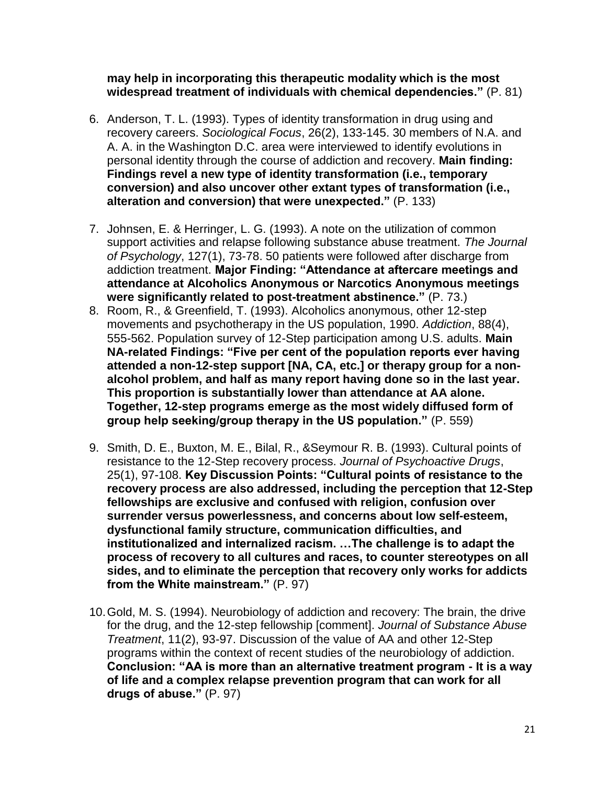#### **may help in incorporating this therapeutic modality which is the most widespread treatment of individuals with chemical dependencies."** (P. 81)

- 6. Anderson, T. L. (1993). Types of identity transformation in drug using and recovery careers. *Sociological Focus*, 26(2), 133-145. 30 members of N.A. and A. A. in the Washington D.C. area were interviewed to identify evolutions in personal identity through the course of addiction and recovery. **Main finding: Findings revel a new type of identity transformation (i.e., temporary conversion) and also uncover other extant types of transformation (i.e., alteration and conversion) that were unexpected."** (P. 133)
- 7. Johnsen, E. & Herringer, L. G. (1993). A note on the utilization of common support activities and relapse following substance abuse treatment. *The Journal of Psychology*, 127(1), 73-78. 50 patients were followed after discharge from addiction treatment. **Major Finding: "Attendance at aftercare meetings and attendance at Alcoholics Anonymous or Narcotics Anonymous meetings were significantly related to post-treatment abstinence."** (P. 73.)
- 8. Room, R., & Greenfield, T. (1993). Alcoholics anonymous, other 12-step movements and psychotherapy in the US population, 1990. *Addiction*, 88(4), 555-562. Population survey of 12-Step participation among U.S. adults. **Main NA-related Findings: "Five per cent of the population reports ever having attended a non-12-step support [NA, CA, etc.] or therapy group for a nonalcohol problem, and half as many report having done so in the last year. This proportion is substantially lower than attendance at AA alone. Together, 12-step programs emerge as the most widely diffused form of group help seeking/group therapy in the US population."** (P. 559)
- 9. Smith, D. E., Buxton, M. E., Bilal, R., &Seymour R. B. (1993). Cultural points of resistance to the 12-Step recovery process. *Journal of Psychoactive Drugs*, 25(1), 97-108. **Key Discussion Points: "Cultural points of resistance to the recovery process are also addressed, including the perception that 12-Step fellowships are exclusive and confused with religion, confusion over surrender versus powerlessness, and concerns about low self-esteem, dysfunctional family structure, communication difficulties, and institutionalized and internalized racism. …The challenge is to adapt the process of recovery to all cultures and races, to counter stereotypes on all sides, and to eliminate the perception that recovery only works for addicts from the White mainstream."** (P. 97)
- 10.Gold, M. S. (1994). Neurobiology of addiction and recovery: The brain, the drive for the drug, and the 12-step fellowship [comment]. *Journal of Substance Abuse Treatment*, 11(2), 93-97. Discussion of the value of AA and other 12-Step programs within the context of recent studies of the neurobiology of addiction. **Conclusion: "AA is more than an alternative treatment program - It is a way of life and a complex relapse prevention program that can work for all drugs of abuse."** (P. 97)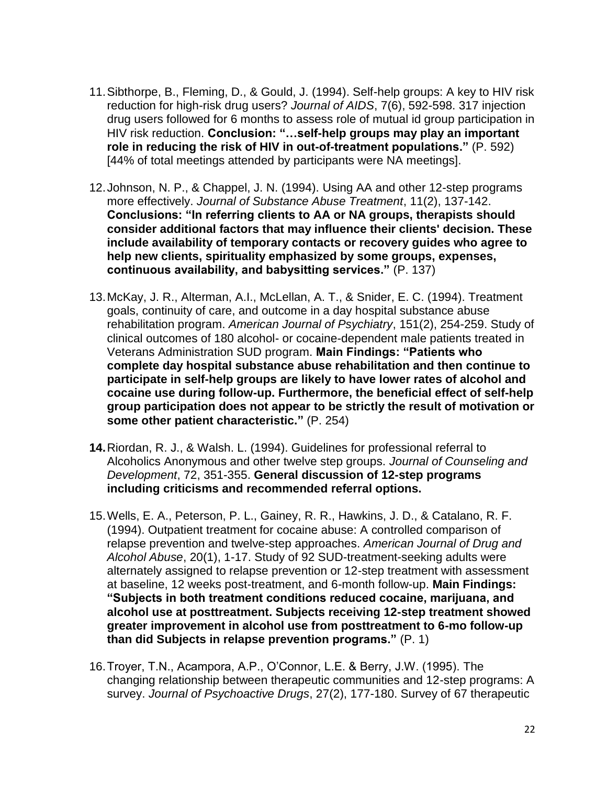- 11.Sibthorpe, B., Fleming, D., & Gould, J. (1994). Self-help groups: A key to HIV risk reduction for high-risk drug users? *Journal of AIDS*, 7(6), 592-598. 317 injection drug users followed for 6 months to assess role of mutual id group participation in HIV risk reduction. **Conclusion: "…self-help groups may play an important role in reducing the risk of HIV in out-of-treatment populations."** (P. 592) [44% of total meetings attended by participants were NA meetings].
- 12.Johnson, N. P., & Chappel, J. N. (1994). Using AA and other 12-step programs more effectively. *Journal of Substance Abuse Treatment*, 11(2), 137-142. **Conclusions: "In referring clients to AA or NA groups, therapists should consider additional factors that may influence their clients' decision. These include availability of temporary contacts or recovery guides who agree to help new clients, spirituality emphasized by some groups, expenses, continuous availability, and babysitting services."** (P. 137)
- 13.McKay, J. R., Alterman, A.I., McLellan, A. T., & Snider, E. C. (1994). Treatment goals, continuity of care, and outcome in a day hospital substance abuse rehabilitation program. *American Journal of Psychiatry*, 151(2), 254-259. Study of clinical outcomes of 180 alcohol- or cocaine-dependent male patients treated in Veterans Administration SUD program. **Main Findings: "Patients who complete day hospital substance abuse rehabilitation and then continue to participate in self-help groups are likely to have lower rates of alcohol and cocaine use during follow-up. Furthermore, the beneficial effect of self-help group participation does not appear to be strictly the result of motivation or some other patient characteristic."** (P. 254)
- **14.**Riordan, R. J., & Walsh. L. (1994). Guidelines for professional referral to Alcoholics Anonymous and other twelve step groups. *Journal of Counseling and Development*, 72, 351-355. **General discussion of 12-step programs including criticisms and recommended referral options.**
- 15.Wells, E. A., Peterson, P. L., Gainey, R. R., Hawkins, J. D., & Catalano, R. F. (1994). Outpatient treatment for cocaine abuse: A controlled comparison of relapse prevention and twelve-step approaches. *American Journal of Drug and Alcohol Abuse*, 20(1), 1-17. Study of 92 SUD-treatment-seeking adults were alternately assigned to relapse prevention or 12-step treatment with assessment at baseline, 12 weeks post-treatment, and 6-month follow-up. **Main Findings: "Subjects in both treatment conditions reduced cocaine, marijuana, and alcohol use at posttreatment. Subjects receiving 12-step treatment showed greater improvement in alcohol use from posttreatment to 6-mo follow-up than did Subjects in relapse prevention programs."** (P. 1)
- 16.Troyer, T.N., Acampora, A.P., O'Connor, L.E. & Berry, J.W. (1995). The changing relationship between therapeutic communities and 12-step programs: A survey. *Journal of Psychoactive Drugs*, 27(2), 177-180. Survey of 67 therapeutic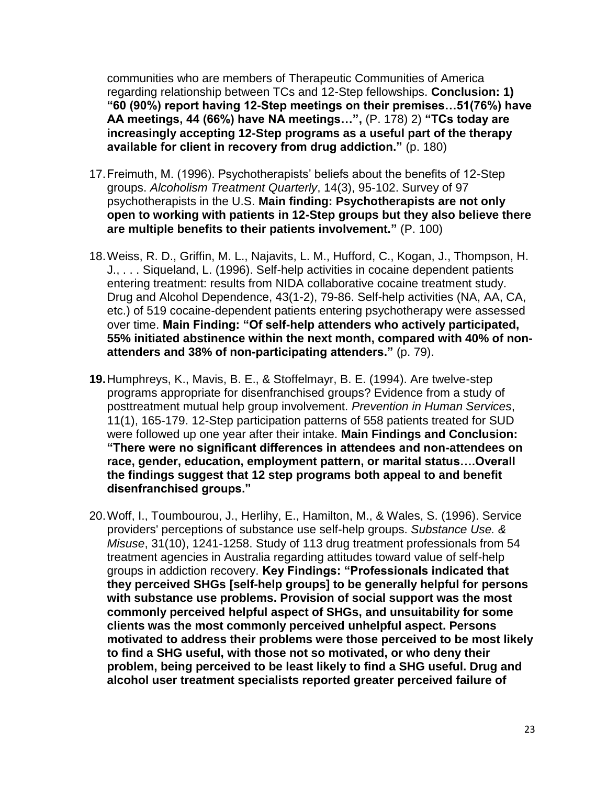communities who are members of Therapeutic Communities of America regarding relationship between TCs and 12-Step fellowships. **Conclusion: 1) "60 (90%) report having 12-Step meetings on their premises…51(76%) have AA meetings, 44 (66%) have NA meetings…",** (P. 178) 2) **"TCs today are increasingly accepting 12-Step programs as a useful part of the therapy available for client in recovery from drug addiction."** (p. 180)

- 17.Freimuth, M. (1996). Psychotherapists' beliefs about the benefits of 12-Step groups. *Alcoholism Treatment Quarterly*, 14(3), 95-102. Survey of 97 psychotherapists in the U.S. **Main finding: Psychotherapists are not only open to working with patients in 12-Step groups but they also believe there are multiple benefits to their patients involvement."** (P. 100)
- 18.Weiss, R. D., Griffin, M. L., Najavits, L. M., Hufford, C., Kogan, J., Thompson, H. J., . . . Siqueland, L. (1996). Self-help activities in cocaine dependent patients entering treatment: results from NIDA collaborative cocaine treatment study. Drug and Alcohol Dependence, 43(1-2), 79-86. Self-help activities (NA, AA, CA, etc.) of 519 cocaine-dependent patients entering psychotherapy were assessed over time. **Main Finding: "Of self-help attenders who actively participated, 55% initiated abstinence within the next month, compared with 40% of nonattenders and 38% of non-participating attenders."** (p. 79).
- **19.**Humphreys, K., Mavis, B. E., & Stoffelmayr, B. E. (1994). Are twelve-step programs appropriate for disenfranchised groups? Evidence from a study of posttreatment mutual help group involvement. *Prevention in Human Services*, 11(1), 165-179. 12-Step participation patterns of 558 patients treated for SUD were followed up one year after their intake. **Main Findings and Conclusion: "There were no significant differences in attendees and non-attendees on race, gender, education, employment pattern, or marital status….Overall the findings suggest that 12 step programs both appeal to and benefit disenfranchised groups."**
- 20.Woff, I., Toumbourou, J., Herlihy, E., Hamilton, M., & Wales, S. (1996). Service providers' perceptions of substance use self-help groups. *Substance Use. & Misuse*, 31(10), 1241-1258. Study of 113 drug treatment professionals from 54 treatment agencies in Australia regarding attitudes toward value of self-help groups in addiction recovery. **Key Findings: "Professionals indicated that they perceived SHGs [self-help groups] to be generally helpful for persons with substance use problems. Provision of social support was the most commonly perceived helpful aspect of SHGs, and unsuitability for some clients was the most commonly perceived unhelpful aspect. Persons motivated to address their problems were those perceived to be most likely to find a SHG useful, with those not so motivated, or who deny their problem, being perceived to be least likely to find a SHG useful. Drug and alcohol user treatment specialists reported greater perceived failure of**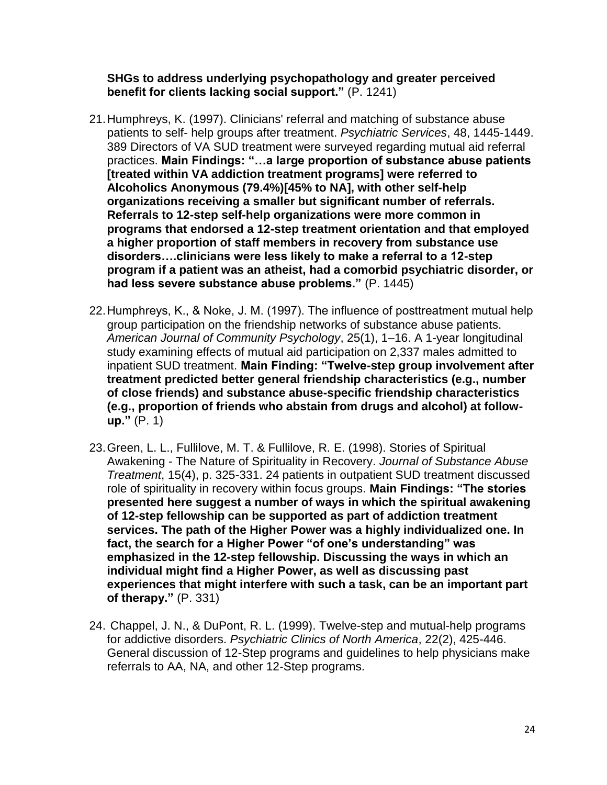#### **SHGs to address underlying psychopathology and greater perceived benefit for clients lacking social support."** (P. 1241)

- 21.Humphreys, K. (1997). Clinicians' referral and matching of substance abuse patients to self- help groups after treatment. *Psychiatric Services*, 48, 1445-1449. 389 Directors of VA SUD treatment were surveyed regarding mutual aid referral practices. **Main Findings: "…a large proportion of substance abuse patients [treated within VA addiction treatment programs] were referred to Alcoholics Anonymous (79.4%)[45% to NA], with other self-help organizations receiving a smaller but significant number of referrals. Referrals to 12-step self-help organizations were more common in programs that endorsed a 12-step treatment orientation and that employed a higher proportion of staff members in recovery from substance use disorders….clinicians were less likely to make a referral to a 12-step program if a patient was an atheist, had a comorbid psychiatric disorder, or had less severe substance abuse problems."** (P. 1445)
- 22.Humphreys, K., & Noke, J. M. (1997). The influence of posttreatment mutual help group participation on the friendship networks of substance abuse patients. *American Journal of Community Psychology*, 25(1), 1–16. A 1-year longitudinal study examining effects of mutual aid participation on 2,337 males admitted to inpatient SUD treatment. **Main Finding: "Twelve-step group involvement after treatment predicted better general friendship characteristics (e.g., number of close friends) and substance abuse-specific friendship characteristics (e.g., proportion of friends who abstain from drugs and alcohol) at followup."** (P. 1)
- 23.Green, L. L., Fullilove, M. T. & Fullilove, R. E. (1998). Stories of Spiritual Awakening - The Nature of Spirituality in Recovery. *Journal of Substance Abuse Treatment*, 15(4), p. 325-331. 24 patients in outpatient SUD treatment discussed role of spirituality in recovery within focus groups. **Main Findings: "The stories presented here suggest a number of ways in which the spiritual awakening of 12-step fellowship can be supported as part of addiction treatment services. The path of the Higher Power was a highly individualized one. In fact, the search for a Higher Power "of one's understanding" was emphasized in the 12-step fellowship. Discussing the ways in which an individual might find a Higher Power, as well as discussing past experiences that might interfere with such a task, can be an important part of therapy."** (P. 331)
- 24. Chappel, J. N., & DuPont, R. L. (1999). Twelve-step and mutual-help programs for addictive disorders. *Psychiatric Clinics of North America*, 22(2), 425-446. General discussion of 12-Step programs and guidelines to help physicians make referrals to AA, NA, and other 12-Step programs.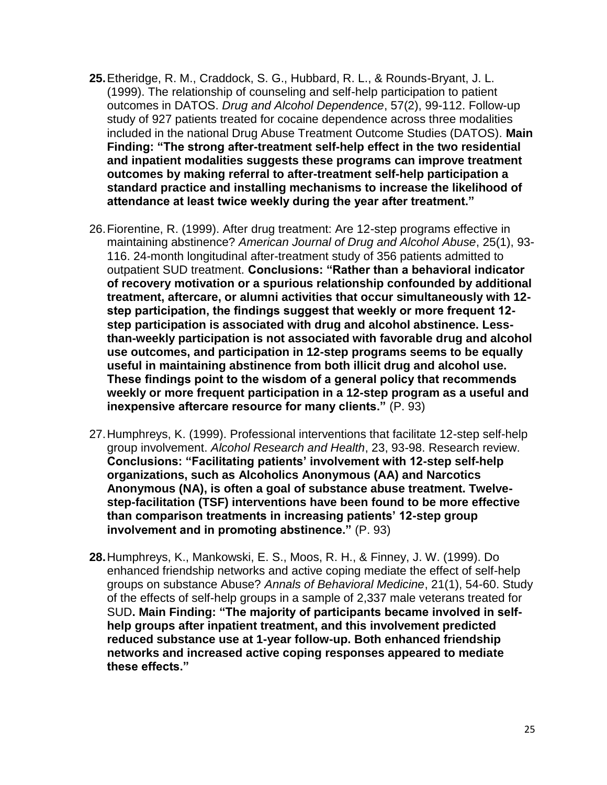- **25.**Etheridge, R. M., Craddock, S. G., Hubbard, R. L., & Rounds-Bryant, J. L. (1999). The relationship of counseling and self-help participation to patient outcomes in DATOS. *Drug and Alcohol Dependence*, 57(2), 99-112. Follow-up study of 927 patients treated for cocaine dependence across three modalities included in the national Drug Abuse Treatment Outcome Studies (DATOS). **Main Finding: "The strong after-treatment self-help effect in the two residential and inpatient modalities suggests these programs can improve treatment outcomes by making referral to after-treatment self-help participation a standard practice and installing mechanisms to increase the likelihood of attendance at least twice weekly during the year after treatment."**
- 26.Fiorentine, R. (1999). After drug treatment: Are 12-step programs effective in maintaining abstinence? *American Journal of Drug and Alcohol Abuse*, 25(1), 93- 116. 24-month longitudinal after-treatment study of 356 patients admitted to outpatient SUD treatment. **Conclusions: "Rather than a behavioral indicator of recovery motivation or a spurious relationship confounded by additional treatment, aftercare, or alumni activities that occur simultaneously with 12 step participation, the findings suggest that weekly or more frequent 12 step participation is associated with drug and alcohol abstinence. Lessthan-weekly participation is not associated with favorable drug and alcohol use outcomes, and participation in 12-step programs seems to be equally useful in maintaining abstinence from both illicit drug and alcohol use. These findings point to the wisdom of a general policy that recommends weekly or more frequent participation in a 12-step program as a useful and inexpensive aftercare resource for many clients."** (P. 93)
- 27.Humphreys, K. (1999). Professional interventions that facilitate 12-step self-help group involvement. *Alcohol Research and Health*, 23, 93-98. Research review. **Conclusions: "Facilitating patients' involvement with 12-step self-help organizations, such as Alcoholics Anonymous (AA) and Narcotics Anonymous (NA), is often a goal of substance abuse treatment. Twelvestep-facilitation (TSF) interventions have been found to be more effective than comparison treatments in increasing patients' 12-step group involvement and in promoting abstinence."** (P. 93)
- **28.**Humphreys, K., Mankowski, E. S., Moos, R. H., & Finney, J. W. (1999). Do enhanced friendship networks and active coping mediate the effect of self-help groups on substance Abuse? *Annals of Behavioral Medicine*, 21(1), 54-60. Study of the effects of self-help groups in a sample of 2,337 male veterans treated for SUD**. Main Finding: "The majority of participants became involved in selfhelp groups after inpatient treatment, and this involvement predicted reduced substance use at 1-year follow-up. Both enhanced friendship networks and increased active coping responses appeared to mediate these effects."**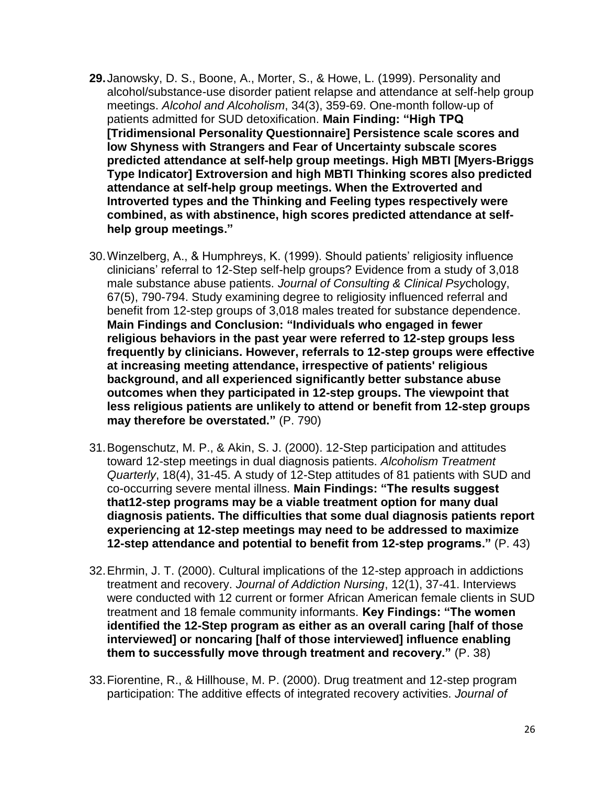- **29.**Janowsky, D. S., Boone, A., Morter, S., & Howe, L. (1999). Personality and alcohol/substance-use disorder patient relapse and attendance at self-help group meetings. *Alcohol and Alcoholism*, 34(3), 359-69. One-month follow-up of patients admitted for SUD detoxification. **Main Finding: "High TPQ [Tridimensional Personality Questionnaire] Persistence scale scores and low Shyness with Strangers and Fear of Uncertainty subscale scores predicted attendance at self-help group meetings. High MBTI [Myers-Briggs Type Indicator] Extroversion and high MBTI Thinking scores also predicted attendance at self-help group meetings. When the Extroverted and Introverted types and the Thinking and Feeling types respectively were combined, as with abstinence, high scores predicted attendance at selfhelp group meetings."**
- 30.Winzelberg, A., & Humphreys, K. (1999). Should patients' religiosity influence clinicians' referral to 12-Step self-help groups? Evidence from a study of 3,018 male substance abuse patients. *Journal of Consulting & Clinical Psy*chology, 67(5), 790-794. Study examining degree to religiosity influenced referral and benefit from 12-step groups of 3,018 males treated for substance dependence. **Main Findings and Conclusion: "Individuals who engaged in fewer religious behaviors in the past year were referred to 12-step groups less frequently by clinicians. However, referrals to 12-step groups were effective at increasing meeting attendance, irrespective of patients' religious background, and all experienced significantly better substance abuse outcomes when they participated in 12-step groups. The viewpoint that less religious patients are unlikely to attend or benefit from 12-step groups may therefore be overstated."** (P. 790)
- 31.Bogenschutz, M. P., & Akin, S. J. (2000). 12-Step participation and attitudes toward 12-step meetings in dual diagnosis patients. *Alcoholism Treatment Quarterly*, 18(4), 31-45. A study of 12-Step attitudes of 81 patients with SUD and co-occurring severe mental illness. **Main Findings: "The results suggest that12-step programs may be a viable treatment option for many dual diagnosis patients. The difficulties that some dual diagnosis patients report experiencing at 12-step meetings may need to be addressed to maximize 12-step attendance and potential to benefit from 12-step programs."** (P. 43)
- 32.Ehrmin, J. T. (2000). Cultural implications of the 12-step approach in addictions treatment and recovery. *Journal of Addiction Nursing*, 12(1), 37-41. Interviews were conducted with 12 current or former African American female clients in SUD treatment and 18 female community informants. **Key Findings: "The women identified the 12-Step program as either as an overall caring [half of those interviewed] or noncaring [half of those interviewed] influence enabling them to successfully move through treatment and recovery."** (P. 38)
- 33.Fiorentine, R., & Hillhouse, M. P. (2000). Drug treatment and 12-step program participation: The additive effects of integrated recovery activities. *Journal of*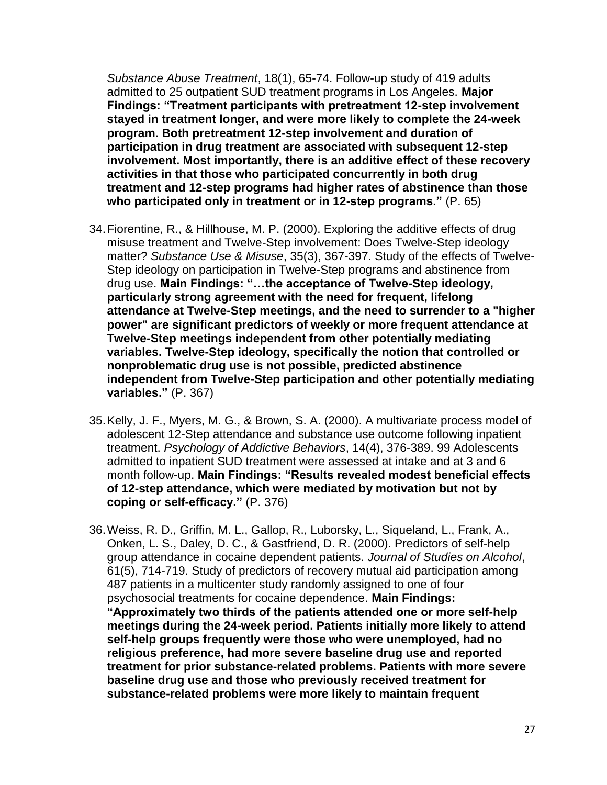*Substance Abuse Treatment*, 18(1), 65-74. Follow-up study of 419 adults admitted to 25 outpatient SUD treatment programs in Los Angeles. **Major Findings: "Treatment participants with pretreatment 12-step involvement stayed in treatment longer, and were more likely to complete the 24-week program. Both pretreatment 12-step involvement and duration of participation in drug treatment are associated with subsequent 12-step involvement. Most importantly, there is an additive effect of these recovery activities in that those who participated concurrently in both drug treatment and 12-step programs had higher rates of abstinence than those who participated only in treatment or in 12-step programs."** (P. 65)

- 34.Fiorentine, R., & Hillhouse, M. P. (2000). Exploring the additive effects of drug misuse treatment and Twelve-Step involvement: Does Twelve-Step ideology matter? *Substance Use & Misuse*, 35(3), 367-397. Study of the effects of Twelve-Step ideology on participation in Twelve-Step programs and abstinence from drug use. **Main Findings: "…the acceptance of Twelve-Step ideology, particularly strong agreement with the need for frequent, lifelong attendance at Twelve-Step meetings, and the need to surrender to a "higher power" are significant predictors of weekly or more frequent attendance at Twelve-Step meetings independent from other potentially mediating variables. Twelve-Step ideology, specifically the notion that controlled or nonproblematic drug use is not possible, predicted abstinence independent from Twelve-Step participation and other potentially mediating variables."** (P. 367)
- 35.Kelly, J. F., Myers, M. G., & Brown, S. A. (2000). A multivariate process model of adolescent 12-Step attendance and substance use outcome following inpatient treatment. *Psychology of Addictive Behaviors*, 14(4), 376-389. 99 Adolescents admitted to inpatient SUD treatment were assessed at intake and at 3 and 6 month follow-up. **Main Findings: "Results revealed modest beneficial effects of 12-step attendance, which were mediated by motivation but not by coping or self-efficacy."** (P. 376)
- 36.Weiss, R. D., Griffin, M. L., Gallop, R., Luborsky, L., Siqueland, L., Frank, A., Onken, L. S., Daley, D. C., & Gastfriend, D. R. (2000). Predictors of self-help group attendance in cocaine dependent patients. *Journal of Studies on Alcohol*, 61(5), 714-719. Study of predictors of recovery mutual aid participation among 487 patients in a multicenter study randomly assigned to one of four psychosocial treatments for cocaine dependence. **Main Findings: "Approximately two thirds of the patients attended one or more self-help meetings during the 24-week period. Patients initially more likely to attend self-help groups frequently were those who were unemployed, had no religious preference, had more severe baseline drug use and reported treatment for prior substance-related problems. Patients with more severe baseline drug use and those who previously received treatment for substance-related problems were more likely to maintain frequent**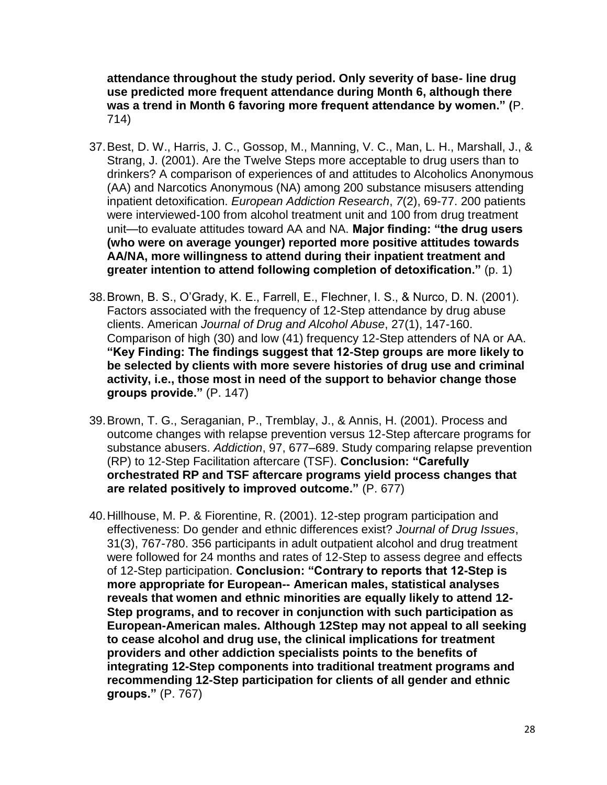**attendance throughout the study period. Only severity of base- line drug use predicted more frequent attendance during Month 6, although there was a trend in Month 6 favoring more frequent attendance by women." (**P. 714)

- 37.Best, D. W., Harris, J. C., Gossop, M., Manning, V. C., Man, L. H., Marshall, J., & Strang, J. (2001). Are the Twelve Steps more acceptable to drug users than to drinkers? A comparison of experiences of and attitudes to Alcoholics Anonymous (AA) and Narcotics Anonymous (NA) among 200 substance misusers attending inpatient detoxification. *European Addiction Research*, *7*(2), 69-77. 200 patients were interviewed-100 from alcohol treatment unit and 100 from drug treatment unit—to evaluate attitudes toward AA and NA. **Major finding: "the drug users (who were on average younger) reported more positive attitudes towards AA/NA, more willingness to attend during their inpatient treatment and greater intention to attend following completion of detoxification."** (p. 1)
- 38.Brown, B. S., O'Grady, K. E., Farrell, E., Flechner, I. S., & Nurco, D. N. (2001). Factors associated with the frequency of 12-Step attendance by drug abuse clients. American *Journal of Drug and Alcohol Abuse*, 27(1), 147-160. Comparison of high (30) and low (41) frequency 12-Step attenders of NA or AA. **"Key Finding: The findings suggest that 12-Step groups are more likely to be selected by clients with more severe histories of drug use and criminal activity, i.e., those most in need of the support to behavior change those groups provide."** (P. 147)
- 39.Brown, T. G., Seraganian, P., Tremblay, J., & Annis, H. (2001). Process and outcome changes with relapse prevention versus 12-Step aftercare programs for substance abusers. *Addiction*, 97, 677–689. Study comparing relapse prevention (RP) to 12-Step Facilitation aftercare (TSF). **Conclusion: "Carefully orchestrated RP and TSF aftercare programs yield process changes that are related positively to improved outcome."** (P. 677)
- 40.Hillhouse, M. P. & Fiorentine, R. (2001). 12-step program participation and effectiveness: Do gender and ethnic differences exist? *Journal of Drug Issues*, 31(3), 767-780. 356 participants in adult outpatient alcohol and drug treatment were followed for 24 months and rates of 12-Step to assess degree and effects of 12-Step participation. **Conclusion: "Contrary to reports that 12-Step is more appropriate for European-- American males, statistical analyses reveals that women and ethnic minorities are equally likely to attend 12- Step programs, and to recover in conjunction with such participation as European-American males. Although 12Step may not appeal to all seeking to cease alcohol and drug use, the clinical implications for treatment providers and other addiction specialists points to the benefits of integrating 12-Step components into traditional treatment programs and recommending 12-Step participation for clients of all gender and ethnic groups."** (P. 767)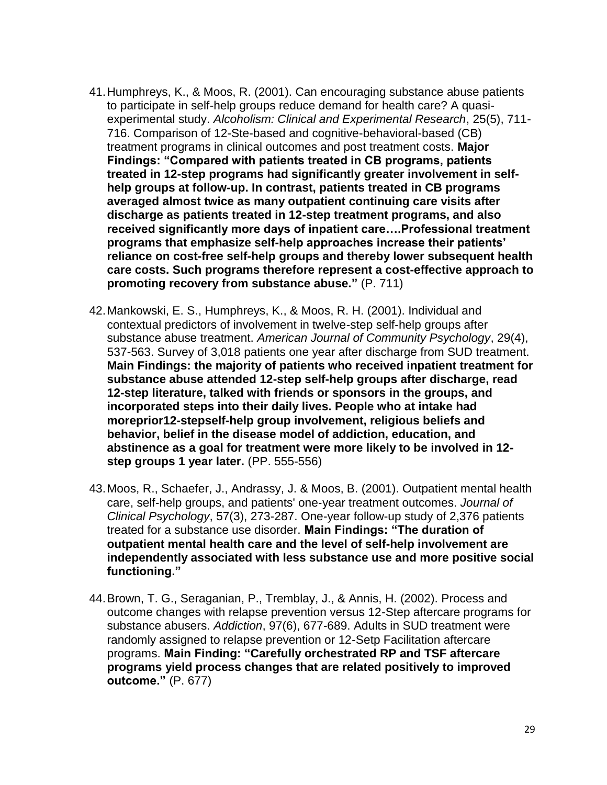- 41.Humphreys, K., & Moos, R. (2001). Can encouraging substance abuse patients to participate in self-help groups reduce demand for health care? A quasiexperimental study. *Alcoholism: Clinical and Experimental Research*, 25(5), 711- 716. Comparison of 12-Ste-based and cognitive-behavioral-based (CB) treatment programs in clinical outcomes and post treatment costs. **Major Findings: "Compared with patients treated in CB programs, patients treated in 12-step programs had significantly greater involvement in selfhelp groups at follow-up. In contrast, patients treated in CB programs averaged almost twice as many outpatient continuing care visits after discharge as patients treated in 12-step treatment programs, and also received significantly more days of inpatient care….Professional treatment programs that emphasize self-help approaches increase their patients' reliance on cost-free self-help groups and thereby lower subsequent health care costs. Such programs therefore represent a cost-effective approach to promoting recovery from substance abuse."** (P. 711)
- 42.Mankowski, E. S., Humphreys, K., & Moos, R. H. (2001). Individual and contextual predictors of involvement in twelve-step self-help groups after substance abuse treatment. *American Journal of Community Psychology*, 29(4), 537-563. Survey of 3,018 patients one year after discharge from SUD treatment. **Main Findings: the majority of patients who received inpatient treatment for substance abuse attended 12-step self-help groups after discharge, read 12-step literature, talked with friends or sponsors in the groups, and incorporated steps into their daily lives. People who at intake had moreprior12-stepself-help group involvement, religious beliefs and behavior, belief in the disease model of addiction, education, and abstinence as a goal for treatment were more likely to be involved in 12 step groups 1 year later.** (PP. 555-556)
- 43.Moos, R., Schaefer, J., Andrassy, J. & Moos, B. (2001). Outpatient mental health care, self‐help groups, and patients' one‐year treatment outcomes. *Journal of Clinical Psychology*, 57(3), 273-287. One-year follow-up study of 2,376 patients treated for a substance use disorder. **Main Findings: "The duration of outpatient mental health care and the level of self**‐**help involvement are independently associated with less substance use and more positive social functioning."**
- 44.Brown, T. G., Seraganian, P., Tremblay, J., & Annis, H. (2002). Process and outcome changes with relapse prevention versus 12-Step aftercare programs for substance abusers. *Addiction*, 97(6), 677-689. Adults in SUD treatment were randomly assigned to relapse prevention or 12-Setp Facilitation aftercare programs. **Main Finding: "Carefully orchestrated RP and TSF aftercare programs yield process changes that are related positively to improved outcome."** (P. 677)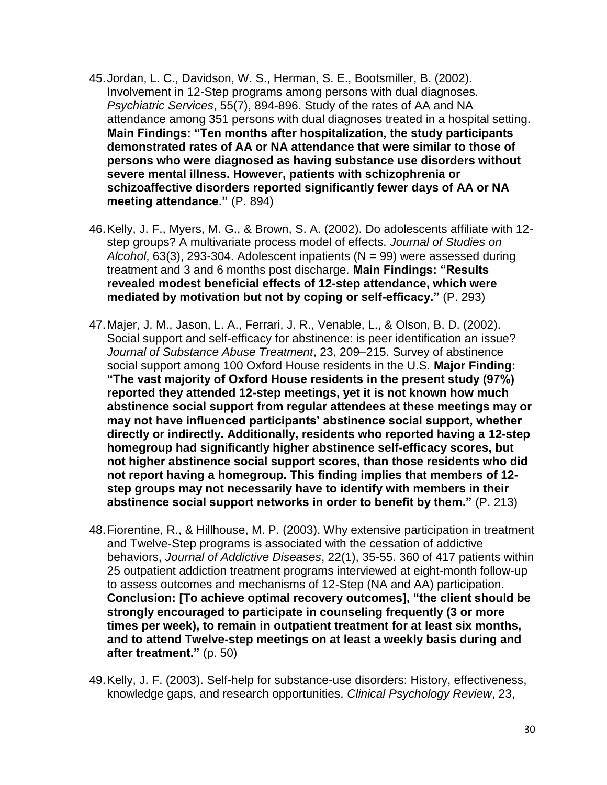- 45.Jordan, L. C., Davidson, W. S., Herman, S. E., Bootsmiller, B. (2002). Involvement in 12-Step programs among persons with dual diagnoses. *Psychiatric Services*, 55(7), 894-896. Study of the rates of AA and NA attendance among 351 persons with dual diagnoses treated in a hospital setting. **Main Findings: "Ten months after hospitalization, the study participants demonstrated rates of AA or NA attendance that were similar to those of persons who were diagnosed as having substance use disorders without severe mental illness. However, patients with schizophrenia or schizoaffective disorders reported significantly fewer days of AA or NA meeting attendance."** (P. 894)
- 46.Kelly, J. F., Myers, M. G., & Brown, S. A. (2002). Do adolescents affiliate with 12 step groups? A multivariate process model of effects. *Journal of Studies on Alcohol*, 63(3), 293-304. Adolescent inpatients (N = 99) were assessed during treatment and 3 and 6 months post discharge. **Main Findings: "Results revealed modest beneficial effects of 12-step attendance, which were mediated by motivation but not by coping or self-efficacy."** (P. 293)
- 47.Majer, J. M., Jason, L. A., Ferrari, J. R., Venable, L., & Olson, B. D. (2002). Social support and self-efficacy for abstinence: is peer identification an issue? *Journal of Substance Abuse Treatment*, 23, 209–215. Survey of abstinence social support among 100 Oxford House residents in the U.S. **Major Finding: "The vast majority of Oxford House residents in the present study (97%) reported they attended 12-step meetings, yet it is not known how much abstinence social support from regular attendees at these meetings may or may not have influenced participants' abstinence social support, whether directly or indirectly. Additionally, residents who reported having a 12-step homegroup had significantly higher abstinence self-efficacy scores, but not higher abstinence social support scores, than those residents who did not report having a homegroup. This finding implies that members of 12 step groups may not necessarily have to identify with members in their abstinence social support networks in order to benefit by them."** (P. 213)
- 48.Fiorentine, R., & Hillhouse, M. P. (2003). Why extensive participation in treatment and Twelve-Step programs is associated with the cessation of addictive behaviors, *Journal of Addictive Diseases*, 22(1), 35-55. 360 of 417 patients within 25 outpatient addiction treatment programs interviewed at eight-month follow-up to assess outcomes and mechanisms of 12-Step (NA and AA) participation. **Conclusion: [To achieve optimal recovery outcomes], "the client should be strongly encouraged to participate in counseling frequently (3 or more times per week), to remain in outpatient treatment for at least six months, and to attend Twelve-step meetings on at least a weekly basis during and after treatment."** (p. 50)
- 49.Kelly, J. F. (2003). Self-help for substance-use disorders: History, effectiveness, knowledge gaps, and research opportunities. *Clinical Psychology Review*, 23,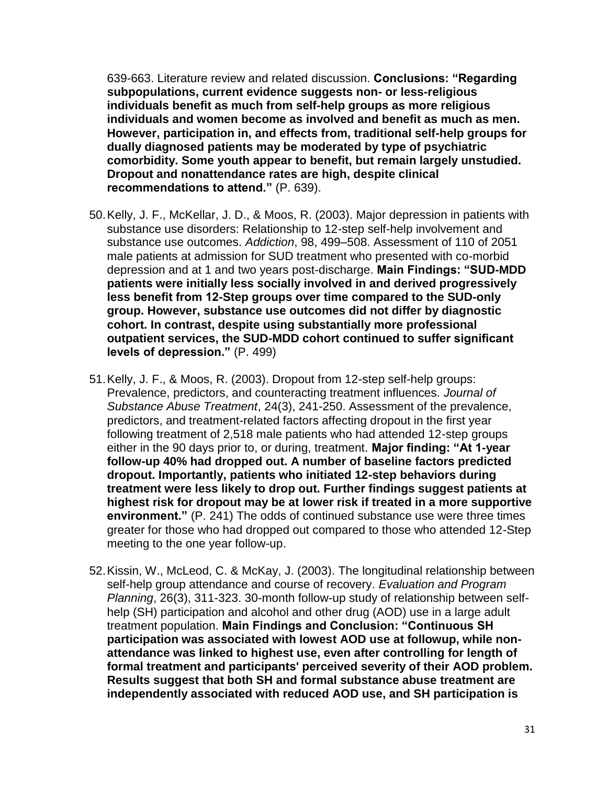639-663. Literature review and related discussion. **Conclusions: "Regarding subpopulations, current evidence suggests non- or less-religious individuals benefit as much from self-help groups as more religious individuals and women become as involved and benefit as much as men. However, participation in, and effects from, traditional self-help groups for dually diagnosed patients may be moderated by type of psychiatric comorbidity. Some youth appear to benefit, but remain largely unstudied. Dropout and nonattendance rates are high, despite clinical recommendations to attend."** (P. 639).

- 50.Kelly, J. F., McKellar, J. D., & Moos, R. (2003). Major depression in patients with substance use disorders: Relationship to 12-step self-help involvement and substance use outcomes. *Addiction*, 98, 499–508. Assessment of 110 of 2051 male patients at admission for SUD treatment who presented with co-morbid depression and at 1 and two years post-discharge. **Main Findings: "SUD-MDD patients were initially less socially involved in and derived progressively less benefit from 12-Step groups over time compared to the SUD-only group. However, substance use outcomes did not differ by diagnostic cohort. In contrast, despite using substantially more professional outpatient services, the SUD-MDD cohort continued to suffer significant levels of depression."** (P. 499)
- 51.Kelly, J. F., & Moos, R. (2003). Dropout from 12-step self-help groups: Prevalence, predictors, and counteracting treatment influences. *Journal of Substance Abuse Treatment*, 24(3), 241-250. Assessment of the prevalence, predictors, and treatment-related factors affecting dropout in the first year following treatment of 2,518 male patients who had attended 12-step groups either in the 90 days prior to, or during, treatment. **Major finding: "At 1-year follow-up 40% had dropped out. A number of baseline factors predicted dropout. Importantly, patients who initiated 12-step behaviors during treatment were less likely to drop out. Further findings suggest patients at highest risk for dropout may be at lower risk if treated in a more supportive environment."** (P. 241) The odds of continued substance use were three times greater for those who had dropped out compared to those who attended 12-Step meeting to the one year follow-up.
- 52.Kissin, W., McLeod, C. & McKay, J. (2003). The longitudinal relationship between self-help group attendance and course of recovery. *Evaluation and Program Planning*, 26(3), 311-323. 30-month follow-up study of relationship between selfhelp (SH) participation and alcohol and other drug (AOD) use in a large adult treatment population. **Main Findings and Conclusion: "Continuous SH participation was associated with lowest AOD use at followup, while nonattendance was linked to highest use, even after controlling for length of formal treatment and participants' perceived severity of their AOD problem. Results suggest that both SH and formal substance abuse treatment are independently associated with reduced AOD use, and SH participation is**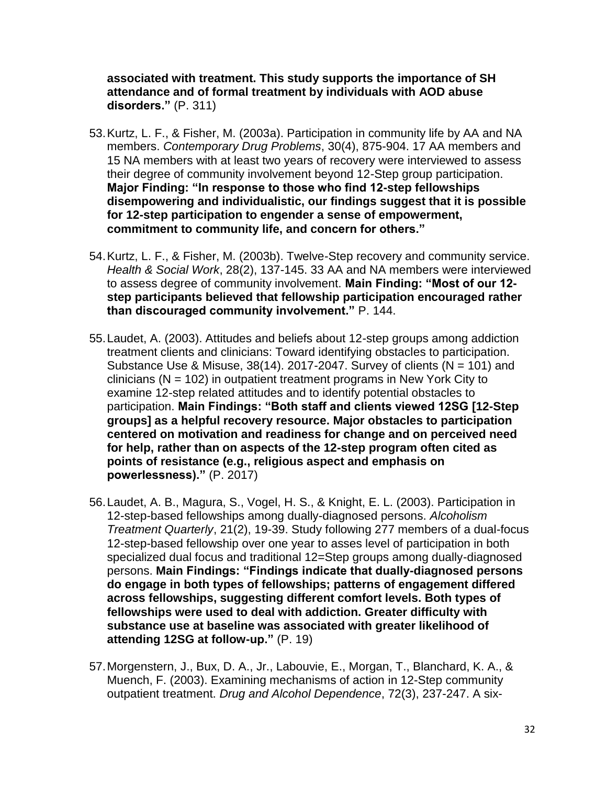**associated with treatment. This study supports the importance of SH attendance and of formal treatment by individuals with AOD abuse disorders."** (P. 311)

- 53.Kurtz, L. F., & Fisher, M. (2003a). Participation in community life by AA and NA members. *Contemporary Drug Problems*, 30(4), 875-904. 17 AA members and 15 NA members with at least two years of recovery were interviewed to assess their degree of community involvement beyond 12-Step group participation. **Major Finding: "In response to those who find 12-step fellowships disempowering and individualistic, our findings suggest that it is possible for 12-step participation to engender a sense of empowerment, commitment to community life, and concern for others."**
- 54.Kurtz, L. F., & Fisher, M. (2003b). Twelve-Step recovery and community service. *Health & Social Work*, 28(2), 137-145. 33 AA and NA members were interviewed to assess degree of community involvement. **Main Finding: "Most of our 12 step participants believed that fellowship participation encouraged rather than discouraged community involvement."** P. 144.
- 55.Laudet, A. (2003). Attitudes and beliefs about 12-step groups among addiction treatment clients and clinicians: Toward identifying obstacles to participation. Substance Use & Misuse,  $38(14)$ . 2017-2047. Survey of clients (N = 101) and clinicians ( $N = 102$ ) in outpatient treatment programs in New York City to examine 12-step related attitudes and to identify potential obstacles to participation. **Main Findings: "Both staff and clients viewed 12SG [12-Step groups] as a helpful recovery resource. Major obstacles to participation centered on motivation and readiness for change and on perceived need for help, rather than on aspects of the 12-step program often cited as points of resistance (e.g., religious aspect and emphasis on powerlessness)."** (P. 2017)
- 56.Laudet, A. B., Magura, S., Vogel, H. S., & Knight, E. L. (2003). Participation in 12-step-based fellowships among dually-diagnosed persons. *Alcoholism Treatment Quarterly*, 21(2), 19-39. Study following 277 members of a dual-focus 12-step-based fellowship over one year to asses level of participation in both specialized dual focus and traditional 12=Step groups among dually-diagnosed persons. **Main Findings: "Findings indicate that dually-diagnosed persons do engage in both types of fellowships; patterns of engagement differed across fellowships, suggesting different comfort levels. Both types of fellowships were used to deal with addiction. Greater difficulty with substance use at baseline was associated with greater likelihood of attending 12SG at follow-up."** (P. 19)
- 57.Morgenstern, J., Bux, D. A., Jr., Labouvie, E., Morgan, T., Blanchard, K. A., & Muench, F. (2003). Examining mechanisms of action in 12-Step community outpatient treatment. *Drug and Alcohol Dependence*, 72(3), 237-247. A six-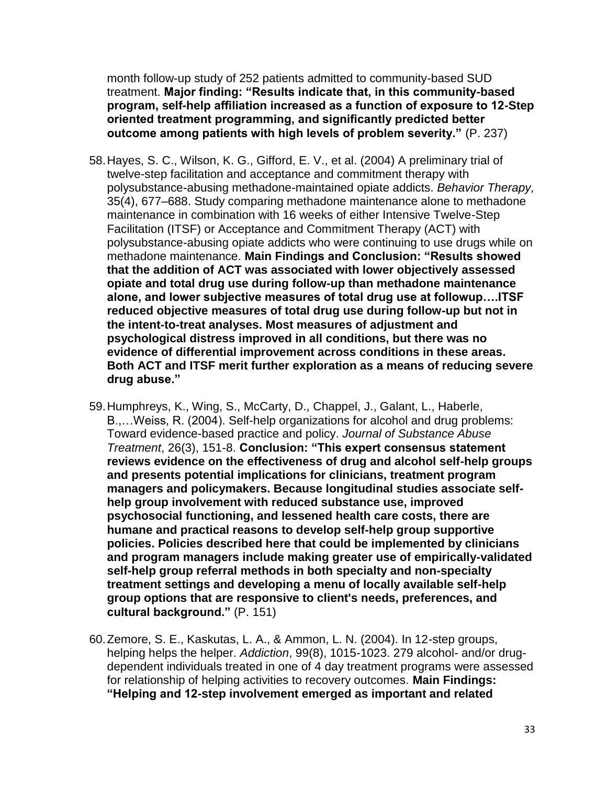month follow-up study of 252 patients admitted to community-based SUD treatment. **Major finding: "Results indicate that, in this community-based program, self-help affiliation increased as a function of exposure to 12-Step oriented treatment programming, and significantly predicted better outcome among patients with high levels of problem severity."** (P. 237)

- 58.Hayes, S. C., Wilson, K. G., Gifford, E. V., et al. (2004) A preliminary trial of twelve-step facilitation and acceptance and commitment therapy with polysubstance-abusing methadone-maintained opiate addicts. *Behavior Therapy,*  35(4), 677–688. Study comparing methadone maintenance alone to methadone maintenance in combination with 16 weeks of either Intensive Twelve-Step Facilitation (ITSF) or Acceptance and Commitment Therapy (ACT) with polysubstance-abusing opiate addicts who were continuing to use drugs while on methadone maintenance. **Main Findings and Conclusion: "Results showed that the addition of ACT was associated with lower objectively assessed opiate and total drug use during follow-up than methadone maintenance alone, and lower subjective measures of total drug use at followup….ITSF reduced objective measures of total drug use during follow-up but not in the intent-to-treat analyses. Most measures of adjustment and psychological distress improved in all conditions, but there was no evidence of differential improvement across conditions in these areas. Both ACT and ITSF merit further exploration as a means of reducing severe drug abuse."**
- 59.Humphreys, K., Wing, S., McCarty, D., Chappel, J., Galant, L., Haberle, B.,…Weiss, R. (2004). Self-help organizations for alcohol and drug problems: Toward evidence-based practice and policy. *Journal of Substance Abuse Treatment*, 26(3), 151-8. **Conclusion: "This expert consensus statement reviews evidence on the effectiveness of drug and alcohol self-help groups and presents potential implications for clinicians, treatment program managers and policymakers. Because longitudinal studies associate selfhelp group involvement with reduced substance use, improved psychosocial functioning, and lessened health care costs, there are humane and practical reasons to develop self-help group supportive policies. Policies described here that could be implemented by clinicians and program managers include making greater use of empirically-validated self-help group referral methods in both specialty and non-specialty treatment settings and developing a menu of locally available self-help group options that are responsive to client's needs, preferences, and cultural background."** (P. 151)
- 60.Zemore, S. E., Kaskutas, L. A., & Ammon, L. N. (2004). In 12-step groups, helping helps the helper. *Addiction*, 99(8), 1015-1023. 279 alcohol- and/or drugdependent individuals treated in one of 4 day treatment programs were assessed for relationship of helping activities to recovery outcomes. **Main Findings: "Helping and 12-step involvement emerged as important and related**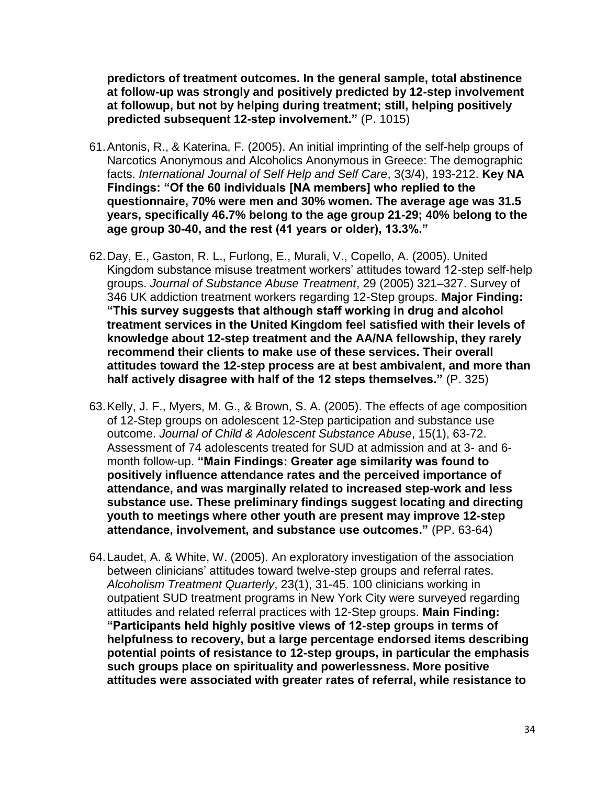**predictors of treatment outcomes. In the general sample, total abstinence at follow-up was strongly and positively predicted by 12-step involvement at followup, but not by helping during treatment; still, helping positively predicted subsequent 12-step involvement."** (P. 1015)

- 61.Antonis, R., & Katerina, F. (2005). An initial imprinting of the self-help groups of Narcotics Anonymous and Alcoholics Anonymous in Greece: The demographic facts. *International Journal of Self Help and Self Care*, 3(3/4), 193-212. **Key NA Findings: "Of the 60 individuals [NA members] who replied to the questionnaire, 70% were men and 30% women. The average age was 31.5 years, specifically 46.7% belong to the age group 21-29; 40% belong to the age group 30-40, and the rest (41 years or older), 13.3%."**
- 62.Day, E., Gaston, R. L., Furlong, E., Murali, V., Copello, A. (2005). United Kingdom substance misuse treatment workers' attitudes toward 12-step self-help groups. *Journal of Substance Abuse Treatment*, 29 (2005) 321–327. Survey of 346 UK addiction treatment workers regarding 12-Step groups. **Major Finding: "This survey suggests that although staff working in drug and alcohol treatment services in the United Kingdom feel satisfied with their levels of knowledge about 12-step treatment and the AA/NA fellowship, they rarely recommend their clients to make use of these services. Their overall attitudes toward the 12-step process are at best ambivalent, and more than half actively disagree with half of the 12 steps themselves."** (P. 325)
- 63.Kelly, J. F., Myers, M. G., & Brown, S. A. (2005). The effects of age composition of 12-Step groups on adolescent 12-Step participation and substance use outcome. *Journal of Child & Adolescent Substance Abuse*, 15(1), 63-72. Assessment of 74 adolescents treated for SUD at admission and at 3- and 6 month follow-up. **"Main Findings: Greater age similarity was found to positively influence attendance rates and the perceived importance of attendance, and was marginally related to increased step-work and less substance use. These preliminary findings suggest locating and directing youth to meetings where other youth are present may improve 12-step attendance, involvement, and substance use outcomes."** (PP. 63-64)
- 64.Laudet, A. & White, W. (2005). An exploratory investigation of the association between clinicians' attitudes toward twelve-step groups and referral rates. *Alcoholism Treatment Quarterly*, 23(1), 31-45. 100 clinicians working in outpatient SUD treatment programs in New York City were surveyed regarding attitudes and related referral practices with 12-Step groups. **Main Finding: "Participants held highly positive views of 12-step groups in terms of helpfulness to recovery, but a large percentage endorsed items describing potential points of resistance to 12-step groups, in particular the emphasis such groups place on spirituality and powerlessness. More positive attitudes were associated with greater rates of referral, while resistance to**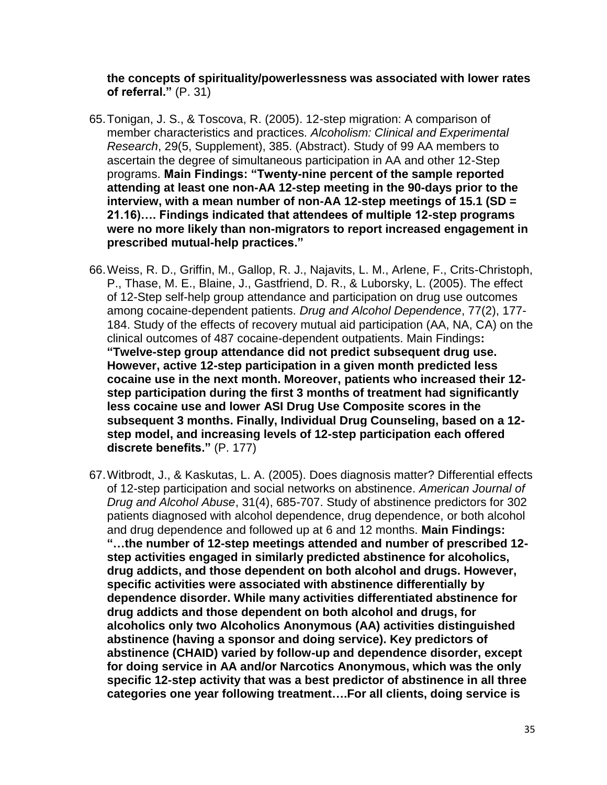**the concepts of spirituality/powerlessness was associated with lower rates of referral."** (P. 31)

- 65.Tonigan, J. S., & Toscova, R. (2005). 12-step migration: A comparison of member characteristics and practices. *Alcoholism: Clinical and Experimental Research*, 29(5, Supplement), 385. (Abstract). Study of 99 AA members to ascertain the degree of simultaneous participation in AA and other 12-Step programs. **Main Findings: "Twenty-nine percent of the sample reported attending at least one non-AA 12-step meeting in the 90-days prior to the interview, with a mean number of non-AA 12-step meetings of 15.1 (SD = 21.16)…. Findings indicated that attendees of multiple 12-step programs were no more likely than non-migrators to report increased engagement in prescribed mutual-help practices."**
- 66.Weiss, R. D., Griffin, M., Gallop, R. J., Najavits, L. M., Arlene, F., Crits-Christoph, P., Thase, M. E., Blaine, J., Gastfriend, D. R., & Luborsky, L. (2005). The effect of 12-Step self-help group attendance and participation on drug use outcomes among cocaine-dependent patients. *Drug and Alcohol Dependence*, 77(2), 177- 184. Study of the effects of recovery mutual aid participation (AA, NA, CA) on the clinical outcomes of 487 cocaine-dependent outpatients. Main Findings**: "Twelve-step group attendance did not predict subsequent drug use. However, active 12-step participation in a given month predicted less cocaine use in the next month. Moreover, patients who increased their 12 step participation during the first 3 months of treatment had significantly less cocaine use and lower ASI Drug Use Composite scores in the subsequent 3 months. Finally, Individual Drug Counseling, based on a 12 step model, and increasing levels of 12-step participation each offered discrete benefits."** (P. 177)
- 67.Witbrodt, J., & Kaskutas, L. A. (2005). Does diagnosis matter? Differential effects of 12-step participation and social networks on abstinence. *American Journal of Drug and Alcohol Abuse*, 31(4), 685-707. Study of abstinence predictors for 302 patients diagnosed with alcohol dependence, drug dependence, or both alcohol and drug dependence and followed up at 6 and 12 months. **Main Findings: "…the number of 12-step meetings attended and number of prescribed 12 step activities engaged in similarly predicted abstinence for alcoholics, drug addicts, and those dependent on both alcohol and drugs. However, specific activities were associated with abstinence differentially by dependence disorder. While many activities differentiated abstinence for drug addicts and those dependent on both alcohol and drugs, for alcoholics only two Alcoholics Anonymous (AA) activities distinguished abstinence (having a sponsor and doing service). Key predictors of abstinence (CHAID) varied by follow-up and dependence disorder, except for doing service in AA and/or Narcotics Anonymous, which was the only specific 12-step activity that was a best predictor of abstinence in all three categories one year following treatment….For all clients, doing service is**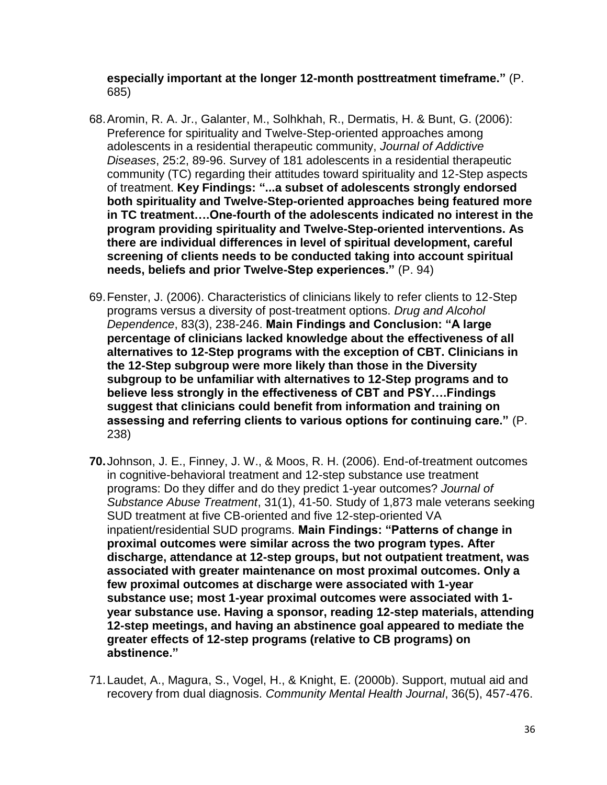**especially important at the longer 12-month posttreatment timeframe."** (P. 685)

- 68.Aromin, R. A. Jr., Galanter, M., Solhkhah, R., Dermatis, H. & Bunt, G. (2006): Preference for spirituality and Twelve-Step-oriented approaches among adolescents in a residential therapeutic community, *Journal of Addictive Diseases*, 25:2, 89-96. Survey of 181 adolescents in a residential therapeutic community (TC) regarding their attitudes toward spirituality and 12-Step aspects of treatment. **Key Findings: "...a subset of adolescents strongly endorsed both spirituality and Twelve-Step-oriented approaches being featured more in TC treatment….One-fourth of the adolescents indicated no interest in the program providing spirituality and Twelve-Step-oriented interventions. As there are individual differences in level of spiritual development, careful screening of clients needs to be conducted taking into account spiritual needs, beliefs and prior Twelve-Step experiences."** (P. 94)
- 69.Fenster, J. (2006). Characteristics of clinicians likely to refer clients to 12-Step programs versus a diversity of post-treatment options. *Drug and Alcohol Dependence*, 83(3), 238-246. **Main Findings and Conclusion: "A large percentage of clinicians lacked knowledge about the effectiveness of all alternatives to 12-Step programs with the exception of CBT. Clinicians in the 12-Step subgroup were more likely than those in the Diversity subgroup to be unfamiliar with alternatives to 12-Step programs and to believe less strongly in the effectiveness of CBT and PSY….Findings suggest that clinicians could benefit from information and training on assessing and referring clients to various options for continuing care."** (P. 238)
- **70.**Johnson, J. E., Finney, J. W., & Moos, R. H. (2006). End-of-treatment outcomes in cognitive-behavioral treatment and 12-step substance use treatment programs: Do they differ and do they predict 1-year outcomes? *Journal of Substance Abuse Treatment*, 31(1), 41-50. Study of 1,873 male veterans seeking SUD treatment at five CB-oriented and five 12-step-oriented VA inpatient/residential SUD programs. **Main Findings: "Patterns of change in proximal outcomes were similar across the two program types. After discharge, attendance at 12-step groups, but not outpatient treatment, was associated with greater maintenance on most proximal outcomes. Only a few proximal outcomes at discharge were associated with 1-year substance use; most 1-year proximal outcomes were associated with 1 year substance use. Having a sponsor, reading 12-step materials, attending 12-step meetings, and having an abstinence goal appeared to mediate the greater effects of 12-step programs (relative to CB programs) on abstinence."**
- 71.Laudet, A., Magura, S., Vogel, H., & Knight, E. (2000b). Support, mutual aid and recovery from dual diagnosis. *Community Mental Health Journal*, 36(5), 457-476.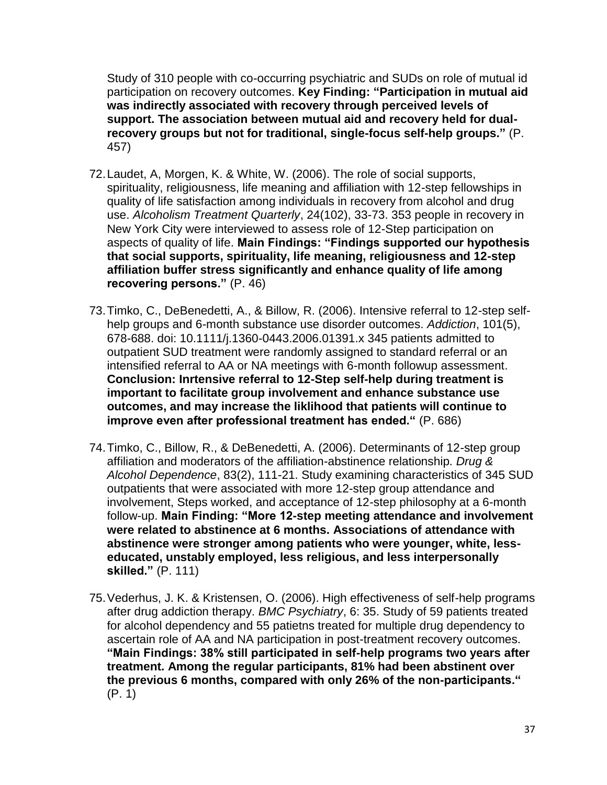Study of 310 people with co-occurring psychiatric and SUDs on role of mutual id participation on recovery outcomes. **Key Finding: "Participation in mutual aid was indirectly associated with recovery through perceived levels of support. The association between mutual aid and recovery held for dualrecovery groups but not for traditional, single-focus self-help groups."** (P. 457)

- 72.Laudet, A, Morgen, K. & White, W. (2006). The role of social supports, spirituality, religiousness, life meaning and affiliation with 12-step fellowships in quality of life satisfaction among individuals in recovery from alcohol and drug use. *Alcoholism Treatment Quarterly*, 24(102), 33-73. 353 people in recovery in New York City were interviewed to assess role of 12-Step participation on aspects of quality of life. **Main Findings: "Findings supported our hypothesis that social supports, spirituality, life meaning, religiousness and 12-step affiliation buffer stress significantly and enhance quality of life among recovering persons."** (P. 46)
- 73.Timko, C., DeBenedetti, A., & Billow, R. (2006). Intensive referral to 12-step selfhelp groups and 6-month substance use disorder outcomes. *Addiction*, 101(5), 678-688. doi: 10.1111/j.1360-0443.2006.01391.x 345 patients admitted to outpatient SUD treatment were randomly assigned to standard referral or an intensified referral to AA or NA meetings with 6-month followup assessment. **Conclusion: Inrtensive referral to 12-Step self-help during treatment is important to facilitate group involvement and enhance substance use outcomes, and may increase the liklihood that patients will continue to improve even after professional treatment has ended."** (P. 686)
- 74.Timko, C., Billow, R., & DeBenedetti, A. (2006). Determinants of 12-step group affiliation and moderators of the affiliation-abstinence relationship*. Drug & Alcohol Dependence*, 83(2), 111-21. Study examining characteristics of 345 SUD outpatients that were associated with more 12-step group attendance and involvement, Steps worked, and acceptance of 12-step philosophy at a 6-month follow-up. **Main Finding: "More 12-step meeting attendance and involvement were related to abstinence at 6 months. Associations of attendance with abstinence were stronger among patients who were younger, white, lesseducated, unstably employed, less religious, and less interpersonally skilled."** (P. 111)
- 75.Vederhus, J. K. & Kristensen, O. (2006). High effectiveness of self-help programs after drug addiction therapy. *BMC Psychiatry*, 6: 35. Study of 59 patients treated for alcohol dependency and 55 patietns treated for multiple drug dependency to ascertain role of AA and NA participation in post-treatment recovery outcomes. **"Main Findings: 38% still participated in self-help programs two years after treatment. Among the regular participants, 81% had been abstinent over the previous 6 months, compared with only 26% of the non-participants."** (P. 1)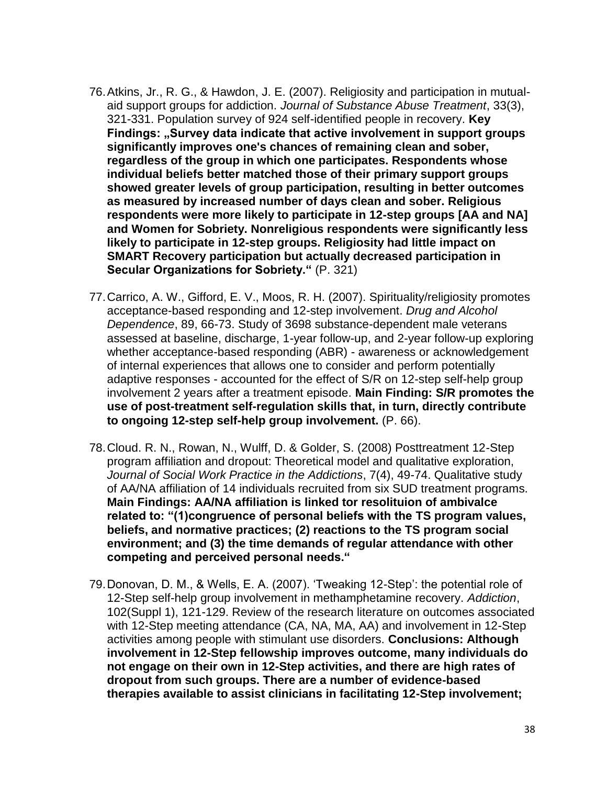- 76.Atkins, Jr., R. G., & Hawdon, J. E. (2007). Religiosity and participation in mutualaid support groups for addiction. *Journal of Substance Abuse Treatment*, 33(3), 321-331. Population survey of 924 self-identified people in recovery. **Key Findings: "Survey data indicate that active involvement in support groups significantly improves one's chances of remaining clean and sober, regardless of the group in which one participates. Respondents whose individual beliefs better matched those of their primary support groups showed greater levels of group participation, resulting in better outcomes as measured by increased number of days clean and sober. Religious respondents were more likely to participate in 12-step groups [AA and NA] and Women for Sobriety. Nonreligious respondents were significantly less likely to participate in 12-step groups. Religiosity had little impact on SMART Recovery participation but actually decreased participation in Secular Organizations for Sobriety."** (P. 321)
- 77.Carrico, A. W., Gifford, E. V., Moos, R. H. (2007). Spirituality/religiosity promotes acceptance-based responding and 12-step involvement. *Drug and Alcohol Dependence*, 89, 66-73. Study of 3698 substance-dependent male veterans assessed at baseline, discharge, 1-year follow-up, and 2-year follow-up exploring whether acceptance-based responding (ABR) - awareness or acknowledgement of internal experiences that allows one to consider and perform potentially adaptive responses - accounted for the effect of S/R on 12-step self-help group involvement 2 years after a treatment episode. **Main Finding: S/R promotes the use of post-treatment self-regulation skills that, in turn, directly contribute to ongoing 12-step self-help group involvement.** (P. 66).
- 78.Cloud. R. N., Rowan, N., Wulff, D. & Golder, S. (2008) Posttreatment 12-Step program affiliation and dropout: Theoretical model and qualitative exploration, *Journal of Social Work Practice in the Addictions*, 7(4), 49-74. Qualitative study of AA/NA affiliation of 14 individuals recruited from six SUD treatment programs. **Main Findings: AA/NA affiliation is linked tor resolituion of ambivalce related to: "(1)congruence of personal beliefs with the TS program values, beliefs, and normative practices; (2) reactions to the TS program social environment; and (3) the time demands of regular attendance with other competing and perceived personal needs."**
- 79.Donovan, D. M., & Wells, E. A. (2007). 'Tweaking 12-Step': the potential role of 12-Step self-help group involvement in methamphetamine recovery. *Addiction*, 102(Suppl 1), 121-129. Review of the research literature on outcomes associated with 12-Step meeting attendance (CA, NA, MA, AA) and involvement in 12-Step activities among people with stimulant use disorders. **Conclusions: Although involvement in 12-Step fellowship improves outcome, many individuals do not engage on their own in 12-Step activities, and there are high rates of dropout from such groups. There are a number of evidence-based therapies available to assist clinicians in facilitating 12-Step involvement;**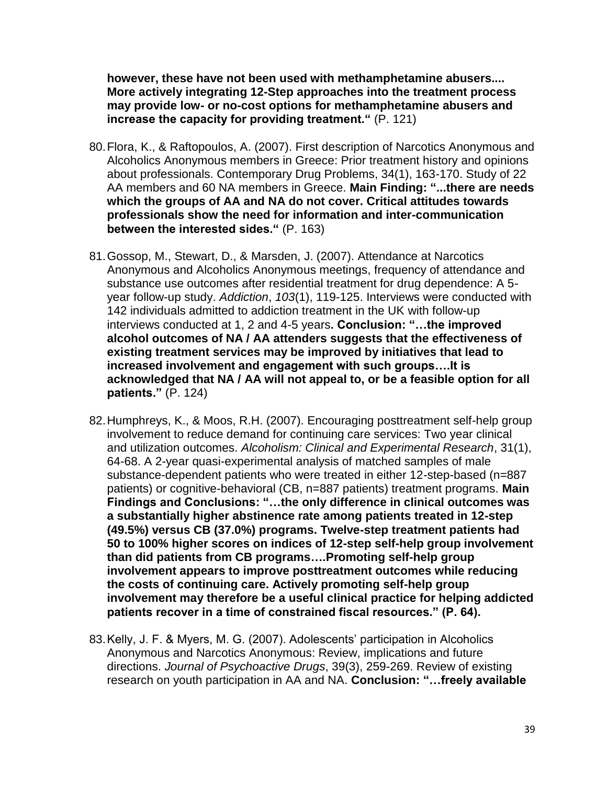**however, these have not been used with methamphetamine abusers.... More actively integrating 12-Step approaches into the treatment process may provide low- or no-cost options for methamphetamine abusers and increase the capacity for providing treatment."** (P. 121)

- 80.Flora, K., & Raftopoulos, A. (2007). First description of Narcotics Anonymous and Alcoholics Anonymous members in Greece: Prior treatment history and opinions about professionals. Contemporary Drug Problems, 34(1), 163-170. Study of 22 AA members and 60 NA members in Greece. **Main Finding: "...there are needs which the groups of AA and NA do not cover. Critical attitudes towards professionals show the need for information and inter-communication between the interested sides."** (P. 163)
- 81.Gossop, M., Stewart, D., & Marsden, J. (2007). Attendance at Narcotics Anonymous and Alcoholics Anonymous meetings, frequency of attendance and substance use outcomes after residential treatment for drug dependence: A 5 year follow-up study. *Addiction*, *103*(1), 119-125. Interviews were conducted with 142 individuals admitted to addiction treatment in the UK with follow-up interviews conducted at 1, 2 and 4-5 years**. Conclusion: "…the improved alcohol outcomes of NA / AA attenders suggests that the effectiveness of existing treatment services may be improved by initiatives that lead to increased involvement and engagement with such groups….It is acknowledged that NA / AA will not appeal to, or be a feasible option for all patients."** (P. 124)
- 82.Humphreys, K., & Moos, R.H. (2007). Encouraging posttreatment self-help group involvement to reduce demand for continuing care services: Two year clinical and utilization outcomes. *Alcoholism: Clinical and Experimental Research*, 31(1), 64-68. A 2-year quasi-experimental analysis of matched samples of male substance-dependent patients who were treated in either 12-step-based (n=887 patients) or cognitive-behavioral (CB, n=887 patients) treatment programs. **Main Findings and Conclusions: "…the only difference in clinical outcomes was a substantially higher abstinence rate among patients treated in 12-step (49.5%) versus CB (37.0%) programs. Twelve-step treatment patients had 50 to 100% higher scores on indices of 12-step self-help group involvement than did patients from CB programs….Promoting self-help group involvement appears to improve posttreatment outcomes while reducing the costs of continuing care. Actively promoting self-help group involvement may therefore be a useful clinical practice for helping addicted patients recover in a time of constrained fiscal resources." (P. 64).**
- 83.Kelly, J. F. & Myers, M. G. (2007). Adolescents' participation in Alcoholics Anonymous and Narcotics Anonymous: Review, implications and future directions. *Journal of Psychoactive Drugs*, 39(3), 259-269. Review of existing research on youth participation in AA and NA. **Conclusion: "…freely available**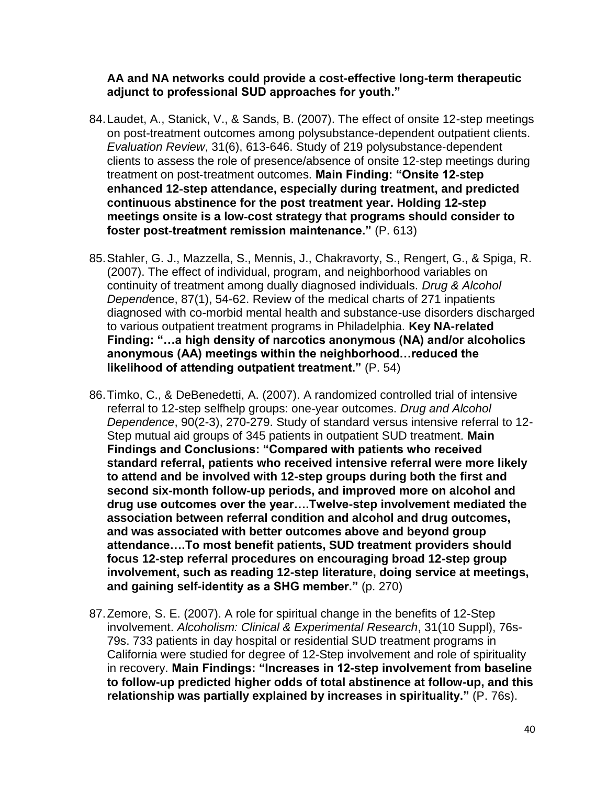#### **AA and NA networks could provide a cost-effective long-term therapeutic adjunct to professional SUD approaches for youth."**

- 84.Laudet, A., Stanick, V., & Sands, B. (2007). The effect of onsite 12-step meetings on post-treatment outcomes among polysubstance-dependent outpatient clients. *Evaluation Review*, 31(6), 613-646. Study of 219 polysubstance‐dependent clients to assess the role of presence/absence of onsite 12‐step meetings during treatment on post‐treatment outcomes. **Main Finding: "Onsite 12**‐**step enhanced 12**‐**step attendance, especially during treatment, and predicted continuous abstinence for the post treatment year. Holding 12**‐**step meetings onsite is a low**‐**cost strategy that programs should consider to foster post**‐**treatment remission maintenance."** (P. 613)
- 85.Stahler, G. J., Mazzella, S., Mennis, J., Chakravorty, S., Rengert, G., & Spiga, R. (2007). The effect of individual, program, and neighborhood variables on continuity of treatment among dually diagnosed individuals. *Drug & Alcohol Depend*ence, 87(1), 54-62. Review of the medical charts of 271 inpatients diagnosed with co-morbid mental health and substance-use disorders discharged to various outpatient treatment programs in Philadelphia. **Key NA-related Finding: "…a high density of narcotics anonymous (NA) and/or alcoholics anonymous (AA) meetings within the neighborhood…reduced the likelihood of attending outpatient treatment."** (P. 54)
- 86.Timko, C., & DeBenedetti, A. (2007). A randomized controlled trial of intensive referral to 12-step selfhelp groups: one-year outcomes. *Drug and Alcohol Dependence*, 90(2-3), 270-279. Study of standard versus intensive referral to 12- Step mutual aid groups of 345 patients in outpatient SUD treatment. **Main Findings and Conclusions: "Compared with patients who received standard referral, patients who received intensive referral were more likely to attend and be involved with 12-step groups during both the first and second six-month follow-up periods, and improved more on alcohol and drug use outcomes over the year….Twelve-step involvement mediated the association between referral condition and alcohol and drug outcomes, and was associated with better outcomes above and beyond group attendance….To most benefit patients, SUD treatment providers should focus 12-step referral procedures on encouraging broad 12-step group involvement, such as reading 12-step literature, doing service at meetings, and gaining self-identity as a SHG member."** (p. 270)
- 87.Zemore, S. E. (2007). A role for spiritual change in the benefits of 12-Step involvement. *Alcoholism: Clinical & Experimental Research*, 31(10 Suppl), 76s-79s. 733 patients in day hospital or residential SUD treatment programs in California were studied for degree of 12-Step involvement and role of spirituality in recovery. **Main Findings: "Increases in 12-step involvement from baseline to follow-up predicted higher odds of total abstinence at follow-up, and this relationship was partially explained by increases in spirituality."** (P. 76s).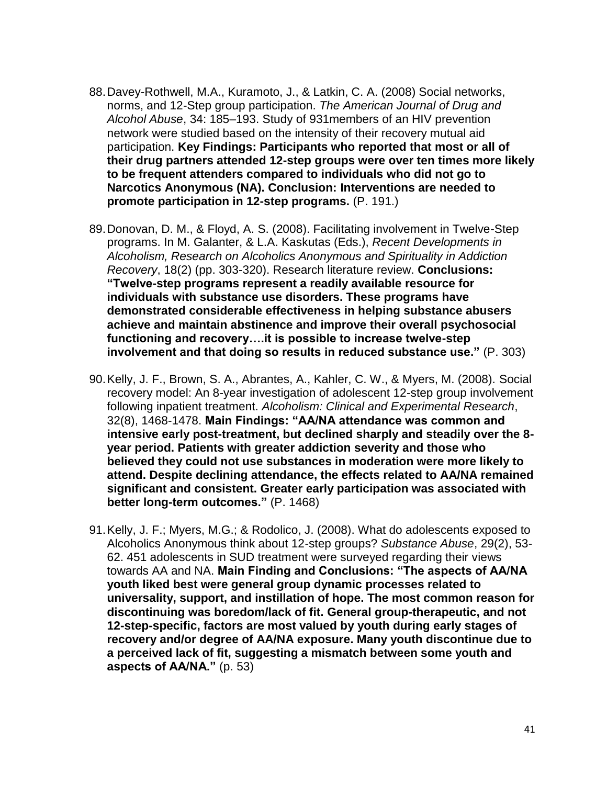- 88.Davey-Rothwell, M.A., Kuramoto, J., & Latkin, C. A. (2008) Social networks, norms, and 12-Step group participation. *The American Journal of Drug and Alcohol Abuse*, 34: 185–193. Study of 931members of an HIV prevention network were studied based on the intensity of their recovery mutual aid participation. **Key Findings: Participants who reported that most or all of their drug partners attended 12-step groups were over ten times more likely to be frequent attenders compared to individuals who did not go to Narcotics Anonymous (NA). Conclusion: Interventions are needed to promote participation in 12-step programs.** (P. 191.)
- 89.Donovan, D. M., & Floyd, A. S. (2008). Facilitating involvement in Twelve-Step programs. In M. Galanter, & L.A. Kaskutas (Eds.), *Recent Developments in Alcoholism, Research on Alcoholics Anonymous and Spirituality in Addiction Recovery*, 18(2) (pp. 303-320). Research literature review. **Conclusions: "Twelve-step programs represent a readily available resource for individuals with substance use disorders. These programs have demonstrated considerable effectiveness in helping substance abusers achieve and maintain abstinence and improve their overall psychosocial functioning and recovery….it is possible to increase twelve-step involvement and that doing so results in reduced substance use."** (P. 303)
- 90.Kelly, J. F., Brown, S. A., Abrantes, A., Kahler, C. W., & Myers, M. (2008). Social recovery model: An 8-year investigation of adolescent 12-step group involvement following inpatient treatment. *Alcoholism: Clinical and Experimental Research*, 32(8), 1468-1478. **Main Findings: "AA/NA attendance was common and intensive early post-treatment, but declined sharply and steadily over the 8 year period. Patients with greater addiction severity and those who believed they could not use substances in moderation were more likely to attend. Despite declining attendance, the effects related to AA/NA remained significant and consistent. Greater early participation was associated with better long-term outcomes."** (P. 1468)
- 91.Kelly, J. F.; Myers, M.G.; & Rodolico, J. (2008). What do adolescents exposed to Alcoholics Anonymous think about 12-step groups? *Substance Abuse*, 29(2), 53- 62. 451 adolescents in SUD treatment were surveyed regarding their views towards AA and NA. **Main Finding and Conclusions: "The aspects of AA/NA youth liked best were general group dynamic processes related to universality, support, and instillation of hope. The most common reason for discontinuing was boredom/lack of fit. General group-therapeutic, and not 12-step-specific, factors are most valued by youth during early stages of recovery and/or degree of AA/NA exposure. Many youth discontinue due to a perceived lack of fit, suggesting a mismatch between some youth and aspects of AA/NA."** (p. 53)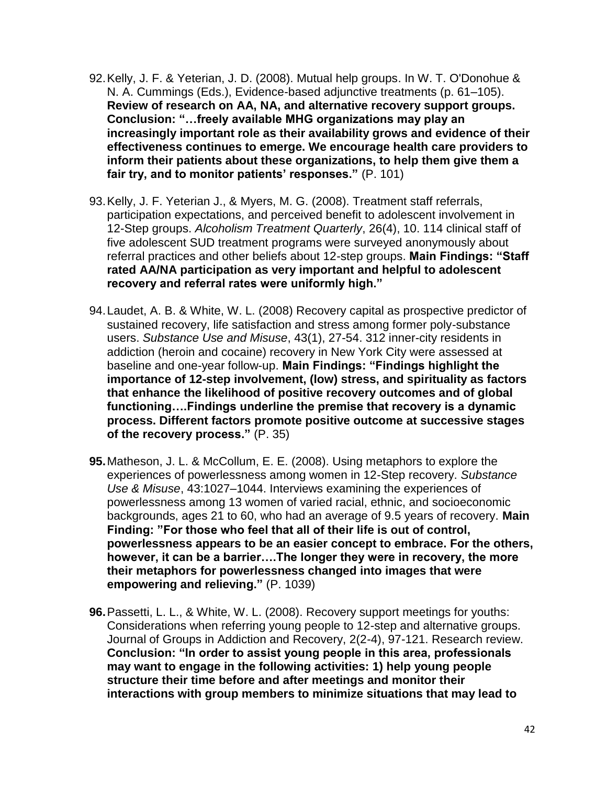- 92.Kelly, J. F. & Yeterian, J. D. (2008). Mutual help groups. In W. T. O'Donohue & N. A. Cummings (Eds.), Evidence-based adjunctive treatments (p. 61–105). **Review of research on AA, NA, and alternative recovery support groups. Conclusion: "…freely available MHG organizations may play an increasingly important role as their availability grows and evidence of their effectiveness continues to emerge. We encourage health care providers to inform their patients about these organizations, to help them give them a fair try, and to monitor patients' responses."** (P. 101)
- 93.Kelly, J. F. Yeterian J., & Myers, M. G. (2008). Treatment staff referrals, participation expectations, and perceived benefit to adolescent involvement in 12-Step groups. *Alcoholism Treatment Quarterly*, 26(4), 10. 114 clinical staff of five adolescent SUD treatment programs were surveyed anonymously about referral practices and other beliefs about 12-step groups. **Main Findings: "Staff rated AA/NA participation as very important and helpful to adolescent recovery and referral rates were uniformly high."**
- 94.Laudet, A. B. & White, W. L. (2008) Recovery capital as prospective predictor of sustained recovery, life satisfaction and stress among former poly-substance users. *Substance Use and Misuse*, 43(1), 27-54. 312 inner-city residents in addiction (heroin and cocaine) recovery in New York City were assessed at baseline and one-year follow-up. **Main Findings: "Findings highlight the importance of 12-step involvement, (low) stress, and spirituality as factors that enhance the likelihood of positive recovery outcomes and of global functioning….Findings underline the premise that recovery is a dynamic process. Different factors promote positive outcome at successive stages of the recovery process."** (P. 35)
- **95.**Matheson, J. L. & McCollum, E. E. (2008). Using metaphors to explore the experiences of powerlessness among women in 12-Step recovery. *Substance Use & Misuse*, 43:1027–1044. Interviews examining the experiences of powerlessness among 13 women of varied racial, ethnic, and socioeconomic backgrounds, ages 21 to 60, who had an average of 9.5 years of recovery. **Main Finding: "For those who feel that all of their life is out of control, powerlessness appears to be an easier concept to embrace. For the others, however, it can be a barrier….The longer they were in recovery, the more their metaphors for powerlessness changed into images that were empowering and relieving."** (P. 1039)
- **96.**Passetti, L. L., & White, W. L. (2008). Recovery support meetings for youths: Considerations when referring young people to 12-step and alternative groups. Journal of Groups in Addiction and Recovery, 2(2-4), 97-121. Research review. **Conclusion: "In order to assist young people in this area, professionals may want to engage in the following activities: 1) help young people structure their time before and after meetings and monitor their interactions with group members to minimize situations that may lead to**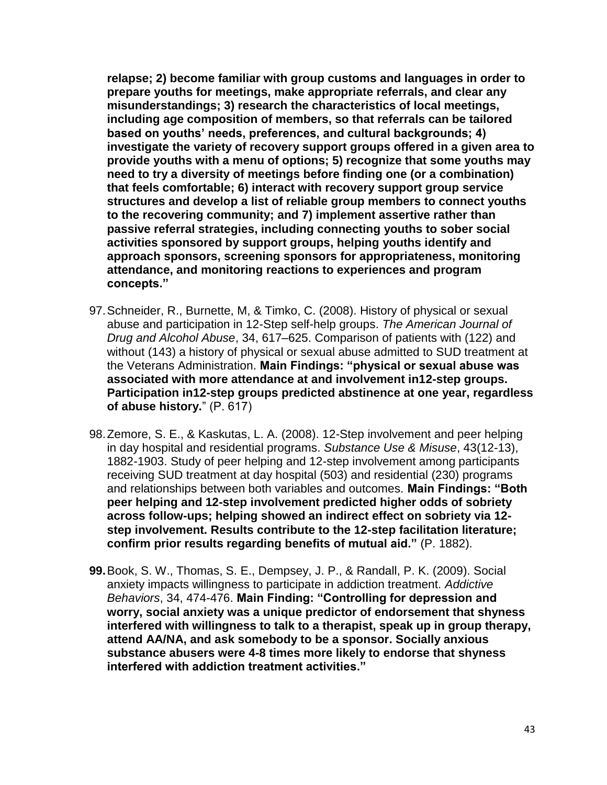**relapse; 2) become familiar with group customs and languages in order to prepare youths for meetings, make appropriate referrals, and clear any misunderstandings; 3) research the characteristics of local meetings, including age composition of members, so that referrals can be tailored based on youths' needs, preferences, and cultural backgrounds; 4) investigate the variety of recovery support groups offered in a given area to provide youths with a menu of options; 5) recognize that some youths may need to try a diversity of meetings before finding one (or a combination) that feels comfortable; 6) interact with recovery support group service structures and develop a list of reliable group members to connect youths to the recovering community; and 7) implement assertive rather than passive referral strategies, including connecting youths to sober social activities sponsored by support groups, helping youths identify and approach sponsors, screening sponsors for appropriateness, monitoring attendance, and monitoring reactions to experiences and program concepts."**

- 97.Schneider, R., Burnette, M, & Timko, C. (2008). History of physical or sexual abuse and participation in 12-Step self-help groups. *The American Journal of Drug and Alcohol Abuse*, 34, 617–625. Comparison of patients with (122) and without (143) a history of physical or sexual abuse admitted to SUD treatment at the Veterans Administration. **Main Findings: "physical or sexual abuse was associated with more attendance at and involvement in12-step groups. Participation in12-step groups predicted abstinence at one year, regardless of abuse history.**" (P. 617)
- 98.Zemore, S. E., & Kaskutas, L. A. (2008). 12-Step involvement and peer helping in day hospital and residential programs. *Substance Use & Misuse*, 43(12-13), 1882-1903. Study of peer helping and 12-step involvement among participants receiving SUD treatment at day hospital (503) and residential (230) programs and relationships between both variables and outcomes. **Main Findings: "Both peer helping and 12-step involvement predicted higher odds of sobriety across follow-ups; helping showed an indirect effect on sobriety via 12 step involvement. Results contribute to the 12-step facilitation literature; confirm prior results regarding benefits of mutual aid."** (P. 1882).
- **99.**Book, S. W., Thomas, S. E., Dempsey, J. P., & Randall, P. K. (2009). Social anxiety impacts willingness to participate in addiction treatment. *Addictive Behaviors*, 34, 474-476. **Main Finding: "Controlling for depression and worry, social anxiety was a unique predictor of endorsement that shyness interfered with willingness to talk to a therapist, speak up in group therapy, attend AA/NA, and ask somebody to be a sponsor. Socially anxious substance abusers were 4-8 times more likely to endorse that shyness interfered with addiction treatment activities."**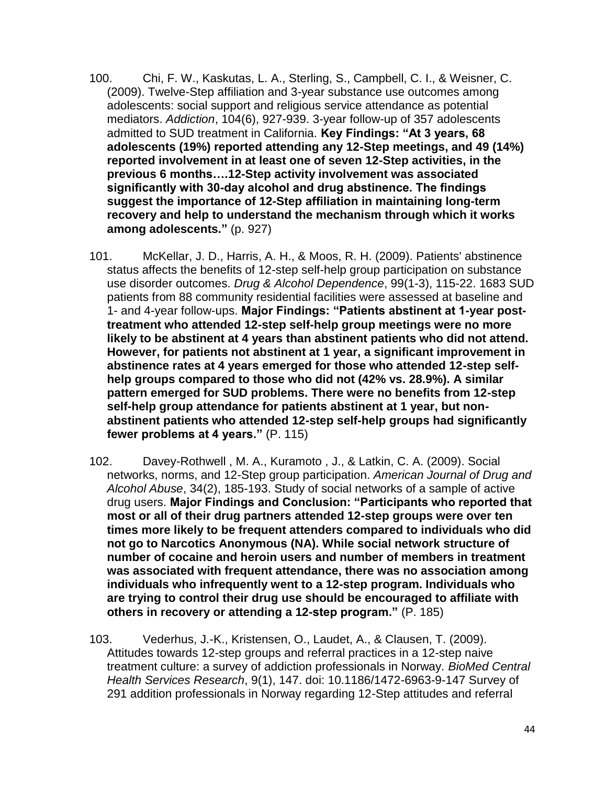- 100. Chi, F. W., Kaskutas, L. A., Sterling, S., Campbell, C. I., & Weisner, C. (2009). Twelve-Step affiliation and 3-year substance use outcomes among adolescents: social support and religious service attendance as potential mediators. *Addiction*, 104(6), 927-939. 3-year follow-up of 357 adolescents admitted to SUD treatment in California. **Key Findings: "At 3 years, 68 adolescents (19%) reported attending any 12-Step meetings, and 49 (14%) reported involvement in at least one of seven 12-Step activities, in the previous 6 months….12-Step activity involvement was associated significantly with 30-day alcohol and drug abstinence. The findings suggest the importance of 12-Step affiliation in maintaining long-term recovery and help to understand the mechanism through which it works among adolescents."** (p. 927)
- 101. McKellar, J. D., Harris, A. H., & Moos, R. H. (2009). Patients' abstinence status affects the benefits of 12-step self-help group participation on substance use disorder outcomes. *Drug & Alcohol Dependence*, 99(1-3), 115-22. 1683 SUD patients from 88 community residential facilities were assessed at baseline and 1- and 4-year follow-ups. **Major Findings: "Patients abstinent at 1-year posttreatment who attended 12-step self-help group meetings were no more likely to be abstinent at 4 years than abstinent patients who did not attend. However, for patients not abstinent at 1 year, a significant improvement in abstinence rates at 4 years emerged for those who attended 12-step selfhelp groups compared to those who did not (42% vs. 28.9%). A similar pattern emerged for SUD problems. There were no benefits from 12-step self-help group attendance for patients abstinent at 1 year, but nonabstinent patients who attended 12-step self-help groups had significantly fewer problems at 4 years."** (P. 115)
- 102. Davey-Rothwell , M. A., Kuramoto , J., & Latkin, C. A. (2009). Social networks, norms, and 12-Step group participation. *American Journal of Drug and Alcohol Abuse*, 34(2), 185-193. Study of social networks of a sample of active drug users. **Major Findings and Conclusion: "Participants who reported that most or all of their drug partners attended 12-step groups were over ten times more likely to be frequent attenders compared to individuals who did not go to Narcotics Anonymous (NA). While social network structure of number of cocaine and heroin users and number of members in treatment was associated with frequent attendance, there was no association among individuals who infrequently went to a 12-step program. Individuals who are trying to control their drug use should be encouraged to affiliate with others in recovery or attending a 12-step program."** (P. 185)
- 103. Vederhus, J.-K., Kristensen, O., Laudet, A., & Clausen, T. (2009). Attitudes towards 12-step groups and referral practices in a 12-step naive treatment culture: a survey of addiction professionals in Norway. *BioMed Central Health Services Research*, 9(1), 147. doi: 10.1186/1472-6963-9-147 Survey of 291 addition professionals in Norway regarding 12-Step attitudes and referral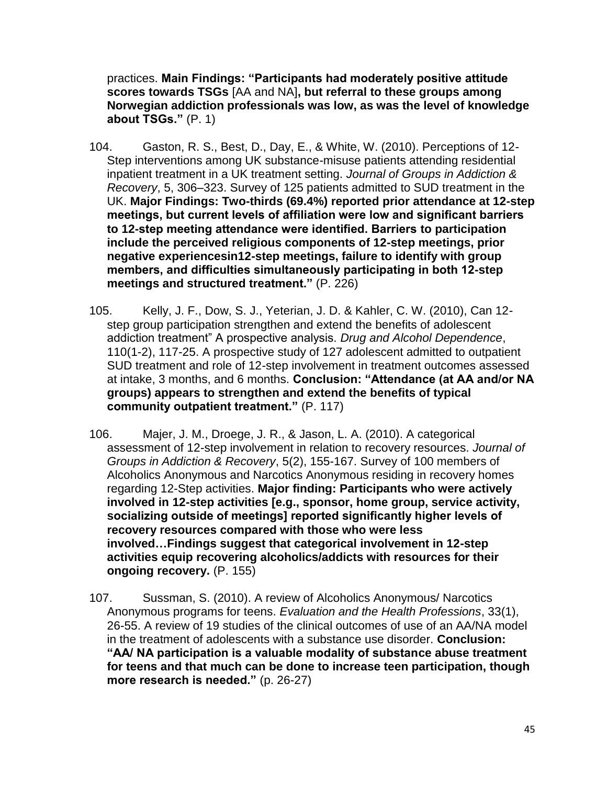practices. **Main Findings: "Participants had moderately positive attitude scores towards TSGs** [AA and NA]**, but referral to these groups among Norwegian addiction professionals was low, as was the level of knowledge about TSGs."** (P. 1)

- 104. Gaston, R. S., Best, D., Day, E., & White, W. (2010). Perceptions of 12- Step interventions among UK substance-misuse patients attending residential inpatient treatment in a UK treatment setting. *Journal of Groups in Addiction & Recovery*, 5, 306–323. Survey of 125 patients admitted to SUD treatment in the UK. **Major Findings: Two-thirds (69.4%) reported prior attendance at 12-step meetings, but current levels of affiliation were low and significant barriers to 12-step meeting attendance were identified. Barriers to participation include the perceived religious components of 12-step meetings, prior negative experiencesin12-step meetings, failure to identify with group members, and difficulties simultaneously participating in both 12-step meetings and structured treatment."** (P. 226)
- 105. Kelly, J. F., Dow, S. J., Yeterian, J. D. & Kahler, C. W. (2010), Can 12 step group participation strengthen and extend the benefits of adolescent addiction treatment" A prospective analysis. *Drug and Alcohol Dependence*, 110(1-2), 117-25. A prospective study of 127 adolescent admitted to outpatient SUD treatment and role of 12-step involvement in treatment outcomes assessed at intake, 3 months, and 6 months. **Conclusion: "Attendance (at AA and/or NA groups) appears to strengthen and extend the benefits of typical community outpatient treatment."** (P. 117)
- 106. Majer, J. M., Droege, J. R., & Jason, L. A. (2010). A categorical assessment of 12-step involvement in relation to recovery resources. *Journal of Groups in Addiction & Recovery*, 5(2), 155-167. Survey of 100 members of Alcoholics Anonymous and Narcotics Anonymous residing in recovery homes regarding 12-Step activities. **Major finding: Participants who were actively involved in 12-step activities [e.g., sponsor, home group, service activity, socializing outside of meetings] reported significantly higher levels of recovery resources compared with those who were less involved…Findings suggest that categorical involvement in 12-step activities equip recovering alcoholics/addicts with resources for their ongoing recovery.** (P. 155)
- 107. Sussman, S. (2010). A review of Alcoholics Anonymous/ Narcotics Anonymous programs for teens. *Evaluation and the Health Professions*, 33(1), 26-55. A review of 19 studies of the clinical outcomes of use of an AA/NA model in the treatment of adolescents with a substance use disorder. **Conclusion: "AA/ NA participation is a valuable modality of substance abuse treatment for teens and that much can be done to increase teen participation, though more research is needed."** (p. 26-27)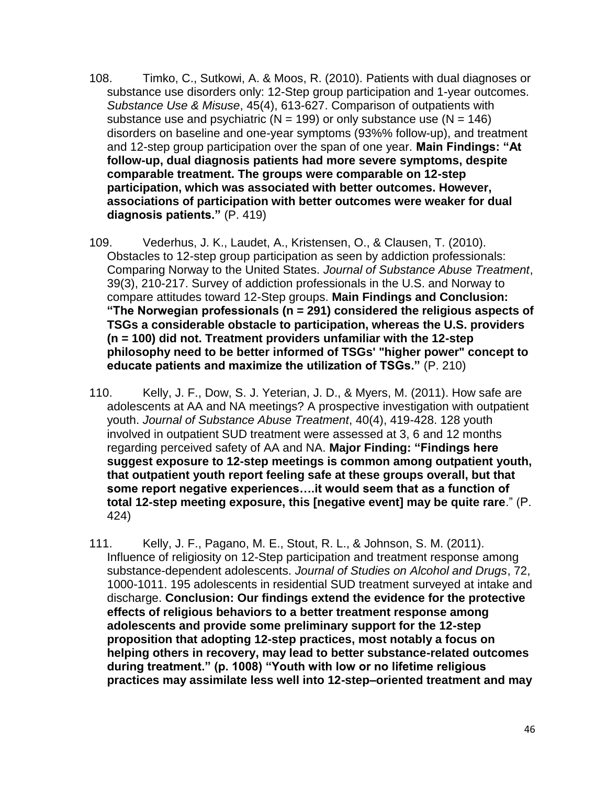- 108. Timko, C., Sutkowi, A. & Moos, R. (2010). Patients with dual diagnoses or substance use disorders only: 12-Step group participation and 1-year outcomes. *Substance Use & Misuse*, 45(4), 613-627. Comparison of outpatients with substance use and psychiatric ( $N = 199$ ) or only substance use ( $N = 146$ ) disorders on baseline and one-year symptoms (93%% follow-up), and treatment and 12-step group participation over the span of one year. **Main Findings: "At follow-up, dual diagnosis patients had more severe symptoms, despite comparable treatment. The groups were comparable on 12-step participation, which was associated with better outcomes. However, associations of participation with better outcomes were weaker for dual diagnosis patients."** (P. 419)
- 109. Vederhus, J. K., Laudet, A., Kristensen, O., & Clausen, T. (2010). Obstacles to 12-step group participation as seen by addiction professionals: Comparing Norway to the United States. *Journal of Substance Abuse Treatment*, 39(3), 210-217. Survey of addiction professionals in the U.S. and Norway to compare attitudes toward 12-Step groups. **Main Findings and Conclusion: "The Norwegian professionals (n = 291) considered the religious aspects of TSGs a considerable obstacle to participation, whereas the U.S. providers (n = 100) did not. Treatment providers unfamiliar with the 12-step philosophy need to be better informed of TSGs' "higher power" concept to educate patients and maximize the utilization of TSGs."** (P. 210)
- 110. Kelly, J. F., Dow, S. J. Yeterian, J. D., & Myers, M. (2011). How safe are adolescents at AA and NA meetings? A prospective investigation with outpatient youth. *Journal of Substance Abuse Treatment*, 40(4), 419-428. 128 youth involved in outpatient SUD treatment were assessed at 3, 6 and 12 months regarding perceived safety of AA and NA. **Major Finding: "Findings here suggest exposure to 12-step meetings is common among outpatient youth, that outpatient youth report feeling safe at these groups overall, but that some report negative experiences….it would seem that as a function of total 12-step meeting exposure, this [negative event] may be quite rare**." (P. 424)
- 111. Kelly, J. F., Pagano, M. E., Stout, R. L., & Johnson, S. M. (2011). Influence of religiosity on 12-Step participation and treatment response among substance-dependent adolescents. *Journal of Studies on Alcohol and Drugs*, 72, 1000-1011. 195 adolescents in residential SUD treatment surveyed at intake and discharge. **Conclusion: Our findings extend the evidence for the protective effects of religious behaviors to a better treatment response among adolescents and provide some preliminary support for the 12-step proposition that adopting 12-step practices, most notably a focus on helping others in recovery, may lead to better substance-related outcomes during treatment." (p. 1008) "Youth with low or no lifetime religious practices may assimilate less well into 12-step–oriented treatment and may**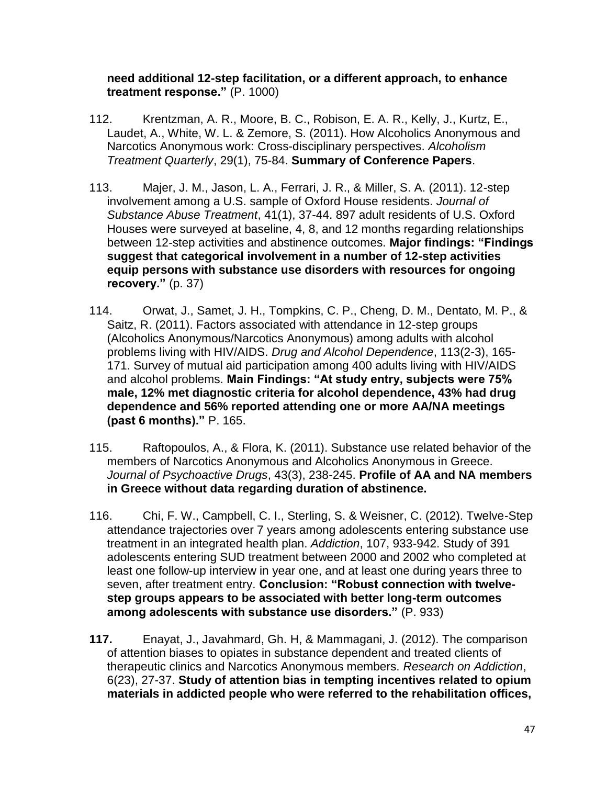#### **need additional 12-step facilitation, or a different approach, to enhance treatment response."** (P. 1000)

- 112. Krentzman, A. R., Moore, B. C., Robison, E. A. R., Kelly, J., Kurtz, E., Laudet, A., White, W. L. & Zemore, S. (2011). How Alcoholics Anonymous and Narcotics Anonymous work: Cross-disciplinary perspectives. *Alcoholism Treatment Quarterly*, 29(1), 75-84. **Summary of Conference Papers**.
- 113. Majer, J. M., Jason, L. A., Ferrari, J. R., & Miller, S. A. (2011). 12-step involvement among a U.S. sample of Oxford House residents. *Journal of Substance Abuse Treatment*, 41(1), 37-44. 897 adult residents of U.S. Oxford Houses were surveyed at baseline, 4, 8, and 12 months regarding relationships between 12-step activities and abstinence outcomes. **Major findings: "Findings suggest that categorical involvement in a number of 12-step activities equip persons with substance use disorders with resources for ongoing recovery."** (p. 37)
- 114. Orwat, J., Samet, J. H., Tompkins, C. P., Cheng, D. M., Dentato, M. P., & Saitz, R. (2011). Factors associated with attendance in 12-step groups (Alcoholics Anonymous/Narcotics Anonymous) among adults with alcohol problems living with HIV/AIDS. *Drug and Alcohol Dependence*, 113(2-3), 165- 171. Survey of mutual aid participation among 400 adults living with HIV/AIDS and alcohol problems. **Main Findings: "At study entry, subjects were 75% male, 12% met diagnostic criteria for alcohol dependence, 43% had drug dependence and 56% reported attending one or more AA/NA meetings (past 6 months)."** P. 165.
- 115. Raftopoulos, A., & Flora, K. (2011). Substance use related behavior of the members of Narcotics Anonymous and Alcoholics Anonymous in Greece. *Journal of Psychoactive Drugs*, 43(3), 238-245. **Profile of AA and NA members in Greece without data regarding duration of abstinence.**
- 116. Chi, F. W., Campbell, C. I., Sterling, S. & Weisner, C. (2012). Twelve-Step attendance trajectories over 7 years among adolescents entering substance use treatment in an integrated health plan. *Addiction*, 107, 933-942. Study of 391 adolescents entering SUD treatment between 2000 and 2002 who completed at least one follow-up interview in year one, and at least one during years three to seven, after treatment entry. **Conclusion: "Robust connection with twelvestep groups appears to be associated with better long-term outcomes among adolescents with substance use disorders."** (P. 933)
- **117.** Enayat, J., Javahmard, Gh. H, & Mammagani, J. (2012). The comparison of attention biases to opiates in substance dependent and treated clients of therapeutic clinics and Narcotics Anonymous members. *Research on Addiction*, 6(23), 27-37. **Study of attention bias in tempting incentives related to opium materials in addicted people who were referred to the rehabilitation offices,**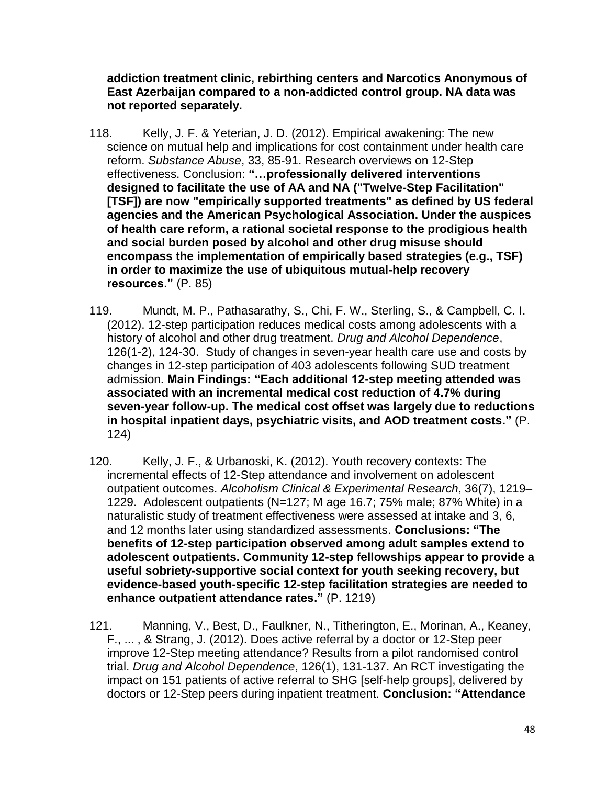**addiction treatment clinic, rebirthing centers and Narcotics Anonymous of East Azerbaijan compared to a non-addicted control group. NA data was not reported separately.** 

- 118. Kelly, J. F. & Yeterian, J. D. (2012). Empirical awakening: The new science on mutual help and implications for cost containment under health care reform. *Substance Abuse*, 33, 85-91. Research overviews on 12-Step effectiveness. Conclusion: **"…professionally delivered interventions designed to facilitate the use of AA and NA ("Twelve-Step Facilitation" [TSF]) are now "empirically supported treatments" as defined by US federal agencies and the American Psychological Association. Under the auspices of health care reform, a rational societal response to the prodigious health and social burden posed by alcohol and other drug misuse should encompass the implementation of empirically based strategies (e.g., TSF) in order to maximize the use of ubiquitous mutual-help recovery resources."** (P. 85)
- 119. Mundt, M. P., Pathasarathy, S., Chi, F. W., Sterling, S., & Campbell, C. I. (2012). 12-step participation reduces medical costs among adolescents with a history of alcohol and other drug treatment. *Drug and Alcohol Dependence*, 126(1-2), 124-30. Study of changes in seven-year health care use and costs by changes in 12-step participation of 403 adolescents following SUD treatment admission. **Main Findings: "Each additional 12-step meeting attended was associated with an incremental medical cost reduction of 4.7% during seven-year follow-up. The medical cost offset was largely due to reductions in hospital inpatient days, psychiatric visits, and AOD treatment costs."** (P. 124)
- 120. Kelly, J. F., & Urbanoski, K. (2012). Youth recovery contexts: The incremental effects of 12-Step attendance and involvement on adolescent outpatient outcomes. *Alcoholism Clinical & Experimental Research*, 36(7), 1219– 1229. Adolescent outpatients (N=127; M age 16.7; 75% male; 87% White) in a naturalistic study of treatment effectiveness were assessed at intake and 3, 6, and 12 months later using standardized assessments. **Conclusions: "The benefits of 12-step participation observed among adult samples extend to adolescent outpatients. Community 12-step fellowships appear to provide a useful sobriety-supportive social context for youth seeking recovery, but evidence-based youth-specific 12-step facilitation strategies are needed to enhance outpatient attendance rates."** (P. 1219)
- 121. Manning, V., Best, D., Faulkner, N., Titherington, E., Morinan, A., Keaney, F., ... , & Strang, J. (2012). Does active referral by a doctor or 12-Step peer improve 12-Step meeting attendance? Results from a pilot randomised control trial. *Drug and Alcohol Dependence*, 126(1), 131-137. An RCT investigating the impact on 151 patients of active referral to SHG [self-help groups], delivered by doctors or 12-Step peers during inpatient treatment. **Conclusion: "Attendance**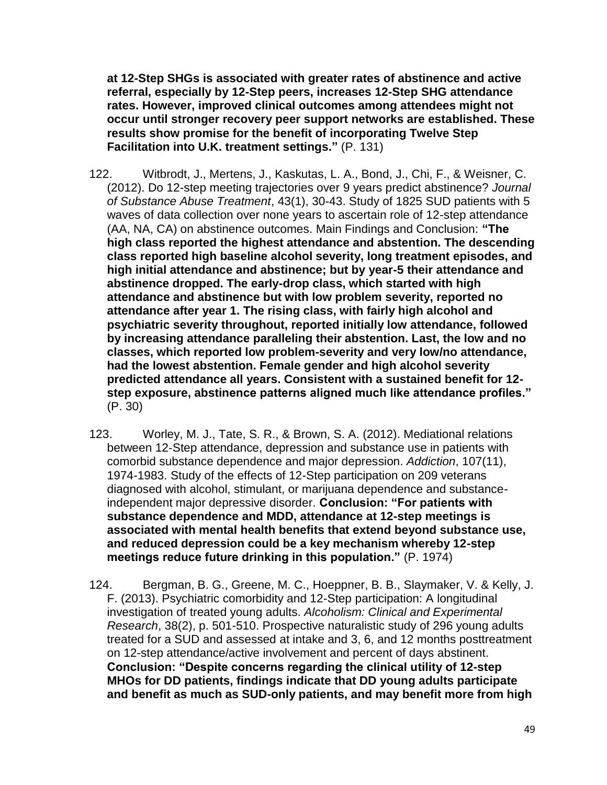**at 12-Step SHGs is associated with greater rates of abstinence and active referral, especially by 12-Step peers, increases 12-Step SHG attendance rates. However, improved clinical outcomes among attendees might not occur until stronger recovery peer support networks are established. These results show promise for the benefit of incorporating Twelve Step Facilitation into U.K. treatment settings."** (P. 131)

- 122. Witbrodt, J., Mertens, J., Kaskutas, L. A., Bond, J., Chi, F., & Weisner, C. (2012). Do 12-step meeting trajectories over 9 years predict abstinence? *Journal of Substance Abuse Treatment*, 43(1), 30-43. Study of 1825 SUD patients with 5 waves of data collection over none years to ascertain role of 12-step attendance (AA, NA, CA) on abstinence outcomes. Main Findings and Conclusion: **"The high class reported the highest attendance and abstention. The descending class reported high baseline alcohol severity, long treatment episodes, and high initial attendance and abstinence; but by year-5 their attendance and abstinence dropped. The early-drop class, which started with high attendance and abstinence but with low problem severity, reported no attendance after year 1. The rising class, with fairly high alcohol and psychiatric severity throughout, reported initially low attendance, followed by increasing attendance paralleling their abstention. Last, the low and no classes, which reported low problem-severity and very low/no attendance, had the lowest abstention. Female gender and high alcohol severity predicted attendance all years. Consistent with a sustained benefit for 12 step exposure, abstinence patterns aligned much like attendance profiles."** (P. 30)
- 123. Worley, M. J., Tate, S. R., & Brown, S. A. (2012). Mediational relations between 12‐Step attendance, depression and substance use in patients with comorbid substance dependence and major depression. *Addiction*, 107(11), 1974-1983. Study of the effects of 12-Step participation on 209 veterans diagnosed with alcohol, stimulant, or marijuana dependence and substanceindependent major depressive disorder. **Conclusion: "For patients with substance dependence and MDD, attendance at 12-step meetings is associated with mental health benefits that extend beyond substance use, and reduced depression could be a key mechanism whereby 12-step meetings reduce future drinking in this population."** (P. 1974)
- 124. Bergman, B. G., Greene, M. C., Hoeppner, B. B., Slaymaker, V. & Kelly, J. F. (2013). Psychiatric comorbidity and 12-Step participation: A longitudinal investigation of treated young adults. *Alcoholism: Clinical and Experimental Research*, 38(2), p. 501-510. Prospective naturalistic study of 296 young adults treated for a SUD and assessed at intake and 3, 6, and 12 months posttreatment on 12-step attendance/active involvement and percent of days abstinent. **Conclusion: "Despite concerns regarding the clinical utility of 12-step MHOs for DD patients, findings indicate that DD young adults participate and benefit as much as SUD-only patients, and may benefit more from high**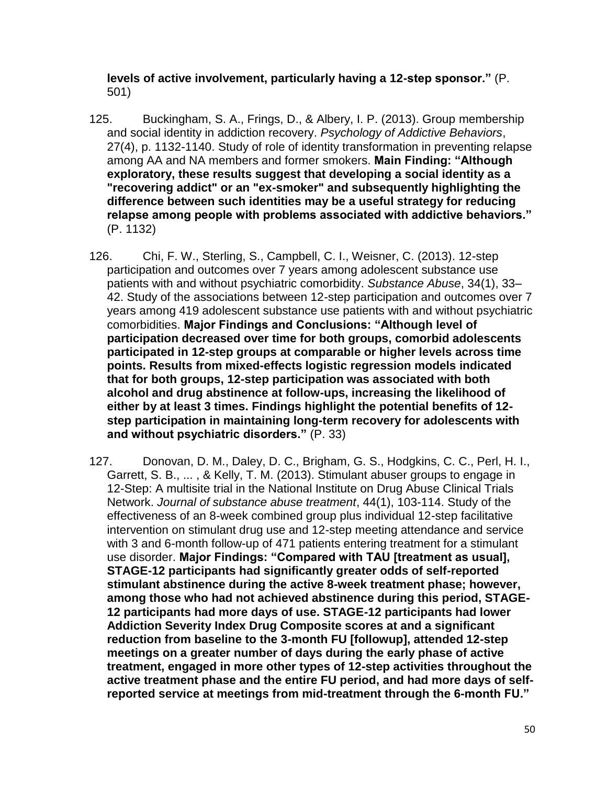**levels of active involvement, particularly having a 12-step sponsor."** (P. 501)

- 125. Buckingham, S. A., Frings, D., & Albery, I. P. (2013). Group membership and social identity in addiction recovery. *Psychology of Addictive Behaviors*, 27(4), p. 1132-1140. Study of role of identity transformation in preventing relapse among AA and NA members and former smokers. **Main Finding: "Although exploratory, these results suggest that developing a social identity as a "recovering addict" or an "ex-smoker" and subsequently highlighting the difference between such identities may be a useful strategy for reducing relapse among people with problems associated with addictive behaviors."** (P. 1132)
- 126. Chi, F. W., Sterling, S., Campbell, C. I., Weisner, C. (2013). 12-step participation and outcomes over 7 years among adolescent substance use patients with and without psychiatric comorbidity. *Substance Abuse*, 34(1), 33– 42. Study of the associations between 12-step participation and outcomes over 7 years among 419 adolescent substance use patients with and without psychiatric comorbidities. **Major Findings and Conclusions: "Although level of participation decreased over time for both groups, comorbid adolescents participated in 12-step groups at comparable or higher levels across time points. Results from mixed-effects logistic regression models indicated that for both groups, 12-step participation was associated with both alcohol and drug abstinence at follow-ups, increasing the likelihood of either by at least 3 times. Findings highlight the potential benefits of 12 step participation in maintaining long-term recovery for adolescents with and without psychiatric disorders."** (P. 33)
- 127. Donovan, D. M., Daley, D. C., Brigham, G. S., Hodgkins, C. C., Perl, H. I., Garrett, S. B., ... , & Kelly, T. M. (2013). Stimulant abuser groups to engage in 12-Step: A multisite trial in the National Institute on Drug Abuse Clinical Trials Network. *Journal of substance abuse treatment*, 44(1), 103-114. Study of the effectiveness of an 8-week combined group plus individual 12-step facilitative intervention on stimulant drug use and 12-step meeting attendance and service with 3 and 6-month follow-up of 471 patients entering treatment for a stimulant use disorder. **Major Findings: "Compared with TAU [treatment as usual], STAGE-12 participants had significantly greater odds of self-reported stimulant abstinence during the active 8-week treatment phase; however, among those who had not achieved abstinence during this period, STAGE-12 participants had more days of use. STAGE-12 participants had lower Addiction Severity Index Drug Composite scores at and a significant reduction from baseline to the 3-month FU [followup], attended 12-step meetings on a greater number of days during the early phase of active treatment, engaged in more other types of 12-step activities throughout the active treatment phase and the entire FU period, and had more days of selfreported service at meetings from mid-treatment through the 6-month FU."**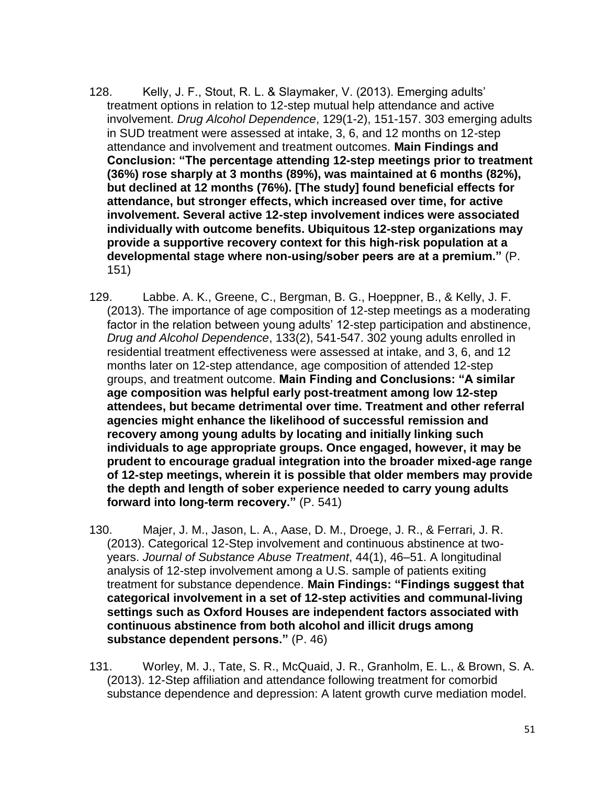- 128. Kelly, J. F., Stout, R. L. & Slaymaker, V. (2013). Emerging adults' treatment options in relation to 12-step mutual help attendance and active involvement. *Drug Alcohol Dependence*, 129(1-2), 151-157. 303 emerging adults in SUD treatment were assessed at intake, 3, 6, and 12 months on 12-step attendance and involvement and treatment outcomes. **Main Findings and Conclusion: "The percentage attending 12-step meetings prior to treatment (36%) rose sharply at 3 months (89%), was maintained at 6 months (82%), but declined at 12 months (76%). [The study] found beneficial effects for attendance, but stronger effects, which increased over time, for active involvement. Several active 12-step involvement indices were associated individually with outcome benefits. Ubiquitous 12-step organizations may provide a supportive recovery context for this high-risk population at a developmental stage where non-using/sober peers are at a premium."** (P. 151)
- 129. Labbe. A. K., Greene, C., Bergman, B. G., Hoeppner, B., & Kelly, J. F. (2013). The importance of age composition of 12-step meetings as a moderating factor in the relation between young adults' 12-step participation and abstinence, *Drug and Alcohol Dependence*, 133(2), 541-547. 302 young adults enrolled in residential treatment effectiveness were assessed at intake, and 3, 6, and 12 months later on 12-step attendance, age composition of attended 12-step groups, and treatment outcome. **Main Finding and Conclusions: "A similar age composition was helpful early post-treatment among low 12-step attendees, but became detrimental over time. Treatment and other referral agencies might enhance the likelihood of successful remission and recovery among young adults by locating and initially linking such individuals to age appropriate groups. Once engaged, however, it may be prudent to encourage gradual integration into the broader mixed-age range of 12-step meetings, wherein it is possible that older members may provide the depth and length of sober experience needed to carry young adults forward into long-term recovery."** (P. 541)
- 130. Majer, J. M., Jason, L. A., Aase, D. M., Droege, J. R., & Ferrari, J. R. (2013). Categorical 12-Step involvement and continuous abstinence at twoyears. *Journal of Substance Abuse Treatment*, 44(1), 46–51. A longitudinal analysis of 12-step involvement among a U.S. sample of patients exiting treatment for substance dependence. **Main Findings: "Findings suggest that categorical involvement in a set of 12-step activities and communal-living settings such as Oxford Houses are independent factors associated with continuous abstinence from both alcohol and illicit drugs among substance dependent persons."** (P. 46)
- 131. Worley, M. J., Tate, S. R., McQuaid, J. R., Granholm, E. L., & Brown, S. A. (2013). 12-Step affiliation and attendance following treatment for comorbid substance dependence and depression: A latent growth curve mediation model.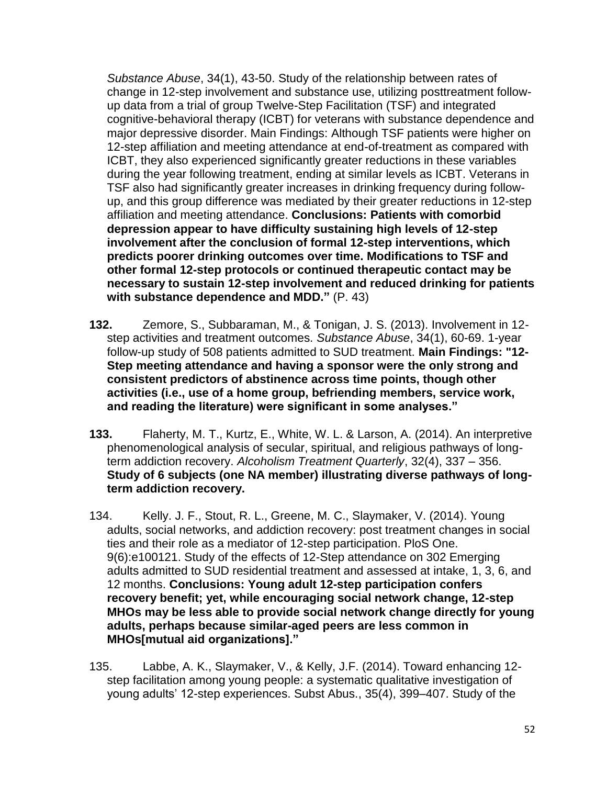*Substance Abuse*, 34(1), 43-50. Study of the relationship between rates of change in 12-step involvement and substance use, utilizing posttreatment followup data from a trial of group Twelve-Step Facilitation (TSF) and integrated cognitive-behavioral therapy (ICBT) for veterans with substance dependence and major depressive disorder. Main Findings: Although TSF patients were higher on 12-step affiliation and meeting attendance at end-of-treatment as compared with ICBT, they also experienced significantly greater reductions in these variables during the year following treatment, ending at similar levels as ICBT. Veterans in TSF also had significantly greater increases in drinking frequency during followup, and this group difference was mediated by their greater reductions in 12-step affiliation and meeting attendance. **Conclusions: Patients with comorbid depression appear to have difficulty sustaining high levels of 12-step involvement after the conclusion of formal 12-step interventions, which predicts poorer drinking outcomes over time. Modifications to TSF and other formal 12-step protocols or continued therapeutic contact may be necessary to sustain 12-step involvement and reduced drinking for patients with substance dependence and MDD."** (P. 43)

- **132.** Zemore, S., Subbaraman, M., & Tonigan, J. S. (2013). Involvement in 12 step activities and treatment outcomes. *Substance Abuse*, 34(1), 60-69. 1-year follow-up study of 508 patients admitted to SUD treatment. **Main Findings: "12- Step meeting attendance and having a sponsor were the only strong and consistent predictors of abstinence across time points, though other activities (i.e., use of a home group, befriending members, service work, and reading the literature) were significant in some analyses."**
- **133.** Flaherty, M. T., Kurtz, E., White, W. L. & Larson, A. (2014). An interpretive phenomenological analysis of secular, spiritual, and religious pathways of longterm addiction recovery. *Alcoholism Treatment Quarterly*, 32(4), 337 – 356. **Study of 6 subjects (one NA member) illustrating diverse pathways of longterm addiction recovery.**
- 134. Kelly. J. F., Stout, R. L., Greene, M. C., Slaymaker, V. (2014). Young adults, social networks, and addiction recovery: post treatment changes in social ties and their role as a mediator of 12-step participation. PloS One. 9(6):e100121. Study of the effects of 12-Step attendance on 302 Emerging adults admitted to SUD residential treatment and assessed at intake, 1, 3, 6, and 12 months. **Conclusions: Young adult 12-step participation confers recovery benefit; yet, while encouraging social network change, 12-step MHOs may be less able to provide social network change directly for young adults, perhaps because similar-aged peers are less common in MHOs[mutual aid organizations]."**
- 135. Labbe, A. K., Slaymaker, V., & Kelly, J.F. (2014). Toward enhancing 12 step facilitation among young people: a systematic qualitative investigation of young adults' 12-step experiences. Subst Abus., 35(4), 399–407. Study of the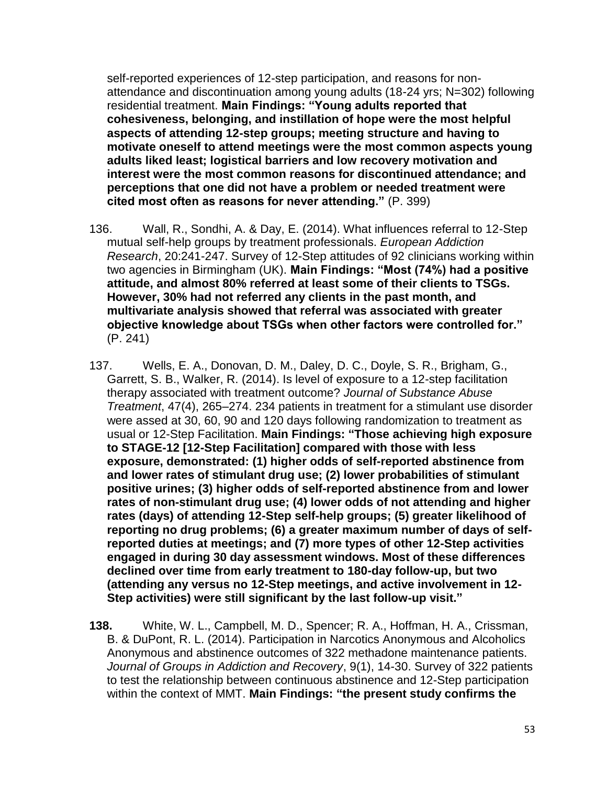self-reported experiences of 12-step participation, and reasons for nonattendance and discontinuation among young adults (18-24 yrs; N=302) following residential treatment. **Main Findings: "Young adults reported that cohesiveness, belonging, and instillation of hope were the most helpful aspects of attending 12-step groups; meeting structure and having to motivate oneself to attend meetings were the most common aspects young adults liked least; logistical barriers and low recovery motivation and interest were the most common reasons for discontinued attendance; and perceptions that one did not have a problem or needed treatment were cited most often as reasons for never attending."** (P. 399)

- 136. Wall, R., Sondhi, A. & Day, E. (2014). What influences referral to 12-Step mutual self-help groups by treatment professionals. *European Addiction Research*, 20:241-247. Survey of 12-Step attitudes of 92 clinicians working within two agencies in Birmingham (UK). **Main Findings: "Most (74%) had a positive attitude, and almost 80% referred at least some of their clients to TSGs. However, 30% had not referred any clients in the past month, and multivariate analysis showed that referral was associated with greater objective knowledge about TSGs when other factors were controlled for."** (P. 241)
- 137. Wells, E. A., Donovan, D. M., Daley, D. C., Doyle, S. R., Brigham, G., Garrett, S. B., Walker, R. (2014). Is level of exposure to a 12-step facilitation therapy associated with treatment outcome? *Journal of Substance Abuse Treatment*, 47(4), 265–274. 234 patients in treatment for a stimulant use disorder were assed at 30, 60, 90 and 120 days following randomization to treatment as usual or 12-Step Facilitation. **Main Findings: "Those achieving high exposure to STAGE-12 [12-Step Facilitation] compared with those with less exposure, demonstrated: (1) higher odds of self-reported abstinence from and lower rates of stimulant drug use; (2) lower probabilities of stimulant positive urines; (3) higher odds of self-reported abstinence from and lower rates of non-stimulant drug use; (4) lower odds of not attending and higher rates (days) of attending 12-Step self-help groups; (5) greater likelihood of reporting no drug problems; (6) a greater maximum number of days of selfreported duties at meetings; and (7) more types of other 12-Step activities engaged in during 30 day assessment windows. Most of these differences declined over time from early treatment to 180-day follow-up, but two (attending any versus no 12-Step meetings, and active involvement in 12- Step activities) were still significant by the last follow-up visit."**
- **138.** White, W. L., Campbell, M. D., Spencer; R. A., Hoffman, H. A., Crissman, B. & DuPont, R. L. (2014). Participation in Narcotics Anonymous and Alcoholics Anonymous and abstinence outcomes of 322 methadone maintenance patients. *Journal of Groups in Addiction and Recovery*, 9(1), 14-30. Survey of 322 patients to test the relationship between continuous abstinence and 12-Step participation within the context of MMT. **Main Findings: "the present study confirms the**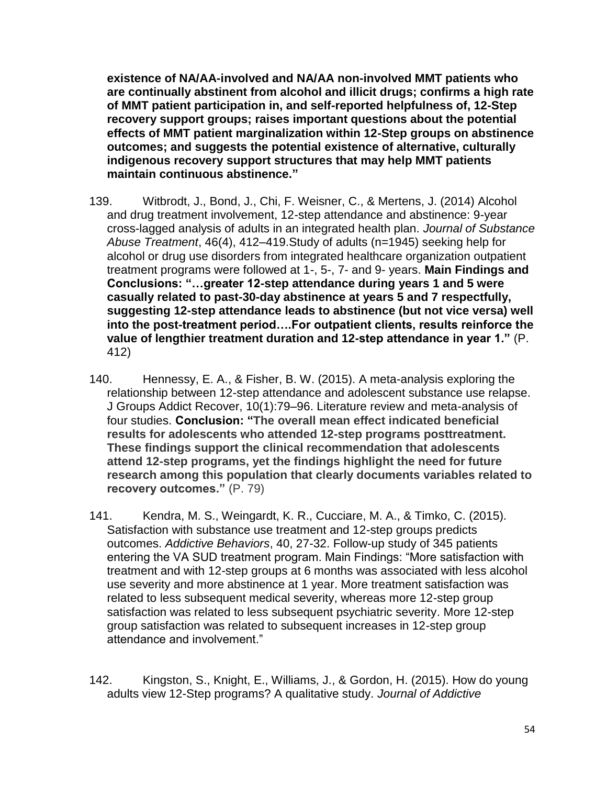**existence of NA/AA-involved and NA/AA non-involved MMT patients who are continually abstinent from alcohol and illicit drugs; confirms a high rate of MMT patient participation in, and self-reported helpfulness of, 12-Step recovery support groups; raises important questions about the potential effects of MMT patient marginalization within 12-Step groups on abstinence outcomes; and suggests the potential existence of alternative, culturally indigenous recovery support structures that may help MMT patients maintain continuous abstinence."**

- 139. Witbrodt, J., Bond, J., Chi, F. Weisner, C., & Mertens, J. (2014) Alcohol and drug treatment involvement, 12-step attendance and abstinence: 9-year cross-lagged analysis of adults in an integrated health plan. *Journal of Substance Abuse Treatment*, 46(4), 412–419.Study of adults (n=1945) seeking help for alcohol or drug use disorders from integrated healthcare organization outpatient treatment programs were followed at 1-, 5-, 7- and 9- years. **Main Findings and Conclusions: "…greater 12-step attendance during years 1 and 5 were casually related to past-30-day abstinence at years 5 and 7 respectfully, suggesting 12-step attendance leads to abstinence (but not vice versa) well into the post-treatment period….For outpatient clients, results reinforce the value of lengthier treatment duration and 12-step attendance in year 1."** (P. 412)
- 140. Hennessy, E. A., & Fisher, B. W. (2015). A meta-analysis exploring the relationship between 12-step attendance and adolescent substance use relapse. J Groups Addict Recover, 10(1):79–96. Literature review and meta-analysis of four studies. **Conclusion: "The overall mean effect indicated beneficial results for adolescents who attended 12-step programs posttreatment. These findings support the clinical recommendation that adolescents attend 12-step programs, yet the findings highlight the need for future research among this population that clearly documents variables related to recovery outcomes."** (P. 79)
- 141. Kendra, M. S., Weingardt, K. R., Cucciare, M. A., & Timko, C. (2015). Satisfaction with substance use treatment and 12-step groups predicts outcomes. *Addictive Behaviors*, 40, 27-32. Follow-up study of 345 patients entering the VA SUD treatment program. Main Findings: "More satisfaction with treatment and with 12-step groups at 6 months was associated with less alcohol use severity and more abstinence at 1 year. More treatment satisfaction was related to less subsequent medical severity, whereas more 12-step group satisfaction was related to less subsequent psychiatric severity. More 12-step group satisfaction was related to subsequent increases in 12-step group attendance and involvement."
- 142. Kingston, S., Knight, E., Williams, J., & Gordon, H. (2015). How do young adults view 12-Step programs? A qualitative study. *Journal of Addictive*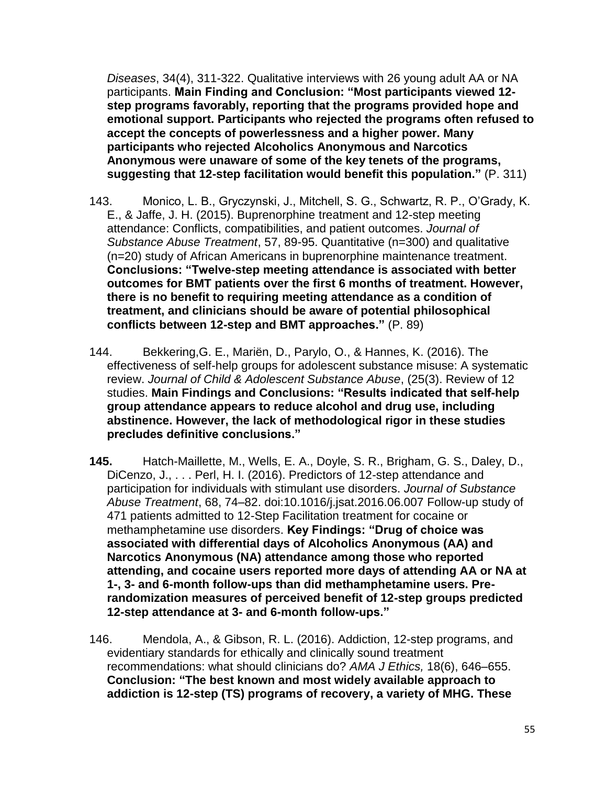*Diseases*, 34(4), 311-322. Qualitative interviews with 26 young adult AA or NA participants. **Main Finding and Conclusion: "Most participants viewed 12 step programs favorably, reporting that the programs provided hope and emotional support. Participants who rejected the programs often refused to accept the concepts of powerlessness and a higher power. Many participants who rejected Alcoholics Anonymous and Narcotics Anonymous were unaware of some of the key tenets of the programs, suggesting that 12-step facilitation would benefit this population."** (P. 311)

- 143. Monico, L. B., Gryczynski, J., Mitchell, S. G., Schwartz, R. P., O'Grady, K. E., & Jaffe, J. H. (2015). Buprenorphine treatment and 12-step meeting attendance: Conflicts, compatibilities, and patient outcomes. *Journal of Substance Abuse Treatment*, 57, 89-95. Quantitative (n=300) and qualitative (n=20) study of African Americans in buprenorphine maintenance treatment. **Conclusions: "Twelve-step meeting attendance is associated with better outcomes for BMT patients over the first 6 months of treatment. However, there is no benefit to requiring meeting attendance as a condition of treatment, and clinicians should be aware of potential philosophical conflicts between 12-step and BMT approaches."** (P. 89)
- 144. Bekkering,G. E., Mariën, D., Parylo, O., & Hannes, K. (2016). The effectiveness of self-help groups for adolescent substance misuse: A systematic review. *Journal of Child & Adolescent Substance Abuse*, (25(3). Review of 12 studies. **Main Findings and Conclusions: "Results indicated that self-help group attendance appears to reduce alcohol and drug use, including abstinence. However, the lack of methodological rigor in these studies precludes definitive conclusions."**
- **145.** Hatch-Maillette, M., Wells, E. A., Doyle, S. R., Brigham, G. S., Daley, D., DiCenzo, J., . . . Perl, H. I. (2016). Predictors of 12-step attendance and participation for individuals with stimulant use disorders. *Journal of Substance Abuse Treatment*, 68, 74–82. doi:10.1016/j.jsat.2016.06.007 Follow-up study of 471 patients admitted to 12-Step Facilitation treatment for cocaine or methamphetamine use disorders. **Key Findings: "Drug of choice was associated with differential days of Alcoholics Anonymous (AA) and Narcotics Anonymous (NA) attendance among those who reported attending, and cocaine users reported more days of attending AA or NA at 1-, 3- and 6-month follow-ups than did methamphetamine users. Prerandomization measures of perceived benefit of 12-step groups predicted 12-step attendance at 3- and 6-month follow-ups."**
- 146. Mendola, A., & Gibson, R. L. (2016). Addiction, 12-step programs, and evidentiary standards for ethically and clinically sound treatment recommendations: what should clinicians do? *AMA J Ethics,* 18(6), 646–655. **Conclusion: "The best known and most widely available approach to addiction is 12-step (TS) programs of recovery, a variety of MHG. These**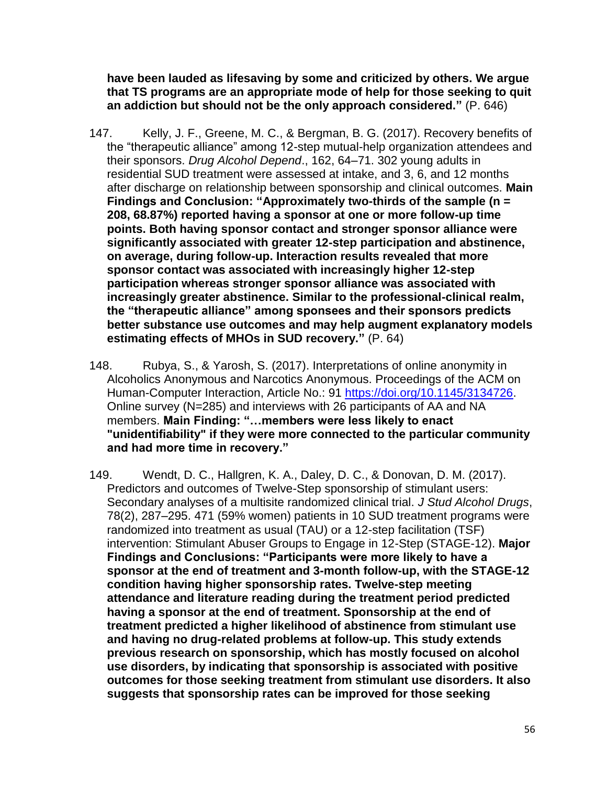**have been lauded as lifesaving by some and criticized by others. We argue that TS programs are an appropriate mode of help for those seeking to quit an addiction but should not be the only approach considered."** (P. 646)

- 147. Kelly, J. F., Greene, M. C., & Bergman, B. G. (2017). Recovery benefits of the "therapeutic alliance" among 12-step mutual-help organization attendees and their sponsors. *Drug Alcohol Depend*., 162, 64–71. 302 young adults in residential SUD treatment were assessed at intake, and 3, 6, and 12 months after discharge on relationship between sponsorship and clinical outcomes. **Main Findings and Conclusion: "Approximately two-thirds of the sample (n = 208, 68.87%) reported having a sponsor at one or more follow-up time points. Both having sponsor contact and stronger sponsor alliance were significantly associated with greater 12-step participation and abstinence, on average, during follow-up. Interaction results revealed that more sponsor contact was associated with increasingly higher 12-step participation whereas stronger sponsor alliance was associated with increasingly greater abstinence. Similar to the professional-clinical realm, the "therapeutic alliance" among sponsees and their sponsors predicts better substance use outcomes and may help augment explanatory models estimating effects of MHOs in SUD recovery."** (P. 64)
- 148. Rubya, S., & Yarosh, S. (2017). Interpretations of online anonymity in Alcoholics Anonymous and Narcotics Anonymous. Proceedings of the ACM on Human-Computer Interaction, Article No.: 91 [https://doi.org/10.1145/3134726.](https://doi.org/10.1145/3134726) Online survey (N=285) and interviews with 26 participants of AA and NA members. **Main Finding: "…members were less likely to enact "unidentifiability" if they were more connected to the particular community and had more time in recovery."**
- 149. Wendt, D. C., Hallgren, K. A., Daley, D. C., & Donovan, D. M. (2017). Predictors and outcomes of Twelve-Step sponsorship of stimulant users: Secondary analyses of a multisite randomized clinical trial. *J Stud Alcohol Drugs*, 78(2), 287–295. 471 (59% women) patients in 10 SUD treatment programs were randomized into treatment as usual (TAU) or a 12-step facilitation (TSF) intervention: Stimulant Abuser Groups to Engage in 12-Step (STAGE-12). **Major Findings and Conclusions: "Participants were more likely to have a sponsor at the end of treatment and 3-month follow-up, with the STAGE-12 condition having higher sponsorship rates. Twelve-step meeting attendance and literature reading during the treatment period predicted having a sponsor at the end of treatment. Sponsorship at the end of treatment predicted a higher likelihood of abstinence from stimulant use and having no drug-related problems at follow-up. This study extends previous research on sponsorship, which has mostly focused on alcohol use disorders, by indicating that sponsorship is associated with positive outcomes for those seeking treatment from stimulant use disorders. It also suggests that sponsorship rates can be improved for those seeking**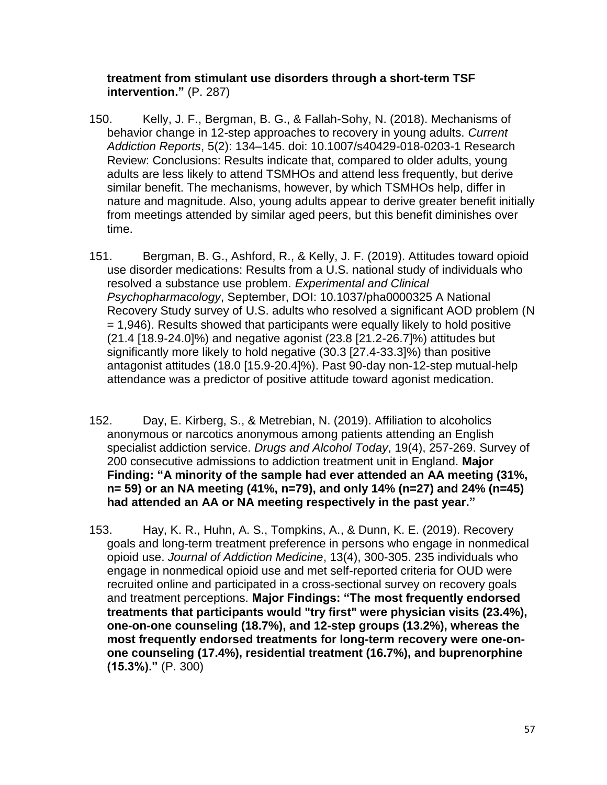#### **treatment from stimulant use disorders through a short-term TSF intervention."** (P. 287)

- 150. Kelly, J. F., Bergman, B. G., & Fallah-Sohy, N. (2018). Mechanisms of behavior change in 12-step approaches to recovery in young adults. *Current Addiction Reports*, 5(2): 134–145. doi: 10.1007/s40429-018-0203-1 Research Review: Conclusions: Results indicate that, compared to older adults, young adults are less likely to attend TSMHOs and attend less frequently, but derive similar benefit. The mechanisms, however, by which TSMHOs help, differ in nature and magnitude. Also, young adults appear to derive greater benefit initially from meetings attended by similar aged peers, but this benefit diminishes over time.
- 151. Bergman, B. G., Ashford, R., & Kelly, J. F. (2019). Attitudes toward opioid use disorder medications: Results from a U.S. national study of individuals who resolved a substance use problem. *Experimental and Clinical Psychopharmacology*, September, DOI: 10.1037/pha0000325 A National Recovery Study survey of U.S. adults who resolved a significant AOD problem (N = 1,946). Results showed that participants were equally likely to hold positive (21.4 [18.9-24.0]%) and negative agonist (23.8 [21.2-26.7]%) attitudes but significantly more likely to hold negative (30.3 [27.4-33.3]%) than positive antagonist attitudes (18.0 [15.9-20.4]%). Past 90-day non-12-step mutual-help attendance was a predictor of positive attitude toward agonist medication.
- 152. Day, E. Kirberg, S., & Metrebian, N. (2019). Affiliation to alcoholics anonymous or narcotics anonymous among patients attending an English specialist addiction service. *Drugs and Alcohol Today*, 19(4), 257-269. Survey of 200 consecutive admissions to addiction treatment unit in England. **Major Finding: "A minority of the sample had ever attended an AA meeting (31%, n= 59) or an NA meeting (41%, n=79), and only 14% (n=27) and 24% (n=45) had attended an AA or NA meeting respectively in the past year."**
- 153. Hay, K. R., Huhn, A. S., Tompkins, A., & Dunn, K. E. (2019). Recovery goals and long-term treatment preference in persons who engage in nonmedical opioid use. *Journal of Addiction Medicine*, 13(4), 300-305. 235 individuals who engage in nonmedical opioid use and met self-reported criteria for OUD were recruited online and participated in a cross-sectional survey on recovery goals and treatment perceptions. **Major Findings: "The most frequently endorsed treatments that participants would "try first" were physician visits (23.4%), one-on-one counseling (18.7%), and 12-step groups (13.2%), whereas the most frequently endorsed treatments for long-term recovery were one-onone counseling (17.4%), residential treatment (16.7%), and buprenorphine (15.3%)."** (P. 300)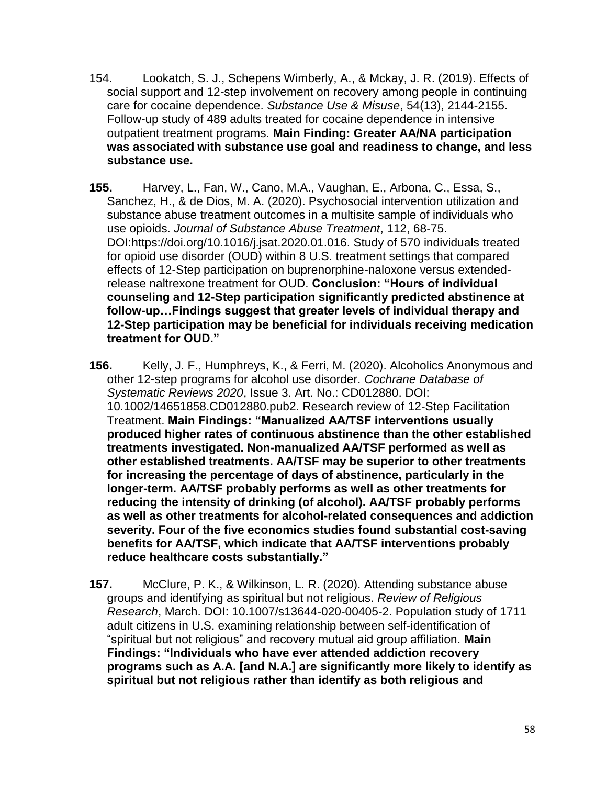- 154. Lookatch, S. J., Schepens Wimberly, A., & Mckay, J. R. (2019). Effects of social support and 12-step involvement on recovery among people in continuing care for cocaine dependence. *Substance Use & Misuse*, 54(13), 2144-2155. Follow-up study of 489 adults treated for cocaine dependence in intensive outpatient treatment programs. **Main Finding: Greater AA/NA participation was associated with substance use goal and readiness to change, and less substance use.**
- **155.** Harvey, L., Fan, W., Cano, M.A., Vaughan, E., Arbona, C., Essa, S., Sanchez, H., & de Dios, M. A. (2020). Psychosocial intervention utilization and substance abuse treatment outcomes in a multisite sample of individuals who use opioids. *Journal of Substance Abuse Treatment*, 112, 68-75. DOI:https://doi.org/10.1016/j.jsat.2020.01.016. Study of 570 individuals treated for opioid use disorder (OUD) within 8 U.S. treatment settings that compared effects of 12-Step participation on buprenorphine-naloxone versus extendedrelease naltrexone treatment for OUD. **Conclusion: "Hours of individual counseling and 12-Step participation significantly predicted abstinence at follow-up…Findings suggest that greater levels of individual therapy and 12-Step participation may be beneficial for individuals receiving medication treatment for OUD."**
- **156.** Kelly, J. F., Humphreys, K., & Ferri, M. (2020). Alcoholics Anonymous and other 12-step programs for alcohol use disorder. *Cochrane Database of Systematic Reviews 2020*, Issue 3. Art. No.: CD012880. DOI: 10.1002/14651858.CD012880.pub2. Research review of 12-Step Facilitation Treatment. **Main Findings: "Manualized AA/TSF interventions usually produced higher rates of continuous abstinence than the other established treatments investigated. Non-manualized AA/TSF performed as well as other established treatments. AA/TSF may be superior to other treatments for increasing the percentage of days of abstinence, particularly in the longer-term. AA/TSF probably performs as well as other treatments for reducing the intensity of drinking (of alcohol). AA/TSF probably performs as well as other treatments for alcohol-related consequences and addiction severity. Four of the five economics studies found substantial cost-saving benefits for AA/TSF, which indicate that AA/TSF interventions probably reduce healthcare costs substantially."**
- **157.** McClure, P. K., & Wilkinson, L. R. (2020). Attending substance abuse groups and identifying as spiritual but not religious. *Review of Religious Research*, March. DOI: 10.1007/s13644-020-00405-2. Population study of 1711 adult citizens in U.S. examining relationship between self-identification of "spiritual but not religious" and recovery mutual aid group affiliation. **Main Findings: "Individuals who have ever attended addiction recovery programs such as A.A. [and N.A.] are significantly more likely to identify as spiritual but not religious rather than identify as both religious and**